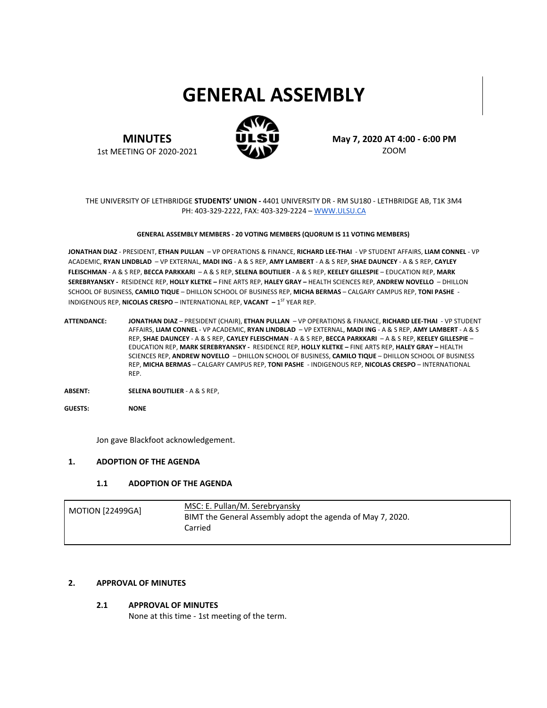# **GENERAL ASSEMBLY**



**MINUTES** 1st MEETING OF 2020-2021

**May 7, 2020 AT 4:00 - 6:00 PM** ZOOM

#### THE UNIVERSITY OF LETHBRIDGE **STUDENTS' UNION -** 4401 UNIVERSITY DR - RM SU180 - LETHBRIDGE AB, T1K 3M4 PH: 403-329-2222, FAX: 403-329-2224 – [WWW.ULSU.CA](http://www.ulsu.ca/)

#### **GENERAL ASSEMBLY MEMBERS - 20 VOTING MEMBERS (QUORUM IS 11 VOTING MEMBERS)**

**JONATHAN DIAZ** - PRESIDENT, **ETHAN PULLAN** – VP OPERATIONS & FINANCE, **RICHARD LEE-THAI** - VP STUDENT AFFAIRS, **LIAM CONNEL** - VP ACADEMIC, **RYAN LINDBLAD** – VP EXTERNAL, **MADI ING** - A & S REP, **AMY LAMBERT** - A & S REP, **SHAE DAUNCEY** - A & S REP, **CAYLEY FLEISCHMAN** - A & S REP, **BECCA PARKKARI** – A & S REP, **SELENA BOUTILIER** - A & S REP, **KEELEY GILLESPIE** – EDUCATION REP, **MARK SEREBRYANSKY -** RESIDENCE REP, **HOLLY KLETKE –** FINE ARTS REP, **HALEY GRAY –** HEALTH SCIENCES REP, **ANDREW NOVELLO** – DHILLON SCHOOL OF BUSINESS, **CAMILO TIQUE** – DHILLON SCHOOL OF BUSINESS REP, **MICHA BERMAS** – CALGARY CAMPUS REP, **TONI PASHE** - INDIGENOUS REP, **NICOLAS CRESPO** – INTERNATIONAL REP, VACANT – 1<sup>ST</sup> YEAR REP.

- **ATTENDANCE: JONATHAN DIAZ** PRESIDENT (CHAIR), **ETHAN PULLAN**  VP OPERATIONS & FINANCE, **RICHARD LEE-THAI**  VP STUDENT AFFAIRS, **LIAM CONNEL** - VP ACADEMIC, **RYAN LINDBLAD** – VP EXTERNAL, **MADI ING** - A & S REP, **AMY LAMBERT** - A & S REP, **SHAE DAUNCEY** - A & S REP, **CAYLEY FLEISCHMAN** - A & S REP, **BECCA PARKKARI** – A & S REP, **KEELEY GILLESPIE** – EDUCATION REP, **MARK SEREBRYANSKY -** RESIDENCE REP, **HOLLY KLETKE –** FINE ARTS REP, **HALEY GRAY –** HEALTH SCIENCES REP, **ANDREW NOVELLO** – DHILLON SCHOOL OF BUSINESS, **CAMILO TIQUE** – DHILLON SCHOOL OF BUSINESS REP, **MICHA BERMAS** – CALGARY CAMPUS REP, **TONI PASHE** - INDIGENOUS REP, **NICOLAS CRESPO** – INTERNATIONAL REP.
- **ABSENT: SELENA BOUTILIER**  A & S REP,
- **GUESTS: NONE**

Jon gave Blackfoot acknowledgement.

## **1. ADOPTION OF THE AGENDA**

#### **1.1 ADOPTION OF THE AGENDA**

| <b>MOTION [22499GA]</b> | MSC: E. Pullan/M. Serebryansky<br>BIMT the General Assembly adopt the agenda of May 7, 2020.<br>Carried |
|-------------------------|---------------------------------------------------------------------------------------------------------|
|                         |                                                                                                         |

#### **2. APPROVAL OF MINUTES**

## **2.1 APPROVAL OF MINUTES**

None at this time - 1st meeting of the term.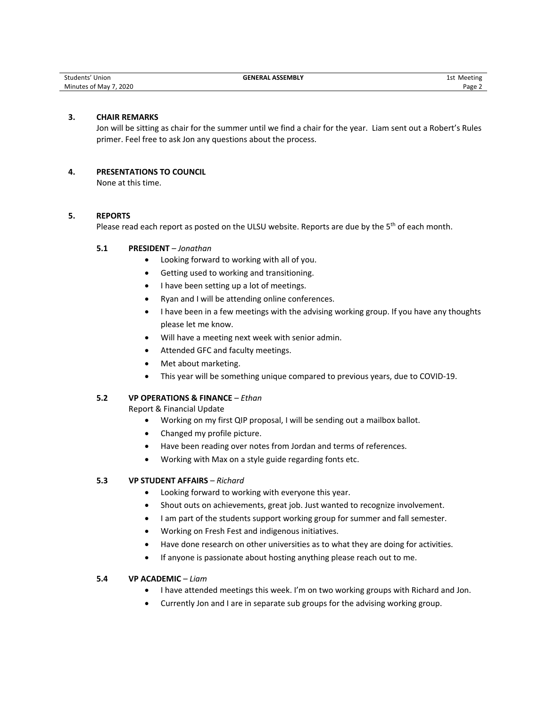## **3. CHAIR REMARKS**

Jon will be sitting as chair for the summer until we find a chair for the year. Liam sent out a Robert's Rules primer. Feel free to ask Jon any questions about the process.

## **4. PRESENTATIONS TO COUNCIL**

None at this time.

#### **5. REPORTS**

Please read each report as posted on the ULSU website. Reports are due by the 5<sup>th</sup> of each month.

#### **5.1 PRESIDENT** *– Jonathan*

- Looking forward to working with all of you.
- Getting used to working and transitioning.
- I have been setting up a lot of meetings.
- Ryan and I will be attending online conferences.
- I have been in a few meetings with the advising working group. If you have any thoughts please let me know.
- Will have a meeting next week with senior admin.
- Attended GFC and faculty meetings.
- Met about marketing.
- This year will be something unique compared to previous years, due to COVID-19.

#### **5.2 VP OPERATIONS & FINANCE** *– Ethan*

Report & Financial Update

- Working on my first QIP proposal, I will be sending out a mailbox ballot.
- Changed my profile picture.
- Have been reading over notes from Jordan and terms of references.
- Working with Max on a style guide regarding fonts etc.

#### **5.3 VP STUDENT AFFAIRS** *– Richard*

- Looking forward to working with everyone this year.
- Shout outs on achievements, great job. Just wanted to recognize involvement.
- I am part of the students support working group for summer and fall semester.
- Working on Fresh Fest and indigenous initiatives.
- Have done research on other universities as to what they are doing for activities.
- If anyone is passionate about hosting anything please reach out to me.

#### **5.4 VP ACADEMIC** *– Liam*

- I have attended meetings this week. I'm on two working groups with Richard and Jon.
- Currently Jon and I are in separate sub groups for the advising working group.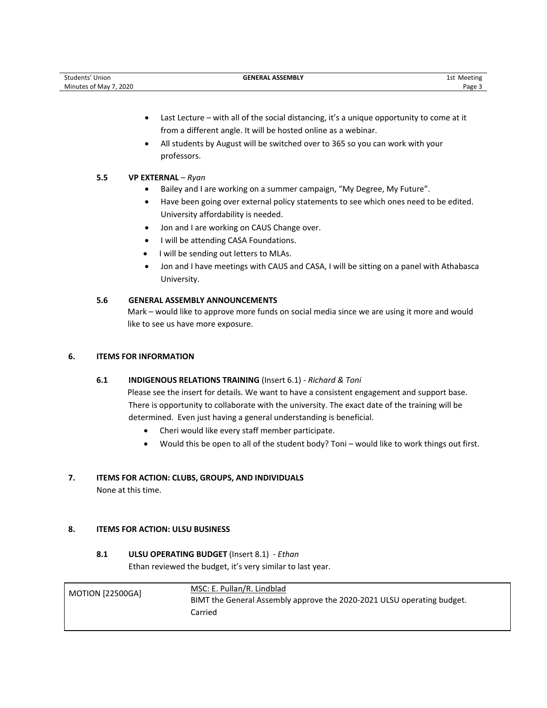| Students<br>Union      | <b>_ASSEMBLY</b><br>GFNFRAL | Meeting<br>lst |
|------------------------|-----------------------------|----------------|
| 2020<br>Minutes of May |                             | Page 5         |

- Last Lecture with all of the social distancing, it's a unique opportunity to come at it from a different angle. It will be hosted online as a webinar.
- All students by August will be switched over to 365 so you can work with your professors.

## **5.5 VP EXTERNAL** *– Ryan*

- Bailey and I are working on a summer campaign, "My Degree, My Future".
- Have been going over external policy statements to see which ones need to be edited. University affordability is needed.
- Jon and I are working on CAUS Change over.
- I will be attending CASA Foundations.
- I will be sending out letters to MLAs.
- Jon and I have meetings with CAUS and CASA, I will be sitting on a panel with Athabasca University.

## **5.6 GENERAL ASSEMBLY ANNOUNCEMENTS**

Mark – would like to approve more funds on social media since we are using it more and would like to see us have more exposure.

## **6. ITEMS FOR INFORMATION**

## **6.1 INDIGENOUS RELATIONS TRAINING** (Insert 6.1) *- Richard & Toni*

Please see the insert for details. We want to have a consistent engagement and support base. There is opportunity to collaborate with the university. The exact date of the training will be determined. Even just having a general understanding is beneficial.

- Cheri would like every staff member participate.
- Would this be open to all of the student body? Toni would like to work things out first.

## **7. ITEMS FOR ACTION: CLUBS, GROUPS, AND INDIVIDUALS**

None at this time.

## **8. ITEMS FOR ACTION: ULSU BUSINESS**

## **8.1 ULSU OPERATING BUDGET** (Insert 8.1) - *Ethan*

Ethan reviewed the budget, it's very similar to last year.

| <b>MOTION [22500GA]</b> | MSC: E. Pullan/R. Lindblad                                             |
|-------------------------|------------------------------------------------------------------------|
|                         | BIMT the General Assembly approve the 2020-2021 ULSU operating budget. |
|                         | Carried                                                                |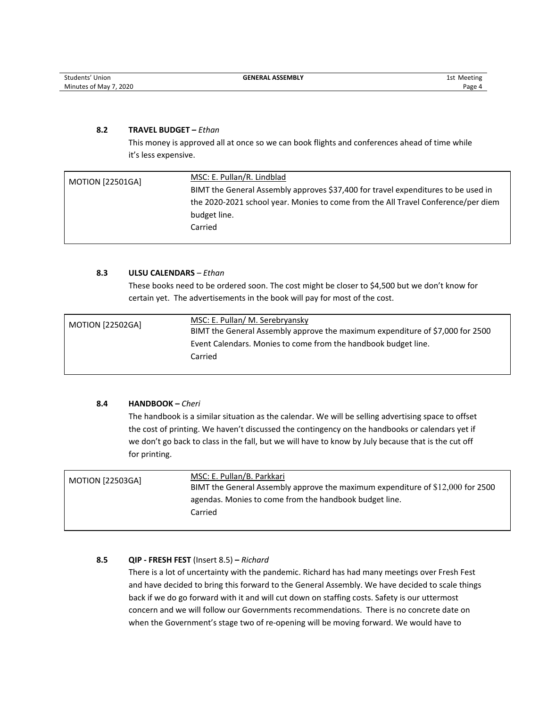#### **8.2 TRAVEL BUDGET –** *Ethan*

This money is approved all at once so we can book flights and conferences ahead of time while it's less expensive.

| <b>MOTION [22501GA]</b> | MSC: E. Pullan/R. Lindblad                                                        |
|-------------------------|-----------------------------------------------------------------------------------|
|                         | BIMT the General Assembly approves \$37,400 for travel expenditures to be used in |
|                         | the 2020-2021 school year. Monies to come from the All Travel Conference/per diem |
|                         | budget line.                                                                      |
|                         | Carried                                                                           |
|                         |                                                                                   |

#### **8.3 ULSU CALENDARS** *– Ethan*

These books need to be ordered soon. The cost might be closer to \$4,500 but we don't know for certain yet. The advertisements in the book will pay for most of the cost.

| <b>MOTION [22502GA]</b> | MSC: E. Pullan/ M. Serebryansky<br>BIMT the General Assembly approve the maximum expenditure of \$7,000 for 2500 |
|-------------------------|------------------------------------------------------------------------------------------------------------------|
|                         | Event Calendars. Monies to come from the handbook budget line.                                                   |
|                         | Carried                                                                                                          |

## **8.4 HANDBOOK –** *Cheri*

The handbook is a similar situation as the calendar. We will be selling advertising space to offset the cost of printing. We haven't discussed the contingency on the handbooks or calendars yet if we don't go back to class in the fall, but we will have to know by July because that is the cut off for printing.

## **8.5 QIP - FRESH FEST** (Insert 8.5) **–** *Richard*

There is a lot of uncertainty with the pandemic. Richard has had many meetings over Fresh Fest and have decided to bring this forward to the General Assembly. We have decided to scale things back if we do go forward with it and will cut down on staffing costs. Safety is our uttermost concern and we will follow our Governments recommendations. There is no concrete date on when the Government's stage two of re-opening will be moving forward. We would have to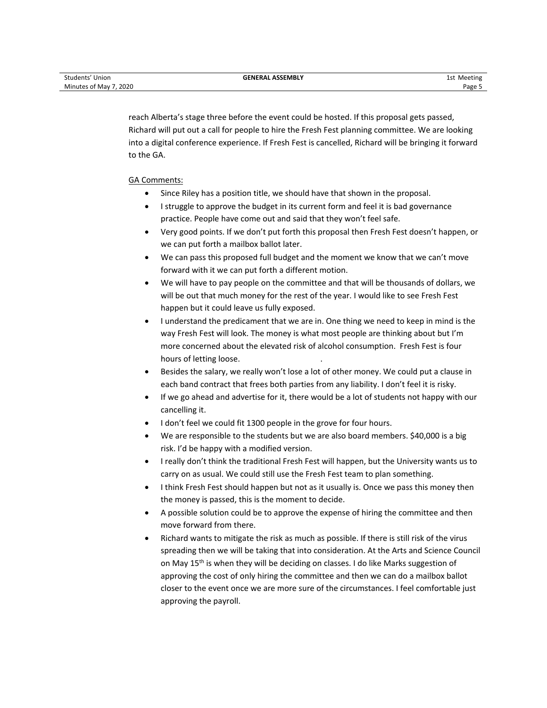reach Alberta's stage three before the event could be hosted. If this proposal gets passed, Richard will put out a call for people to hire the Fresh Fest planning committee. We are looking into a digital conference experience. If Fresh Fest is cancelled, Richard will be bringing it forward to the GA.

## GA Comments:

- Since Riley has a position title, we should have that shown in the proposal.
- I struggle to approve the budget in its current form and feel it is bad governance practice. People have come out and said that they won't feel safe.
- Very good points. If we don't put forth this proposal then Fresh Fest doesn't happen, or we can put forth a mailbox ballot later.
- We can pass this proposed full budget and the moment we know that we can't move forward with it we can put forth a different motion.
- We will have to pay people on the committee and that will be thousands of dollars, we will be out that much money for the rest of the year. I would like to see Fresh Fest happen but it could leave us fully exposed.
- I understand the predicament that we are in. One thing we need to keep in mind is the way Fresh Fest will look. The money is what most people are thinking about but I'm more concerned about the elevated risk of alcohol consumption. Fresh Fest is four hours of letting loose. .
- Besides the salary, we really won't lose a lot of other money. We could put a clause in each band contract that frees both parties from any liability. I don't feel it is risky.
- If we go ahead and advertise for it, there would be a lot of students not happy with our cancelling it.
- I don't feel we could fit 1300 people in the grove for four hours.
- We are responsible to the students but we are also board members. \$40,000 is a big risk. I'd be happy with a modified version.
- I really don't think the traditional Fresh Fest will happen, but the University wants us to carry on as usual. We could still use the Fresh Fest team to plan something.
- I think Fresh Fest should happen but not as it usually is. Once we pass this money then the money is passed, this is the moment to decide.
- A possible solution could be to approve the expense of hiring the committee and then move forward from there.
- Richard wants to mitigate the risk as much as possible. If there is still risk of the virus spreading then we will be taking that into consideration. At the Arts and Science Council on May  $15<sup>th</sup>$  is when they will be deciding on classes. I do like Marks suggestion of approving the cost of only hiring the committee and then we can do a mailbox ballot closer to the event once we are more sure of the circumstances. I feel comfortable just approving the payroll.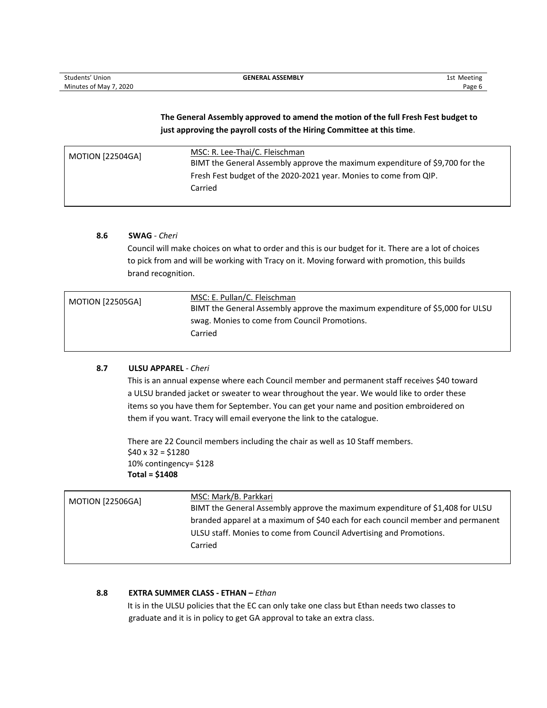## **The General Assembly approved to amend the motion of the full Fresh Fest budget to just approving the payroll costs of the Hiring Committee at this time**.

| <b>MOTION [22504GA]</b> | MSC: R. Lee-Thai/C. Fleischman<br>BIMT the General Assembly approve the maximum expenditure of \$9,700 for the<br>Fresh Fest budget of the 2020-2021 year. Monies to come from QIP.<br>Carried |
|-------------------------|------------------------------------------------------------------------------------------------------------------------------------------------------------------------------------------------|
|                         |                                                                                                                                                                                                |

## **8.6 SWAG** *- Cheri*

Council will make choices on what to order and this is our budget for it. There are a lot of choices to pick from and will be working with Tracy on it. Moving forward with promotion, this builds brand recognition.

| <b>MOTION [22505GA]</b> | MSC: E. Pullan/C. Fleischman<br>BIMT the General Assembly approve the maximum expenditure of \$5,000 for ULSU |
|-------------------------|---------------------------------------------------------------------------------------------------------------|
|                         | swag. Monies to come from Council Promotions.                                                                 |
|                         | Carried                                                                                                       |
|                         |                                                                                                               |

## **8.7 ULSU APPAREL** - *Cheri*

This is an annual expense where each Council member and permanent staff receives \$40 toward a ULSU branded jacket or sweater to wear throughout the year. We would like to order these items so you have them for September. You can get your name and position embroidered on them if you want. Tracy will email everyone the link to the catalogue.

There are 22 Council members including the chair as well as 10 Staff members.  $$40 \times 32 = $1280$ 10% contingency= \$128 **Total = \$1408**

| <b>MOTION [22506GA]</b> | MSC: Mark/B. Parkkari<br>BIMT the General Assembly approve the maximum expenditure of \$1,408 for ULSU<br>branded apparel at a maximum of \$40 each for each council member and permanent |
|-------------------------|-------------------------------------------------------------------------------------------------------------------------------------------------------------------------------------------|
|                         | ULSU staff. Monies to come from Council Advertising and Promotions.<br>Carried                                                                                                            |

## **8.8 EXTRA SUMMER CLASS - ETHAN –** *Ethan*

It is in the ULSU policies that the EC can only take one class but Ethan needs two classes to graduate and it is in policy to get GA approval to take an extra class.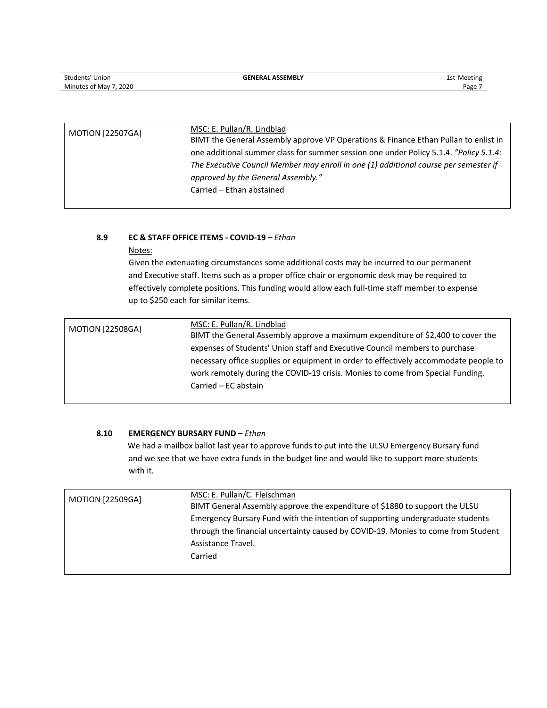| Students' Union        | <b>GENERAL ASSEMBLY</b> | 1st Meeting |
|------------------------|-------------------------|-------------|
| Minutes of May 7, 2020 |                         | Page 7      |
|                        |                         |             |

| <b>MOTION [22507GA]</b> | MSC: E. Pullan/R. Lindblad                                                            |
|-------------------------|---------------------------------------------------------------------------------------|
|                         | BIMT the General Assembly approve VP Operations & Finance Ethan Pullan to enlist in   |
|                         | one additional summer class for summer session one under Policy 5.1.4. "Policy 5.1.4: |
|                         | The Executive Council Member may enroll in one (1) additional course per semester if  |
|                         | approved by the General Assembly."                                                    |
|                         | Carried – Ethan abstained                                                             |
|                         |                                                                                       |

## **8.9 EC & STAFF OFFICE ITEMS - COVID-19** *– Ethan*

Notes:

Given the extenuating circumstances some additional costs may be incurred to our permanent and Executive staff. Items such as a proper office chair or ergonomic desk may be required to effectively complete positions. This funding would allow each full-time staff member to expense up to \$250 each for similar items.

| <b>MOTION [22508GA]</b> | MSC: E. Pullan/R. Lindblad                                                           |
|-------------------------|--------------------------------------------------------------------------------------|
|                         | BIMT the General Assembly approve a maximum expenditure of \$2,400 to cover the      |
|                         | expenses of Students' Union staff and Executive Council members to purchase          |
|                         | necessary office supplies or equipment in order to effectively accommodate people to |
|                         | work remotely during the COVID-19 crisis. Monies to come from Special Funding.       |
|                         | Carried – EC abstain                                                                 |
|                         |                                                                                      |

## **8.10 EMERGENCY BURSARY FUND** *– Ethan*

We had a mailbox ballot last year to approve funds to put into the ULSU Emergency Bursary fund and we see that we have extra funds in the budget line and would like to support more students with it*.*

| <b>MOTION [22509GA]</b> | MSC: E. Pullan/C. Fleischman<br>BIMT General Assembly approve the expenditure of \$1880 to support the ULSU<br>Emergency Bursary Fund with the intention of supporting undergraduate students<br>through the financial uncertainty caused by COVID-19. Monies to come from Student<br>Assistance Travel.<br>Carried |
|-------------------------|---------------------------------------------------------------------------------------------------------------------------------------------------------------------------------------------------------------------------------------------------------------------------------------------------------------------|
|                         |                                                                                                                                                                                                                                                                                                                     |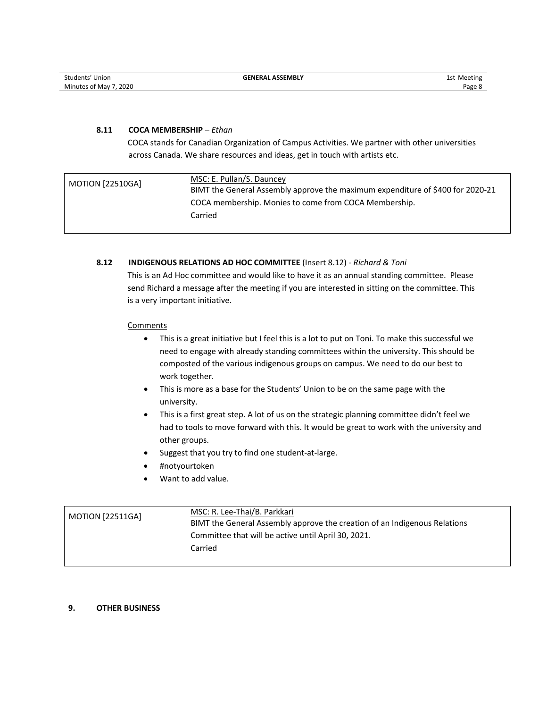#### **8.11 COCA MEMBERSHIP** *– Ethan*

COCA stands for Canadian Organization of Campus Activities. We partner with other universities across Canada. We share resources and ideas, get in touch with artists etc.

| <b>MOTION [22510GA]</b> | MSC: E. Pullan/S. Dauncey<br>BIMT the General Assembly approve the maximum expenditure of \$400 for 2020-21 |
|-------------------------|-------------------------------------------------------------------------------------------------------------|
|                         | COCA membership. Monies to come from COCA Membership.                                                       |
|                         | Carried                                                                                                     |
|                         |                                                                                                             |

## **8.12 INDIGENOUS RELATIONS AD HOC COMMITTEE** (Insert 8.12) *- Richard & Toni*

This is an Ad Hoc committee and would like to have it as an annual standing committee. Please send Richard a message after the meeting if you are interested in sitting on the committee. This is a very important initiative.

#### Comments

- This is a great initiative but I feel this is a lot to put on Toni. To make this successful we need to engage with already standing committees within the university. This should be composted of the various indigenous groups on campus. We need to do our best to work together.
- This is more as a base for the Students' Union to be on the same page with the university.
- This is a first great step. A lot of us on the strategic planning committee didn't feel we had to tools to move forward with this. It would be great to work with the university and other groups.
- Suggest that you try to find one student-at-large.
- #notyourtoken
- Want to add value.

| MOTION [22511GA] | MSC: R. Lee-Thai/B. Parkkari<br>BIMT the General Assembly approve the creation of an Indigenous Relations |
|------------------|-----------------------------------------------------------------------------------------------------------|
|                  | Committee that will be active until April 30, 2021.                                                       |
|                  | Carried                                                                                                   |
|                  |                                                                                                           |

#### **9. OTHER BUSINESS**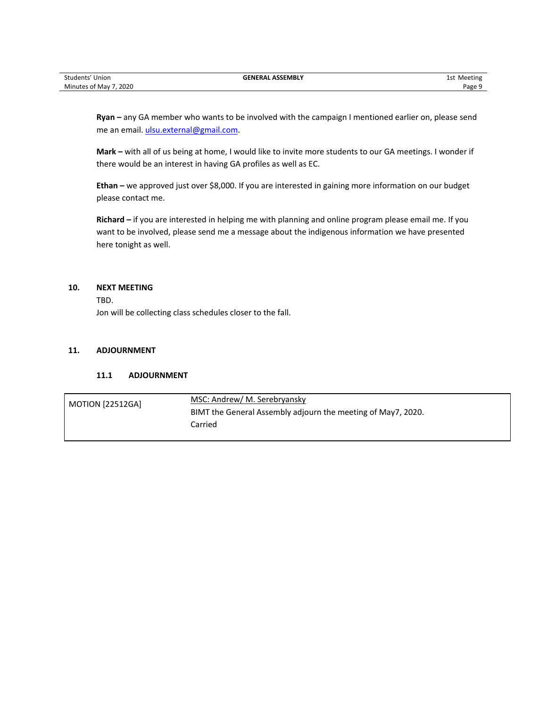**Ryan –** any GA member who wants to be involved with the campaign I mentioned earlier on, please send me an email[. ulsu.external@gmail.com.](mailto:ulsu.external@gmail.com)

**Mark –** with all of us being at home, I would like to invite more students to our GA meetings. I wonder if there would be an interest in having GA profiles as well as EC.

**Ethan –** we approved just over \$8,000. If you are interested in gaining more information on our budget please contact me.

**Richard –** if you are interested in helping me with planning and online program please email me. If you want to be involved, please send me a message about the indigenous information we have presented here tonight as well.

## **10. NEXT MEETING**

TBD.

Jon will be collecting class schedules closer to the fall.

## **11. ADJOURNMENT**

## **11.1 ADJOURNMENT**

| <b>MOTION [22512GA]</b> | MSC: Andrew/ M. Serebryansky<br>BIMT the General Assembly adjourn the meeting of May7, 2020. |
|-------------------------|----------------------------------------------------------------------------------------------|
|                         | Carried                                                                                      |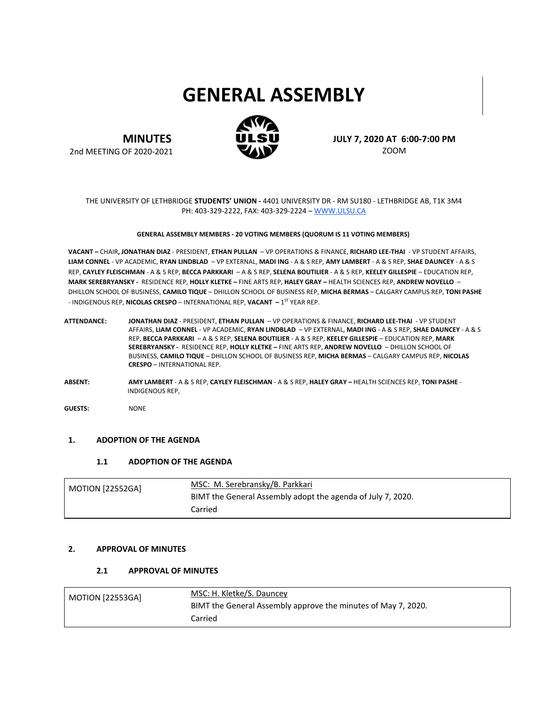# **GENERAL ASSEMBLY**



**MINUTES** 2nd MEETING OF 2020-2021 **JULY 7, 2020 AT 6:00-7:00 PM** ZOOM

#### THE UNIVERSITY OF LETHBRIDGE **STUDENTS' UNION -** 4401 UNIVERSITY DR - RM SU180 - LETHBRIDGE AB, T1K 3M4 PH: 403-329-2222, FAX: 403-329-2224 – [WWW.ULSU.CA](http://www.ulsu.ca/)

#### **GENERAL ASSEMBLY MEMBERS - 20 VOTING MEMBERS (QUORUM IS 11 VOTING MEMBERS)**

**VACANT –** CHAIR**, JONATHAN DIAZ** - PRESIDENT, **ETHAN PULLAN** – VP OPERATIONS & FINANCE, **RICHARD LEE-THAI** - VP STUDENT AFFAIRS, **LIAM CONNEL** - VP ACADEMIC, **RYAN LINDBLAD** – VP EXTERNAL, **MADI ING** - A & S REP, **AMY LAMBERT** - A & S REP, **SHAE DAUNCEY** - A & S REP, **CAYLEY FLEISCHMAN** - A & S REP, **BECCA PARKKARI** – A & S REP, **SELENA BOUTILIER** - A & S REP, **KEELEY GILLESPIE** – EDUCATION REP, **MARK SEREBRYANSKY -** RESIDENCE REP, **HOLLY KLETKE –** FINE ARTS REP, **HALEY GRAY –** HEALTH SCIENCES REP, **ANDREW NOVELLO** – DHILLON SCHOOL OF BUSINESS, **CAMILO TIQUE** – DHILLON SCHOOL OF BUSINESS REP, **MICHA BERMAS** – CALGARY CAMPUS REP, **TONI PASHE**  - INDIGENOUS REP, **NICOLAS CRESPO** – INTERNATIONAL REP, **VACANT** – 1<sup>ST</sup> YEAR REP.

- **ATTENDANCE: JONATHAN DIAZ** PRESIDENT, **ETHAN PULLAN**  VP OPERATIONS & FINANCE, **RICHARD LEE-THAI**  VP STUDENT AFFAIRS, **LIAM CONNEL** - VP ACADEMIC, **RYAN LINDBLAD** – VP EXTERNAL, **MADI ING** - A & S REP, **SHAE DAUNCEY** - A & S REP, **BECCA PARKKARI** – A & S REP, **SELENA BOUTILIER** - A & S REP, **KEELEY GILLESPIE** – EDUCATION REP, **MARK SEREBRYANSKY -** RESIDENCE REP, **HOLLY KLETKE –** FINE ARTS REP, **ANDREW NOVELLO** – DHILLON SCHOOL OF BUSINESS, **CAMILO TIQUE** – DHILLON SCHOOL OF BUSINESS REP, **MICHA BERMAS** – CALGARY CAMPUS REP, **NICOLAS CRESPO** – INTERNATIONAL REP.
- **ABSENT: AMY LAMBERT**  A & S REP, **CAYLEY FLEISCHMAN** A & S REP, **HALEY GRAY –** HEALTH SCIENCES REP, **TONI PASHE**  INDIGENOUS REP,
- **GUESTS:** NONE

## **1. ADOPTION OF THE AGENDA**

## **1.1 ADOPTION OF THE AGENDA**

| <b>MOTION [22552GA]</b> | MSC: M. Serebransky/B. Parkkari                             |
|-------------------------|-------------------------------------------------------------|
|                         | BIMT the General Assembly adopt the agenda of July 7, 2020. |
|                         | Carried                                                     |

#### **2. APPROVAL OF MINUTES**

#### **2.1 APPROVAL OF MINUTES**

| <b>MOTION [22553GA]</b> | MSC: H. Kletke/S. Dauncey                                     |
|-------------------------|---------------------------------------------------------------|
|                         | BIMT the General Assembly approve the minutes of May 7, 2020. |
|                         | Carried                                                       |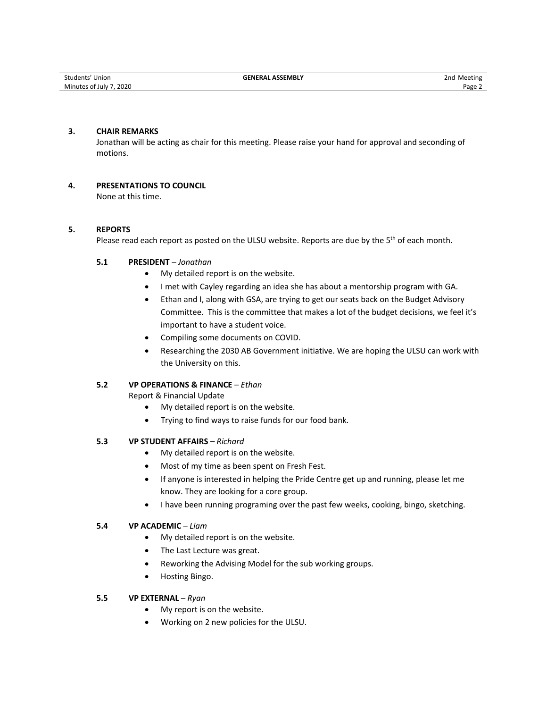#### **3. CHAIR REMARKS**

Jonathan will be acting as chair for this meeting. Please raise your hand for approval and seconding of motions.

## **4. PRESENTATIONS TO COUNCIL**

None at this time.

#### **5. REPORTS**

Please read each report as posted on the ULSU website. Reports are due by the 5<sup>th</sup> of each month.

## **5.1 PRESIDENT** *– Jonathan*

- My detailed report is on the website.
- I met with Cayley regarding an idea she has about a mentorship program with GA.
- Ethan and I, along with GSA, are trying to get our seats back on the Budget Advisory Committee. This is the committee that makes a lot of the budget decisions, we feel it's important to have a student voice.
- Compiling some documents on COVID.
- Researching the 2030 AB Government initiative. We are hoping the ULSU can work with the University on this.

## **5.2 VP OPERATIONS & FINANCE** *– Ethan*

Report & Financial Update

- My detailed report is on the website.
- Trying to find ways to raise funds for our food bank.

## **5.3 VP STUDENT AFFAIRS** *– Richard*

- My detailed report is on the website.
- Most of my time as been spent on Fresh Fest.
- If anyone is interested in helping the Pride Centre get up and running, please let me know. They are looking for a core group.
- I have been running programing over the past few weeks, cooking, bingo, sketching.

## **5.4 VP ACADEMIC** *– Liam*

- My detailed report is on the website.
- The Last Lecture was great.
- Reworking the Advising Model for the sub working groups.
- Hosting Bingo.

## **5.5 VP EXTERNAL** *– Ryan*

- My report is on the website.
- Working on 2 new policies for the ULSU.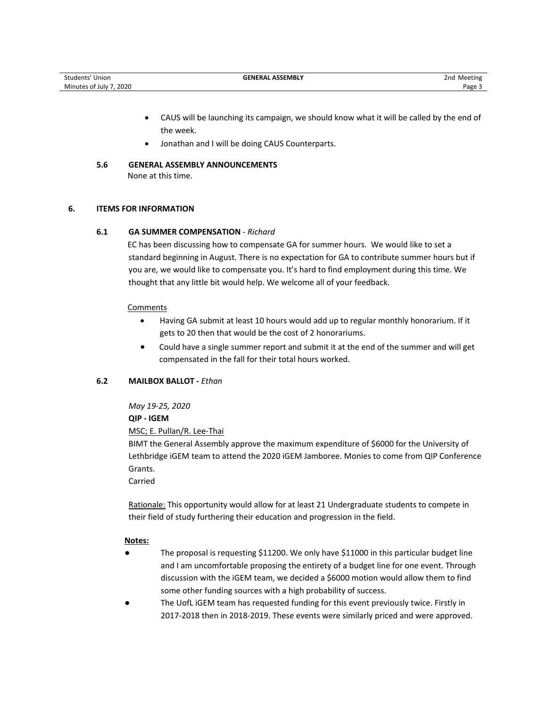- CAUS will be launching its campaign, we should know what it will be called by the end of the week.
- Jonathan and I will be doing CAUS Counterparts.

## **5.6 GENERAL ASSEMBLY ANNOUNCEMENTS**

None at this time.

## **6. ITEMS FOR INFORMATION**

## **6.1 GA SUMMER COMPENSATION** - *Richard*

EC has been discussing how to compensate GA for summer hours. We would like to set a standard beginning in August. There is no expectation for GA to contribute summer hours but if you are, we would like to compensate you. It's hard to find employment during this time. We thought that any little bit would help. We welcome all of your feedback.

## **Comments**

- Having GA submit at least 10 hours would add up to regular monthly honorarium. If it gets to 20 then that would be the cost of 2 honorariums.
- Could have a single summer report and submit it at the end of the summer and will get compensated in the fall for their total hours worked.

## **6.2 MAILBOX BALLOT -** *Ethan*

*May 19-25, 2020*

## **QIP - IGEM**

MSC; E. Pullan/R. Lee-Thai

BIMT the General Assembly approve the maximum expenditure of \$6000 for the University of Lethbridge iGEM team to attend the 2020 iGEM Jamboree. Monies to come from QIP Conference Grants.

Carried

Rationale: This opportunity would allow for at least 21 Undergraduate students to compete in their field of study furthering their education and progression in the field.

## **Notes:**

- The proposal is requesting \$11200. We only have \$11000 in this particular budget line and I am uncomfortable proposing the entirety of a budget line for one event. Through discussion with the iGEM team, we decided a \$6000 motion would allow them to find some other funding sources with a high probability of success.
- The UofL iGEM team has requested funding for this event previously twice. Firstly in 2017-2018 then in 2018-2019. These events were similarly priced and were approved.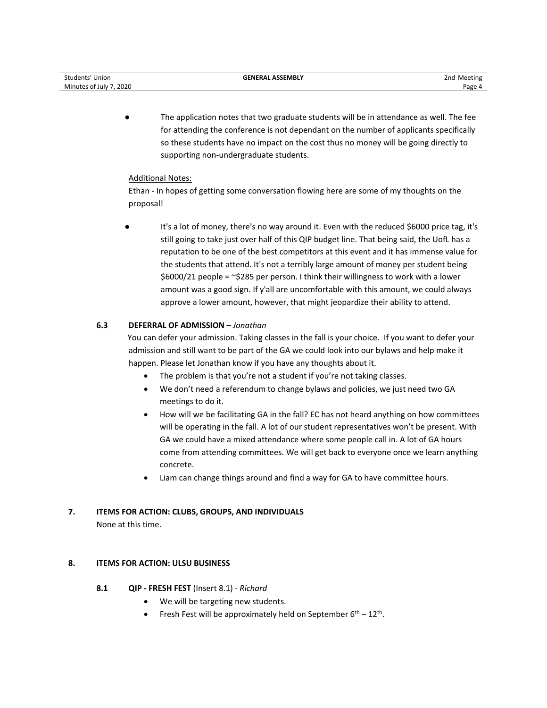The application notes that two graduate students will be in attendance as well. The fee for attending the conference is not dependant on the number of applicants specifically so these students have no impact on the cost thus no money will be going directly to supporting non-undergraduate students.

## Additional Notes:

Ethan - In hopes of getting some conversation flowing here are some of my thoughts on the proposal!

It's a lot of money, there's no way around it. Even with the reduced \$6000 price tag, it's still going to take just over half of this QIP budget line. That being said, the UofL has a reputation to be one of the best competitors at this event and it has immense value for the students that attend. It's not a terribly large amount of money per student being \$6000/21 people = ~\$285 per person. I think their willingness to work with a lower amount was a good sign. If y'all are uncomfortable with this amount, we could always approve a lower amount, however, that might jeopardize their ability to attend.

## **6.3 DEFERRAL OF ADMISSION** *– Jonathan*

You can defer your admission. Taking classes in the fall is your choice. If you want to defer your admission and still want to be part of the GA we could look into our bylaws and help make it happen. Please let Jonathan know if you have any thoughts about it.

- The problem is that you're not a student if you're not taking classes.
- We don't need a referendum to change bylaws and policies, we just need two GA meetings to do it.
- How will we be facilitating GA in the fall? EC has not heard anything on how committees will be operating in the fall. A lot of our student representatives won't be present. With GA we could have a mixed attendance where some people call in. A lot of GA hours come from attending committees. We will get back to everyone once we learn anything concrete.
- Liam can change things around and find a way for GA to have committee hours.

## **7. ITEMS FOR ACTION: CLUBS, GROUPS, AND INDIVIDUALS**

None at this time.

## **8. ITEMS FOR ACTION: ULSU BUSINESS**

- **8.1 QIP - FRESH FEST** (Insert 8.1) *- Richard*
	- We will be targeting new students.
		- Fresh Fest will be approximately held on September  $6<sup>th</sup> 12<sup>th</sup>$ .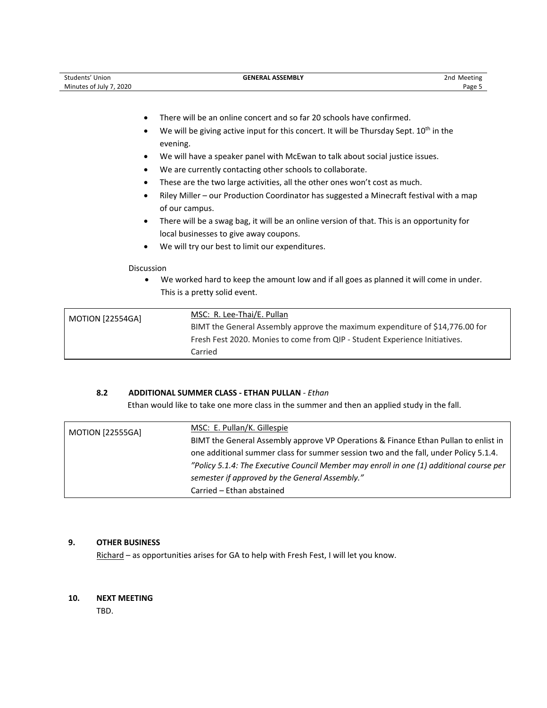| Students'               | <b>. ASSEMBLY</b> | Meeting |
|-------------------------|-------------------|---------|
| Union                   | <b>GENERAL</b>    | 2nd     |
| 2020<br>Minutes of July |                   | Page L  |

- There will be an online concert and so far 20 schools have confirmed.
- We will be giving active input for this concert. It will be Thursday Sept.  $10^{th}$  in the evening.
- We will have a speaker panel with McEwan to talk about social justice issues.
- We are currently contacting other schools to collaborate.
- These are the two large activities, all the other ones won't cost as much.
- Riley Miller our Production Coordinator has suggested a Minecraft festival with a map of our campus.
- There will be a swag bag, it will be an online version of that. This is an opportunity for local businesses to give away coupons.
- We will try our best to limit our expenditures.

#### Discussion

• We worked hard to keep the amount low and if all goes as planned it will come in under. This is a pretty solid event.

| <b>MOTION [22554GA]</b> | MSC: R. Lee-Thai/E. Pullan                                                   |
|-------------------------|------------------------------------------------------------------------------|
|                         | BIMT the General Assembly approve the maximum expenditure of \$14,776.00 for |
|                         | Fresh Fest 2020. Monies to come from QIP - Student Experience Initiatives.   |
|                         | Carried                                                                      |

#### **8.2 ADDITIONAL SUMMER CLASS - ETHAN PULLAN** *- Ethan*

Ethan would like to take one more class in the summer and then an applied study in the fall.

| <b>MOTION [22555GA]</b> | MSC: E. Pullan/K. Gillespie                                                             |
|-------------------------|-----------------------------------------------------------------------------------------|
|                         | BIMT the General Assembly approve VP Operations & Finance Ethan Pullan to enlist in     |
|                         | one additional summer class for summer session two and the fall, under Policy 5.1.4.    |
|                         | "Policy 5.1.4: The Executive Council Member may enroll in one (1) additional course per |
|                         | semester if approved by the General Assembly."                                          |
|                         | Carried - Ethan abstained                                                               |

#### **9. OTHER BUSINESS**

Richard - as opportunities arises for GA to help with Fresh Fest, I will let you know.

#### **10. NEXT MEETING**

TBD.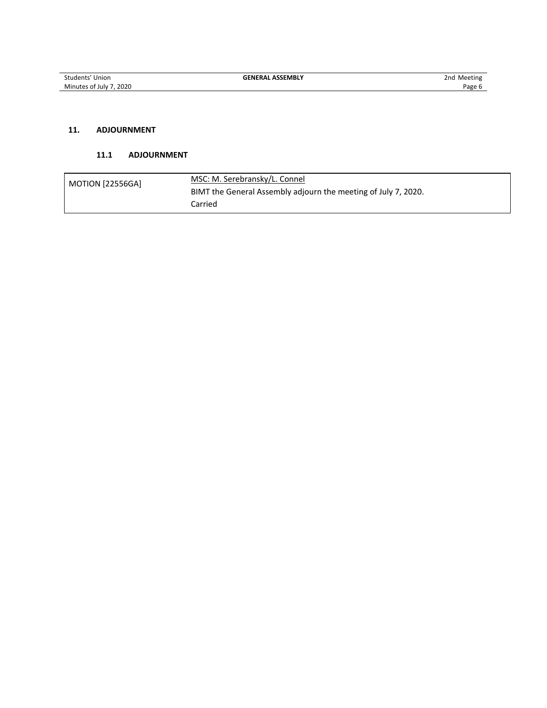## **11. ADJOURNMENT**

## **11.1 ADJOURNMENT**

| <b>MOTION [22556GA]</b> | MSC: M. Serebransky/L. Connel                                  |
|-------------------------|----------------------------------------------------------------|
|                         | BIMT the General Assembly adjourn the meeting of July 7, 2020. |
|                         | Carried                                                        |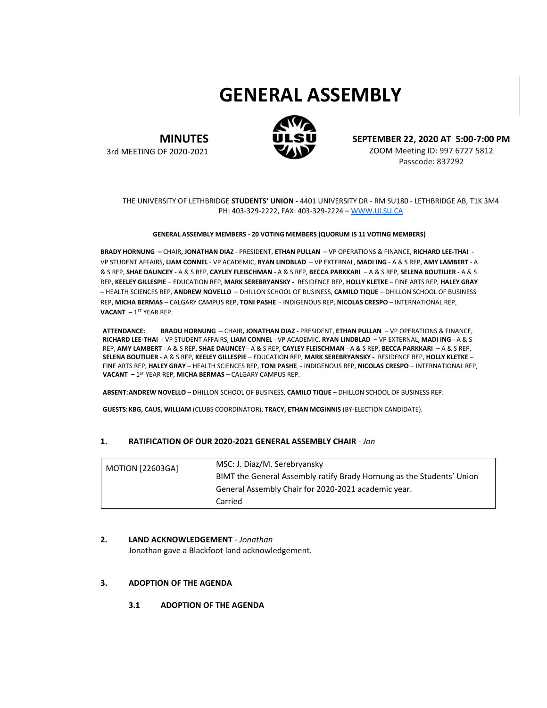# **GENERAL ASSEMBLY**

**MINUTES**





**SEPTEMBER 22, 2020 AT 5:00-7:00 PM** ZOOM Meeting ID: 997 6727 5812 Passcode: 837292

#### THE UNIVERSITY OF LETHBRIDGE **STUDENTS' UNION -** 4401 UNIVERSITY DR - RM SU180 - LETHBRIDGE AB, T1K 3M4 PH: 403-329-2222, FAX: 403-329-2224 – [WWW.ULSU.CA](http://www.ulsu.ca/)

#### **GENERAL ASSEMBLY MEMBERS - 20 VOTING MEMBERS (QUORUM IS 11 VOTING MEMBERS)**

**BRADY HORNUNG –** CHAIR**, JONATHAN DIAZ** - PRESIDENT, **ETHAN PULLAN** – VP OPERATIONS & FINANCE, **RICHARD LEE-THAI** - VP STUDENT AFFAIRS, **LIAM CONNEL** - VP ACADEMIC, **RYAN LINDBLAD** – VP EXTERNAL, **MADI ING** - A & S REP, **AMY LAMBERT** - A & S REP, **SHAE DAUNCEY** - A & S REP, **CAYLEY FLEISCHMAN** - A & S REP, **BECCA PARKKARI** – A & S REP, **SELENA BOUTILIER** - A & S REP, **KEELEY GILLESPIE** – EDUCATION REP, **MARK SEREBRYANSKY -** RESIDENCE REP, **HOLLY KLETKE –** FINE ARTS REP, **HALEY GRAY –** HEALTH SCIENCES REP, **ANDREW NOVELLO** – DHILLON SCHOOL OF BUSINESS, **CAMILO TIQUE** – DHILLON SCHOOL OF BUSINESS REP, **MICHA BERMAS** – CALGARY CAMPUS REP, **TONI PASHE** - INDIGENOUS REP, **NICOLAS CRESPO** – INTERNATIONAL REP, **VACANT –** 1 ST YEAR REP.

**ATTENDANCE: BRADU HORNUNG –** CHAIR**, JONATHAN DIAZ** - PRESIDENT, **ETHAN PULLAN** – VP OPERATIONS & FINANCE, **RICHARD LEE-THAI** - VP STUDENT AFFAIRS, **LIAM CONNEL** - VP ACADEMIC, **RYAN LINDBLAD** – VP EXTERNAL, **MADI ING** - A & S REP, **AMY LAMBERT** - A & S REP, **SHAE DAUNCEY** - A & S REP, **CAYLEY FLEISCHMAN** - A & S REP, **BECCA PARKKARI** – A & S REP, **SELENA BOUTILIER** - A & S REP, **KEELEY GILLESPIE** – EDUCATION REP, **MARK SEREBRYANSKY -** RESIDENCE REP, **HOLLY KLETKE –** FINE ARTS REP, **HALEY GRAY –** HEALTH SCIENCES REP, **TONI PASHE** - INDIGENOUS REP, **NICOLAS CRESPO** – INTERNATIONAL REP, **VACANT –** 1 ST YEAR REP, **MICHA BERMAS** – CALGARY CAMPUS REP.

**ABSENT:ANDREW NOVELLO** – DHILLON SCHOOL OF BUSINESS, **CAMILO TIQUE** – DHILLON SCHOOL OF BUSINESS REP.

**GUESTS:KBG, CAUS, WILLIAM** (CLUBS COORDINATOR), **TRACY, ETHAN MCGINNIS** (BY-ELECTION CANDIDATE).

#### **1. RATIFICATION OF OUR 2020-2021 GENERAL ASSEMBLY CHAIR** *- Jon*

| <b>MOTION [22603GA]</b> | MSC: J. Diaz/M. Serebryansky                                          |
|-------------------------|-----------------------------------------------------------------------|
|                         | BIMT the General Assembly ratify Brady Hornung as the Students' Union |
|                         | General Assembly Chair for 2020-2021 academic year.                   |
|                         | Carried                                                               |

## **2. LAND ACKNOWLEDGEMENT** *- Jonathan*

Jonathan gave a Blackfoot land acknowledgement.

#### **3. ADOPTION OF THE AGENDA**

**3.1 ADOPTION OF THE AGENDA**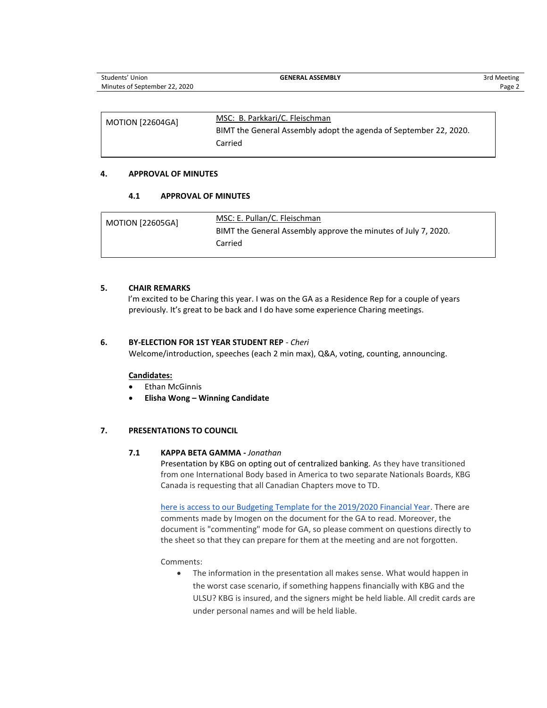| Students'<br>Union                     | <b>GENERAL ASSEMBLY</b> | 3rd Meeting |
|----------------------------------------|-------------------------|-------------|
| 2020<br>Minutes of September<br>$\sim$ |                         | Page.       |

| MOTION [22604GA] | MSC: B. Parkkari/C. Fleischman                                    |
|------------------|-------------------------------------------------------------------|
|                  | BIMT the General Assembly adopt the agenda of September 22, 2020. |
|                  | Carried                                                           |

#### **4. APPROVAL OF MINUTES**

#### **4.1 APPROVAL OF MINUTES**

| <b>MOTION [22605GA]</b> | MSC: E. Pullan/C. Fleischman                                   |
|-------------------------|----------------------------------------------------------------|
|                         | BIMT the General Assembly approve the minutes of July 7, 2020. |
|                         | Carried                                                        |

#### **5. CHAIR REMARKS**

I'm excited to be Charing this year. I was on the GA as a Residence Rep for a couple of years previously. It's great to be back and I do have some experience Charing meetings.

#### **6. BY-ELECTION FOR 1ST YEAR STUDENT REP** *- Cheri*

Welcome/introduction, speeches (each 2 min max), Q&A, voting, counting, announcing.

#### **Candidates:**

- Ethan McGinnis
- **Elisha Wong – Winning Candidate**

#### **7. PRESENTATIONS TO COUNCIL**

#### **7.1 KAPPA BETA GAMMA -** *Jonathan*

Presentation by KBG on opting out of centralized banking. As they have transitioned from one International Body based in America to two separate Nationals Boards, KBG Canada is requesting that all Canadian Chapters move to TD.

[here is access to our Budgeting Template for the 2019/2020 Financial Year.](https://docs.google.com/spreadsheets/d/1ZwOiCIaIO1qAGUs4oPeS9ZHB5n-QjqKdG-vqX7wfKxo/edit?usp=sharing) There are comments made by Imogen on the document for the GA to read. Moreover, the document is "commenting" mode for GA, so please comment on questions directly to the sheet so that they can prepare for them at the meeting and are not forgotten.

Comments:

• The information in the presentation all makes sense. What would happen in the worst case scenario, if something happens financially with KBG and the ULSU? KBG is insured, and the signers might be held liable. All credit cards are under personal names and will be held liable.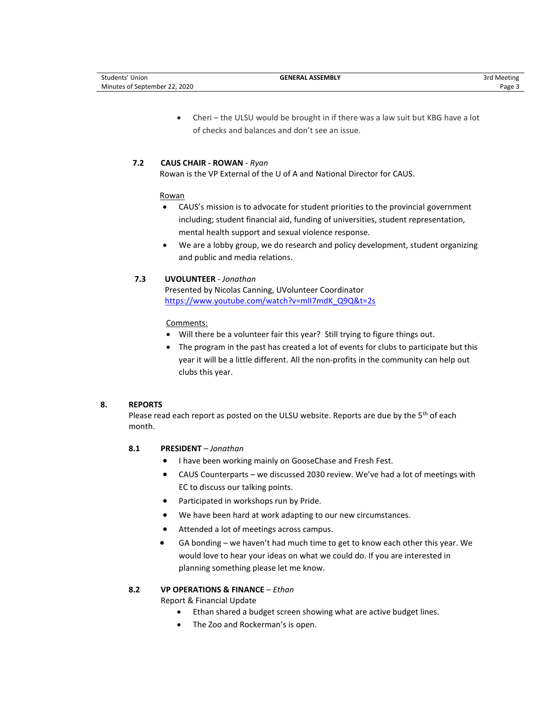• Cheri – the ULSU would be brought in if there was a law suit but KBG have a lot of checks and balances and don't see an issue.

## **7.2 CAUS CHAIR - ROWAN** *- Ryan*

Rowan is the VP External of the U of A and National Director for CAUS.

#### Rowan

- CAUS's mission is to advocate for student priorities to the provincial government including; student financial aid, funding of universities, student representation, mental health support and sexual violence response.
- We are a lobby group, we do research and policy development, student organizing and public and media relations.

## **7.3 UVOLUNTEER** *- Jonathan*

Presented by Nicolas Canning, UVolunteer Coordinator [https://www.youtube.com/watch?v=mlI7mdK\\_Q9Q&t=2s](https://www.youtube.com/watch?v=mlI7mdK_Q9Q&t=2s)

## Comments:

- Will there be a volunteer fair this year? Still trying to figure things out.
- The program in the past has created a lot of events for clubs to participate but this year it will be a little different. All the non-profits in the community can help out clubs this year.

## **8. REPORTS**

Please read each report as posted on the ULSU website. Reports are due by the 5<sup>th</sup> of each month.

## **8.1 PRESIDENT** *– Jonathan*

- I have been working mainly on GooseChase and Fresh Fest.
- CAUS Counterparts we discussed 2030 review. We've had a lot of meetings with EC to discuss our talking points.
- Participated in workshops run by Pride.
- We have been hard at work adapting to our new circumstances.
- Attended a lot of meetings across campus.
- GA bonding we haven't had much time to get to know each other this year. We would love to hear your ideas on what we could do. If you are interested in planning something please let me know.

## **8.2 VP OPERATIONS & FINANCE** *– Ethan*

Report & Financial Update

- Ethan shared a budget screen showing what are active budget lines.
- The Zoo and Rockerman's is open.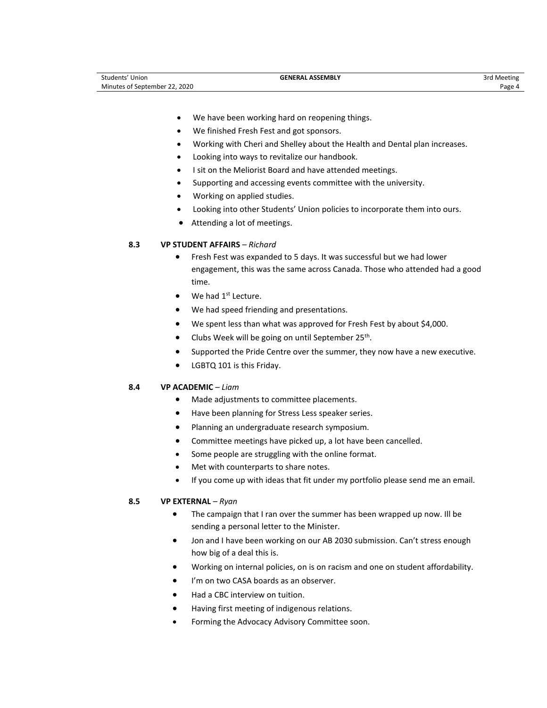- We have been working hard on reopening things.
- We finished Fresh Fest and got sponsors.
- Working with Cheri and Shelley about the Health and Dental plan increases.
- Looking into ways to revitalize our handbook.
- I sit on the Meliorist Board and have attended meetings.
- Supporting and accessing events committee with the university.
- Working on applied studies.
- Looking into other Students' Union policies to incorporate them into ours.
- Attending a lot of meetings.

## **8.3 VP STUDENT AFFAIRS** *– Richard*

- Fresh Fest was expanded to 5 days. It was successful but we had lower engagement, this was the same across Canada. Those who attended had a good time.
- We had 1<sup>st</sup> Lecture.
- We had speed friending and presentations.
- We spent less than what was approved for Fresh Fest by about \$4,000.
- Clubs Week will be going on until September 25<sup>th</sup>.
- Supported the Pride Centre over the summer, they now have a new executive.
- LGBTQ 101 is this Friday.

## **8.4 VP ACADEMIC** *– Liam*

- Made adjustments to committee placements.
- Have been planning for Stress Less speaker series.
- Planning an undergraduate research symposium.
- Committee meetings have picked up, a lot have been cancelled.
- Some people are struggling with the online format.
- Met with counterparts to share notes.
- If you come up with ideas that fit under my portfolio please send me an email.

## **8.5 VP EXTERNAL** *– Ryan*

- The campaign that I ran over the summer has been wrapped up now. Ill be sending a personal letter to the Minister.
- Jon and I have been working on our AB 2030 submission. Can't stress enough how big of a deal this is.
- Working on internal policies, on is on racism and one on student affordability.
- I'm on two CASA boards as an observer.
- Had a CBC interview on tuition.
- Having first meeting of indigenous relations.
- Forming the Advocacy Advisory Committee soon.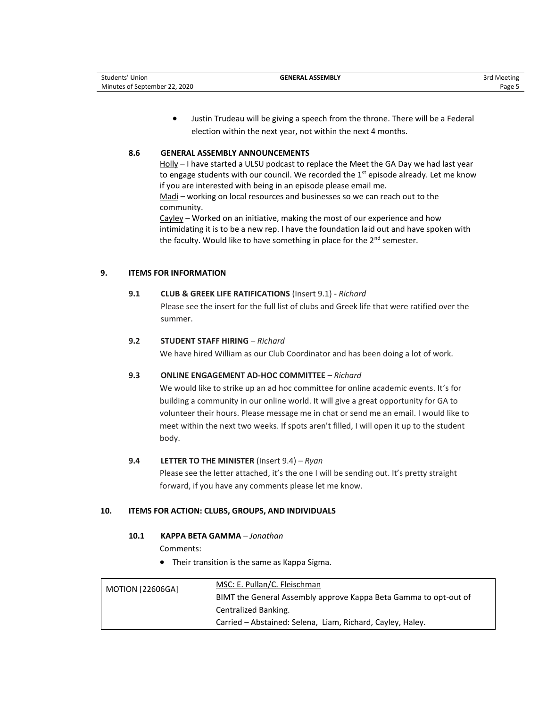| Students' Union               | <b>GENERAL ASSEMBLY</b> | 3rd Meeting |
|-------------------------------|-------------------------|-------------|
| Minutes of September 22, 2020 |                         | Page :      |

• Justin Trudeau will be giving a speech from the throne. There will be a Federal election within the next year, not within the next 4 months.

#### **8.6 GENERAL ASSEMBLY ANNOUNCEMENTS**

Holly – I have started a ULSU podcast to replace the Meet the GA Day we had last year to engage students with our council. We recorded the  $1<sup>st</sup>$  episode already. Let me know if you are interested with being in an episode please email me. Madi – working on local resources and businesses so we can reach out to the community.

Cayley – Worked on an initiative, making the most of our experience and how intimidating it is to be a new rep. I have the foundation laid out and have spoken with the faculty. Would like to have something in place for the 2<sup>nd</sup> semester.

#### **9. ITEMS FOR INFORMATION**

#### **9.1 CLUB & GREEK LIFE RATIFICATIONS** (Insert 9.1) *- Richard*

Please see the insert for the full list of clubs and Greek life that were ratified over the summer.

#### **9.2 STUDENT STAFF HIRING** *– Richard*

We have hired William as our Club Coordinator and has been doing a lot of work.

#### **9.3 ONLINE ENGAGEMENT AD-HOC COMMITTEE** *– Richard*

We would like to strike up an ad hoc committee for online academic events. It's for building a community in our online world. It will give a great opportunity for GA to volunteer their hours. Please message me in chat or send me an email. I would like to meet within the next two weeks. If spots aren't filled, I will open it up to the student body.

#### **9.4 LETTER TO THE MINISTER** (Insert 9.4) *– Ryan*

Please see the letter attached, it's the one I will be sending out. It's pretty straight forward, if you have any comments please let me know.

#### **10. ITEMS FOR ACTION: CLUBS, GROUPS, AND INDIVIDUALS**

#### **10.1 KAPPA BETA GAMMA** *– Jonathan*

Comments:

• Their transition is the same as Kappa Sigma.

| <b>MOTION [22606GA]</b> | MSC: E. Pullan/C. Fleischman                                     |
|-------------------------|------------------------------------------------------------------|
|                         | BIMT the General Assembly approve Kappa Beta Gamma to opt-out of |
|                         | Centralized Banking.                                             |
|                         | Carried - Abstained: Selena, Liam, Richard, Cayley, Haley.       |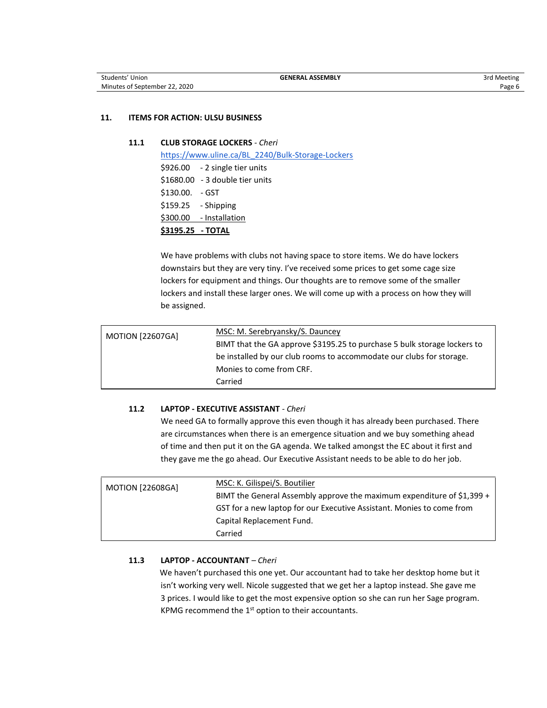## **11. ITEMS FOR ACTION: ULSU BUSINESS**

## **11.1 CLUB STORAGE LOCKERS** *- Cheri*

[https://www.uline.ca/BL\\_2240/Bulk-Storage-Lockers](https://www.uline.ca/BL_2240/Bulk-Storage-Lockers) \$926.00 - 2 single tier units \$1680.00 - 3 double tier units \$130.00. - GST \$159.25 - Shipping \$300.00 - Installation **\$3195.25 - TOTAL**

We have problems with clubs not having space to store items. We do have lockers downstairs but they are very tiny. I've received some prices to get some cage size lockers for equipment and things. Our thoughts are to remove some of the smaller lockers and install these larger ones. We will come up with a process on how they will be assigned.

| <b>MOTION [22607GA]</b> | MSC: M. Serebryansky/S. Dauncey                                          |
|-------------------------|--------------------------------------------------------------------------|
|                         | BIMT that the GA approve \$3195.25 to purchase 5 bulk storage lockers to |
|                         | be installed by our club rooms to accommodate our clubs for storage.     |
|                         | Monies to come from CRF.                                                 |
|                         | Carried                                                                  |

## **11.2 LAPTOP - EXECUTIVE ASSISTANT** *- Cheri*

We need GA to formally approve this even though it has already been purchased. There are circumstances when there is an emergence situation and we buy something ahead of time and then put it on the GA agenda. We talked amongst the EC about it first and they gave me the go ahead. Our Executive Assistant needs to be able to do her job.

| <b>MOTION [22608GA]</b> | MSC: K. Gilispei/S. Boutilier                                          |
|-------------------------|------------------------------------------------------------------------|
|                         | BIMT the General Assembly approve the maximum expenditure of \$1,399 + |
|                         | GST for a new laptop for our Executive Assistant. Monies to come from  |
|                         | Capital Replacement Fund.                                              |
|                         | Carried                                                                |

## **11.3 LAPTOP - ACCOUNTANT** *– Cheri*

We haven't purchased this one yet. Our accountant had to take her desktop home but it isn't working very well. Nicole suggested that we get her a laptop instead. She gave me 3 prices. I would like to get the most expensive option so she can run her Sage program. KPMG recommend the  $1<sup>st</sup>$  option to their accountants.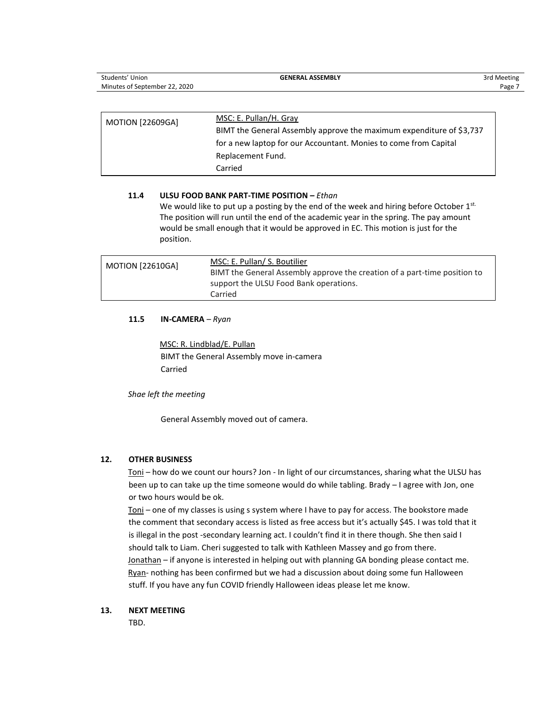| Students'<br>Union                  | . ASSEMBLY<br>GFNFRAL | Meeting |
|-------------------------------------|-----------------------|---------|
| 2020<br>Minutes of<br>. September : |                       | Page    |
|                                     |                       |         |

| <b>MOTION [22609GA]</b> | MSC: E. Pullan/H. Gray                                               |
|-------------------------|----------------------------------------------------------------------|
|                         | BIMT the General Assembly approve the maximum expenditure of \$3,737 |
|                         | for a new laptop for our Accountant. Monies to come from Capital     |
|                         | Replacement Fund.                                                    |
|                         | Carried                                                              |

## **11.4 ULSU FOOD BANK PART-TIME POSITION** *– Ethan*

We would like to put up a posting by the end of the week and hiring before October 1st. The position will run until the end of the academic year in the spring. The pay amount would be small enough that it would be approved in EC. This motion is just for the position.

| <b>MOTION [22610GA]</b> | MSC: E. Pullan/ S. Boutilier<br>BIMT the General Assembly approve the creation of a part-time position to<br>support the ULSU Food Bank operations.<br>Carried |
|-------------------------|----------------------------------------------------------------------------------------------------------------------------------------------------------------|
|                         |                                                                                                                                                                |

## **11.5 IN-CAMERA** *– Ryan*

MSC: R. Lindblad/E. Pullan BIMT the General Assembly move in-camera Carried

*Shae left the meeting*

General Assembly moved out of camera.

## **12. OTHER BUSINESS**

Toni - how do we count our hours? Jon - In light of our circumstances, sharing what the ULSU has been up to can take up the time someone would do while tabling. Brady – I agree with Jon, one or two hours would be ok.

Toni – one of my classes is using s system where I have to pay for access. The bookstore made the comment that secondary access is listed as free access but it's actually \$45. I was told that it is illegal in the post -secondary learning act. I couldn't find it in there though. She then said I should talk to Liam. Cheri suggested to talk with Kathleen Massey and go from there. Jonathan – if anyone is interested in helping out with planning GA bonding please contact me. Ryan- nothing has been confirmed but we had a discussion about doing some fun Halloween stuff. If you have any fun COVID friendly Halloween ideas please let me know.

#### **13. NEXT MEETING**

TBD.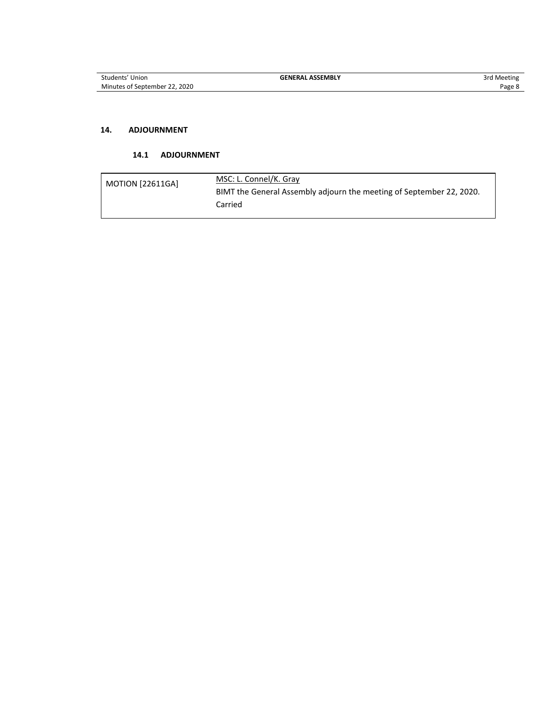| Students'<br>Union                | <b>GENERAL ASSEMBLY</b> | 3rd Meeting   |
|-----------------------------------|-------------------------|---------------|
| 22.2020<br>Minutes of September 2 |                         | Page <i>δ</i> |

## **14. ADJOURNMENT**

## **14.1 ADJOURNMENT**

| <b>MOTION [22611GA]</b> | MSC: L. Connel/K. Gray                                               |
|-------------------------|----------------------------------------------------------------------|
|                         | BIMT the General Assembly adjourn the meeting of September 22, 2020. |
|                         | Carried                                                              |
|                         |                                                                      |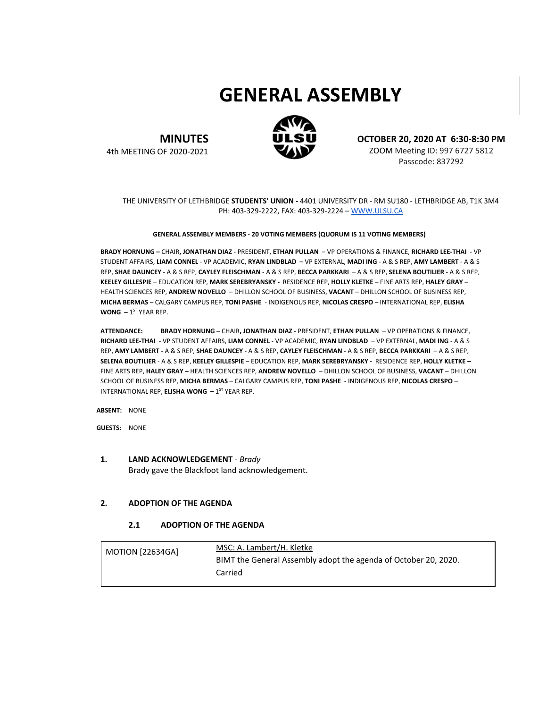# **GENERAL ASSEMBLY**

**MINUTES** 4th MEETING OF 2020-2021



**OCTOBER 20, 2020 AT 6:30-8:30 PM** ZOOM Meeting ID: 997 6727 5812 Passcode: 837292

#### THE UNIVERSITY OF LETHBRIDGE **STUDENTS' UNION -** 4401 UNIVERSITY DR - RM SU180 - LETHBRIDGE AB, T1K 3M4 PH: 403-329-2222, FAX: 403-329-2224 – [WWW.ULSU.CA](http://www.ulsu.ca/)

#### **GENERAL ASSEMBLY MEMBERS - 20 VOTING MEMBERS (QUORUM IS 11 VOTING MEMBERS)**

**BRADY HORNUNG –** CHAIR**, JONATHAN DIAZ** - PRESIDENT, **ETHAN PULLAN** – VP OPERATIONS & FINANCE, **RICHARD LEE-THAI** - VP STUDENT AFFAIRS, **LIAM CONNEL** - VP ACADEMIC, **RYAN LINDBLAD** – VP EXTERNAL, **MADI ING** - A & S REP, **AMY LAMBERT** - A & S REP, **SHAE DAUNCEY** - A & S REP, **CAYLEY FLEISCHMAN** - A & S REP, **BECCA PARKKARI** – A & S REP, **SELENA BOUTILIER** - A & S REP, **KEELEY GILLESPIE** – EDUCATION REP, **MARK SEREBRYANSKY -** RESIDENCE REP, **HOLLY KLETKE –** FINE ARTS REP, **HALEY GRAY –** HEALTH SCIENCES REP, **ANDREW NOVELLO** – DHILLON SCHOOL OF BUSINESS, **VACANT** – DHILLON SCHOOL OF BUSINESS REP, **MICHA BERMAS** – CALGARY CAMPUS REP, **TONI PASHE** - INDIGENOUS REP, **NICOLAS CRESPO** – INTERNATIONAL REP, **ELISHA WONG** – 1<sup>ST</sup> YEAR REP.

**ATTENDANCE: BRADY HORNUNG –** CHAIR**, JONATHAN DIAZ** - PRESIDENT, **ETHAN PULLAN** – VP OPERATIONS & FINANCE, **RICHARD LEE-THAI** - VP STUDENT AFFAIRS, **LIAM CONNEL** - VP ACADEMIC, **RYAN LINDBLAD** – VP EXTERNAL, **MADI ING** - A & S REP, **AMY LAMBERT** - A & S REP, **SHAE DAUNCEY** - A & S REP, **CAYLEY FLEISCHMAN** - A & S REP, **BECCA PARKKARI** – A & S REP, **SELENA BOUTILIER** - A & S REP, **KEELEY GILLESPIE** – EDUCATION REP, **MARK SEREBRYANSKY -** RESIDENCE REP, **HOLLY KLETKE –** FINE ARTS REP, **HALEY GRAY –** HEALTH SCIENCES REP, **ANDREW NOVELLO** – DHILLON SCHOOL OF BUSINESS, **VACANT** – DHILLON SCHOOL OF BUSINESS REP, **MICHA BERMAS** – CALGARY CAMPUS REP, **TONI PASHE** - INDIGENOUS REP, **NICOLAS CRESPO** – INTERNATIONAL REP, **ELISHA WONG** - 1<sup>ST</sup> YEAR REP.

**ABSENT:** NONE

**GUESTS:** NONE

**1. LAND ACKNOWLEDGEMENT** *- Brady* Brady gave the Blackfoot land acknowledgement.

#### **2. ADOPTION OF THE AGENDA**

#### **2.1 ADOPTION OF THE AGENDA**

| MOTION [22634GA] | MSC: A. Lambert/H. Kletke                                       |
|------------------|-----------------------------------------------------------------|
|                  | BIMT the General Assembly adopt the agenda of October 20, 2020. |
|                  | Carried                                                         |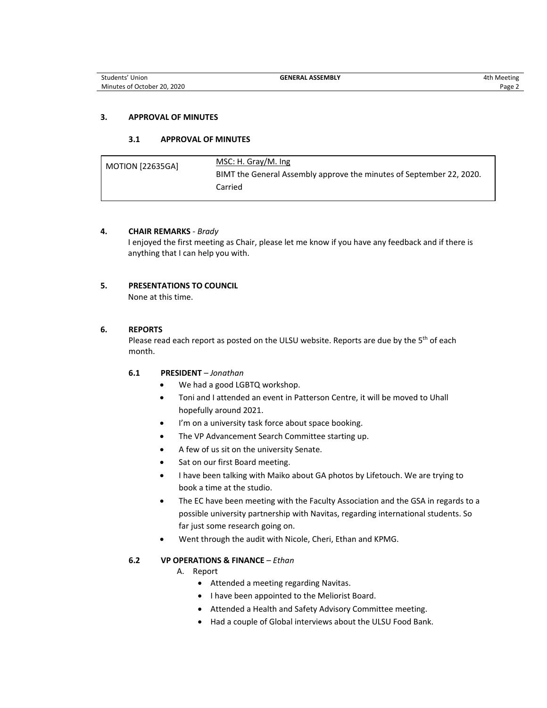| Students' Union             | <b>GENERAL ASSEMBLY</b> | 4th Meeting   |
|-----------------------------|-------------------------|---------------|
| Minutes of October 20, 2020 |                         | $Page \angle$ |

#### **3. APPROVAL OF MINUTES**

#### **3.1 APPROVAL OF MINUTES**

| <b>MOTION [22635GA]</b> | MSC: H. Gray/M. Ing                                                  |  |
|-------------------------|----------------------------------------------------------------------|--|
|                         | BIMT the General Assembly approve the minutes of September 22, 2020. |  |
|                         | Carried                                                              |  |

#### **4. CHAIR REMARKS** *- Brady*

I enjoyed the first meeting as Chair, please let me know if you have any feedback and if there is anything that I can help you with.

#### **5. PRESENTATIONS TO COUNCIL**

None at this time.

#### **6. REPORTS**

Please read each report as posted on the ULSU website. Reports are due by the  $5<sup>th</sup>$  of each month.

#### **6.1 PRESIDENT** *– Jonathan*

- We had a good LGBTQ workshop.
- Toni and I attended an event in Patterson Centre, it will be moved to Uhall hopefully around 2021.
- I'm on a university task force about space booking.
- The VP Advancement Search Committee starting up.
- A few of us sit on the university Senate.
- Sat on our first Board meeting.
- I have been talking with Maiko about GA photos by Lifetouch. We are trying to book a time at the studio.
- The EC have been meeting with the Faculty Association and the GSA in regards to a possible university partnership with Navitas, regarding international students. So far just some research going on.
- Went through the audit with Nicole, Cheri, Ethan and KPMG.

### **6.2 VP OPERATIONS & FINANCE** *– Ethan*

- A. Report
	- Attended a meeting regarding Navitas.
	- I have been appointed to the Meliorist Board.
	- Attended a Health and Safety Advisory Committee meeting.
	- Had a couple of Global interviews about the ULSU Food Bank.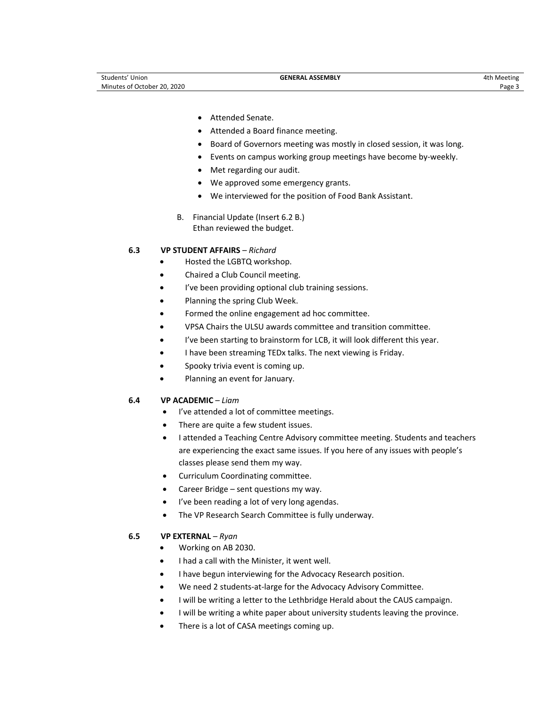- Attended Senate.
- Attended a Board finance meeting.
- Board of Governors meeting was mostly in closed session, it was long.
- Events on campus working group meetings have become by-weekly.
- Met regarding our audit.
- We approved some emergency grants.
- We interviewed for the position of Food Bank Assistant.
- B. Financial Update (Insert 6.2 B.) Ethan reviewed the budget.

#### **6.3 VP STUDENT AFFAIRS** *– Richard*

- Hosted the LGBTQ workshop.
- Chaired a Club Council meeting.
- I've been providing optional club training sessions.
- Planning the spring Club Week.
- Formed the online engagement ad hoc committee.
- VPSA Chairs the ULSU awards committee and transition committee.
- I've been starting to brainstorm for LCB, it will look different this year.
- I have been streaming TEDx talks. The next viewing is Friday.
- Spooky trivia event is coming up.
- Planning an event for January.

## **6.4 VP ACADEMIC** *– Liam*

- I've attended a lot of committee meetings.
- There are quite a few student issues.
- I attended a Teaching Centre Advisory committee meeting. Students and teachers are experiencing the exact same issues. If you here of any issues with people's classes please send them my way.
- Curriculum Coordinating committee.
- Career Bridge sent questions my way.
- I've been reading a lot of very long agendas.
- The VP Research Search Committee is fully underway.

## **6.5 VP EXTERNAL** *– Ryan*

- Working on AB 2030.
- I had a call with the Minister, it went well.
- I have begun interviewing for the Advocacy Research position.
- We need 2 students-at-large for the Advocacy Advisory Committee.
- I will be writing a letter to the Lethbridge Herald about the CAUS campaign.
- I will be writing a white paper about university students leaving the province.
- There is a lot of CASA meetings coming up.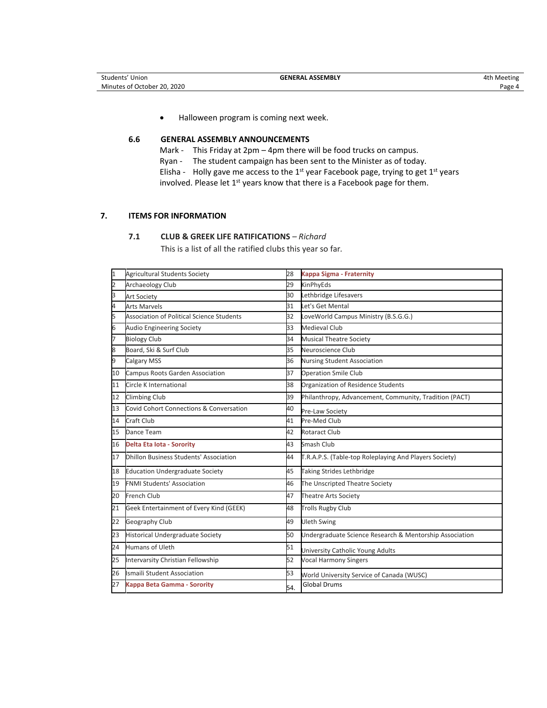• Halloween program is coming next week.

#### **6.6 GENERAL ASSEMBLY ANNOUNCEMENTS**

Mark - This Friday at 2pm – 4pm there will be food trucks on campus. Ryan - The student campaign has been sent to the Minister as of today. Elisha - Holly gave me access to the  $1^{st}$  year Facebook page, trying to get  $1^{st}$  years

involved. Please let  $1<sup>st</sup>$  years know that there is a Facebook page for them.

#### **7. ITEMS FOR INFORMATION**

#### **7.1 CLUB & GREEK LIFE RATIFICATIONS** *– Richard*

This is a list of all the ratified clubs this year so far*.*

| 1              | <b>Agricultural Students Society</b>             | 28  | Kappa Sigma - Fraternity                                |
|----------------|--------------------------------------------------|-----|---------------------------------------------------------|
| $\overline{2}$ | Archaeology Club                                 | 29  | KinPhyEds                                               |
| 3              | <b>Art Society</b>                               | 30  | Lethbridge Lifesavers                                   |
| 4              | <b>Arts Marvels</b>                              | 31  | Let's Get Mental                                        |
| 5              | <b>Association of Political Science Students</b> | 32  | LoveWorld Campus Ministry (B.S.G.G.)                    |
| 6              | <b>Audio Engineering Society</b>                 | 33  | <b>Medieval Club</b>                                    |
| 7              | <b>Biology Club</b>                              | 34  | <b>Musical Theatre Society</b>                          |
| 8              | Board, Ski & Surf Club                           | 35  | Neuroscience Club                                       |
| 9              | Calgary MSS                                      | 36  | <b>Nursing Student Association</b>                      |
| 10             | Campus Roots Garden Association                  | 37  | <b>Operation Smile Club</b>                             |
| 11             | Circle K International                           | 38  | Organization of Residence Students                      |
| 12             | <b>Climbing Club</b>                             | 39  | Philanthropy, Advancement, Community, Tradition (PACT)  |
| 13             | Covid Cohort Connections & Conversation          | 40  | Pre-Law Society                                         |
| 14             | Craft Club                                       | 41  | Pre-Med Club                                            |
| 15             | Dance Team                                       | 42  | <b>Rotaract Club</b>                                    |
| 16             | Delta Eta Iota - Sorority                        | 43  | Smash Club                                              |
| 17             | <b>Dhillon Business Students' Association</b>    | 44  | T.R.A.P.S. (Table-top Roleplaying And Players Society)  |
| 18             | <b>Education Undergraduate Society</b>           | 45  | <b>Taking Strides Lethbridge</b>                        |
| 19             | <b>FNMI Students' Association</b>                | 46  | The Unscripted Theatre Society                          |
| 20             | <b>French Club</b>                               | 47  | Theatre Arts Society                                    |
| 21             | Geek Entertainment of Every Kind (GEEK)          | 48  | <b>Trolls Rugby Club</b>                                |
| 22             | Geography Club                                   | 49  | <b>Uleth Swing</b>                                      |
| 23             | <b>Historical Undergraduate Society</b>          | 50  | Undergraduate Science Research & Mentorship Association |
| 24             | Humans of Uleth                                  | 51  | University Catholic Young Adults                        |
| 25             | Intervarsity Christian Fellowship                | 52  | <b>Vocal Harmony Singers</b>                            |
| 26             | <b>Ismaili Student Association</b>               | 53  | World University Service of Canada (WUSC)               |
| 27             | Kappa Beta Gamma - Sorority                      | 54. | <b>Global Drums</b>                                     |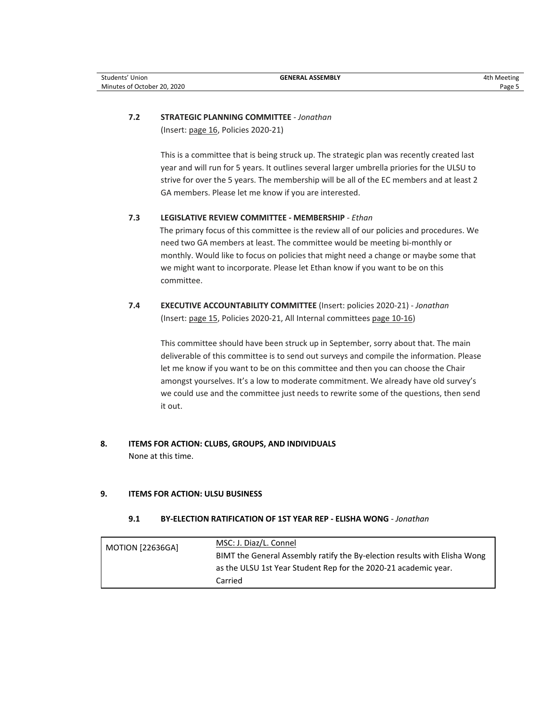## **7.2 STRATEGIC PLANNING COMMITTEE** *- Jonathan* (Insert: page 16, Policies 2020-21)

This is a committee that is being struck up. The strategic plan was recently created last year and will run for 5 years. It outlines several larger umbrella priories for the ULSU to strive for over the 5 years. The membership will be all of the EC members and at least 2 GA members. Please let me know if you are interested.

## **7.3 LEGISLATIVE REVIEW COMMITTEE - MEMBERSHIP** *- Ethan*

The primary focus of this committee is the review all of our policies and procedures. We need two GA members at least. The committee would be meeting bi-monthly or monthly. Would like to focus on policies that might need a change or maybe some that we might want to incorporate. Please let Ethan know if you want to be on this committee.

## **7.4 EXECUTIVE ACCOUNTABILITY COMMITTEE** (Insert: policies 2020-21) - *Jonathan* (Insert: page 15, Policies 2020-21, All Internal committees page 10-16)

This committee should have been struck up in September, sorry about that. The main deliverable of this committee is to send out surveys and compile the information. Please let me know if you want to be on this committee and then you can choose the Chair amongst yourselves. It's a low to moderate commitment. We already have old survey's we could use and the committee just needs to rewrite some of the questions, then send it out.

## **8. ITEMS FOR ACTION: CLUBS, GROUPS, AND INDIVIDUALS**

None at this time.

## **9. ITEMS FOR ACTION: ULSU BUSINESS**

## **9.1 BY-ELECTION RATIFICATION OF 1ST YEAR REP - ELISHA WONG** *- Jonathan*

| <b>MOTION [22636GA]</b> | MSC: J. Diaz/L. Connel                                                    |
|-------------------------|---------------------------------------------------------------------------|
|                         | BIMT the General Assembly ratify the By-election results with Elisha Wong |
|                         | as the ULSU 1st Year Student Rep for the 2020-21 academic year.           |
|                         | Carried                                                                   |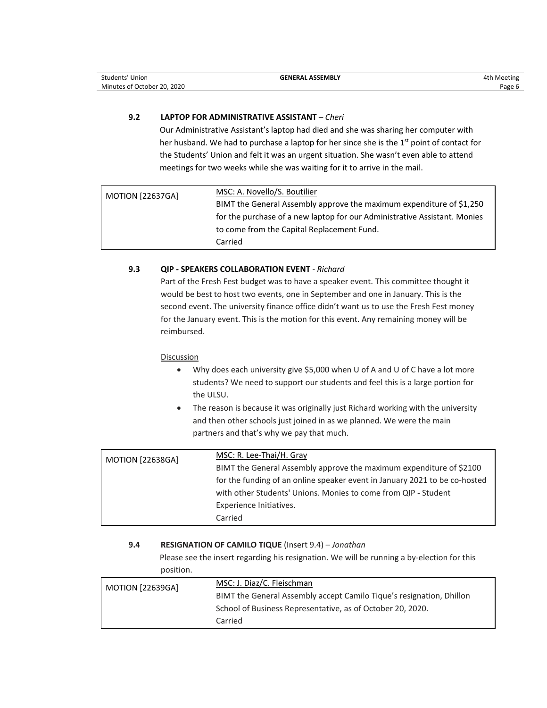| Students'<br>Union<br>____       | <b>GENERAL ASSEMBLY</b> | 4th<br>Meeting |
|----------------------------------|-------------------------|----------------|
| $-20.2020$<br>Minutes of October |                         | Page b         |

## **9.2 LAPTOP FOR ADMINISTRATIVE ASSISTANT** *– Cheri*

Our Administrative Assistant's laptop had died and she was sharing her computer with her husband. We had to purchase a laptop for her since she is the  $1<sup>st</sup>$  point of contact for the Students' Union and felt it was an urgent situation. She wasn't even able to attend meetings for two weeks while she was waiting for it to arrive in the mail.

| <b>MOTION [22637GA]</b> | MSC: A. Novello/S. Boutilier<br>BIMT the General Assembly approve the maximum expenditure of \$1,250<br>for the purchase of a new laptop for our Administrative Assistant. Monies<br>to come from the Capital Replacement Fund. |
|-------------------------|---------------------------------------------------------------------------------------------------------------------------------------------------------------------------------------------------------------------------------|
|                         | Carried                                                                                                                                                                                                                         |

## **9.3 QIP - SPEAKERS COLLABORATION EVENT** *- Richard*

Part of the Fresh Fest budget was to have a speaker event. This committee thought it would be best to host two events, one in September and one in January. This is the second event. The university finance office didn't want us to use the Fresh Fest money for the January event. This is the motion for this event. Any remaining money will be reimbursed.

## Discussion

- Why does each university give \$5,000 when U of A and U of C have a lot more students? We need to support our students and feel this is a large portion for the ULSU.
- The reason is because it was originally just Richard working with the university and then other schools just joined in as we planned. We were the main partners and that's why we pay that much.

| <b>MOTION [22638GA]</b> | MSC: R. Lee-Thai/H. Gray                                                   |
|-------------------------|----------------------------------------------------------------------------|
|                         | BIMT the General Assembly approve the maximum expenditure of \$2100        |
|                         | for the funding of an online speaker event in January 2021 to be co-hosted |
|                         | with other Students' Unions. Monies to come from QIP - Student             |
|                         | Experience Initiatives.                                                    |
|                         | Carried                                                                    |

## **9.4 RESIGNATION OF CAMILO TIQUE** (Insert 9.4) *– Jonathan*

Please see the insert regarding his resignation. We will be running a by-election for this position.

| <b>MOTION [22639GA]</b> | MSC: J. Diaz/C. Fleischman                                           |
|-------------------------|----------------------------------------------------------------------|
|                         | BIMT the General Assembly accept Camilo Tique's resignation, Dhillon |
|                         | School of Business Representative, as of October 20, 2020.           |
|                         | Carried                                                              |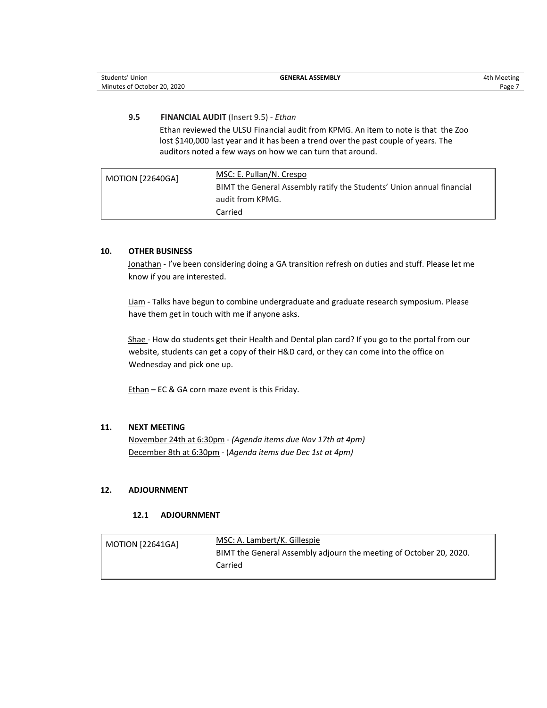| Students' Union             | <b>GENERAL ASSEMBLY</b> | 4th Meeting |
|-----------------------------|-------------------------|-------------|
| Minutes of October 20, 2020 |                         | Page        |

#### **9.5 FINANCIAL AUDIT** (Insert 9.5) *- Ethan*

Ethan reviewed the ULSU Financial audit from KPMG. An item to note is that the Zoo lost \$140,000 last year and it has been a trend over the past couple of years. The auditors noted a few ways on how we can turn that around.

| <b>MOTION [22640GA]</b> | MSC: E. Pullan/N. Crespo                                              |
|-------------------------|-----------------------------------------------------------------------|
|                         | BIMT the General Assembly ratify the Students' Union annual financial |
|                         | audit from KPMG.                                                      |
|                         | Carried                                                               |

## **10. OTHER BUSINESS**

Jonathan - I've been considering doing a GA transition refresh on duties and stuff. Please let me know if you are interested.

Liam - Talks have begun to combine undergraduate and graduate research symposium. Please have them get in touch with me if anyone asks.

Shae - How do students get their Health and Dental plan card? If you go to the portal from our website, students can get a copy of their H&D card, or they can come into the office on Wednesday and pick one up.

Ethan – EC & GA corn maze event is this Friday.

## **11. NEXT MEETING**

November 24th at 6:30pm - *(Agenda items due Nov 17th at 4pm)* December 8th at 6:30pm - (*Agenda items due Dec 1st at 4pm)*

## **12. ADJOURNMENT**

#### **12.1 ADJOURNMENT**

| MOTION [22641GA] | MSC: A. Lambert/K. Gillespie                                       |
|------------------|--------------------------------------------------------------------|
|                  | BIMT the General Assembly adjourn the meeting of October 20, 2020. |
|                  | Carried                                                            |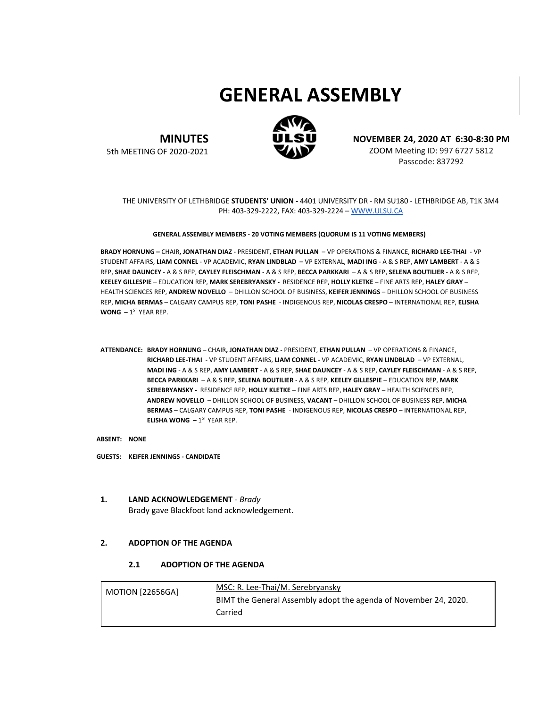# **GENERAL ASSEMBLY**



**MINUTES** 5th MEETING OF 2020-2021 **NOVEMBER 24, 2020 AT 6:30-8:30 PM** ZOOM Meeting ID: 997 6727 5812 Passcode: 837292

THE UNIVERSITY OF LETHBRIDGE **STUDENTS' UNION -** 4401 UNIVERSITY DR - RM SU180 - LETHBRIDGE AB, T1K 3M4 PH: 403-329-2222, FAX: 403-329-2224 – [WWW.ULSU.CA](http://www.ulsu.ca/)

#### **GENERAL ASSEMBLY MEMBERS - 20 VOTING MEMBERS (QUORUM IS 11 VOTING MEMBERS)**

**BRADY HORNUNG –** CHAIR**, JONATHAN DIAZ** - PRESIDENT, **ETHAN PULLAN** – VP OPERATIONS & FINANCE, **RICHARD LEE-THAI** - VP STUDENT AFFAIRS, **LIAM CONNEL** - VP ACADEMIC, **RYAN LINDBLAD** – VP EXTERNAL, **MADI ING** - A & S REP, **AMY LAMBERT** - A & S REP, **SHAE DAUNCEY** - A & S REP, **CAYLEY FLEISCHMAN** - A & S REP, **BECCA PARKKARI** – A & S REP, **SELENA BOUTILIER** - A & S REP, **KEELEY GILLESPIE** – EDUCATION REP, **MARK SEREBRYANSKY -** RESIDENCE REP, **HOLLY KLETKE –** FINE ARTS REP, **HALEY GRAY –** HEALTH SCIENCES REP, **ANDREW NOVELLO** – DHILLON SCHOOL OF BUSINESS, **KEIFER JENNINGS** – DHILLON SCHOOL OF BUSINESS REP, **MICHA BERMAS** – CALGARY CAMPUS REP, **TONI PASHE** - INDIGENOUS REP, **NICOLAS CRESPO** – INTERNATIONAL REP, **ELISHA WONG** – 1<sup>ST</sup> YEAR REP.

**ATTENDANCE: BRADY HORNUNG –** CHAIR**, JONATHAN DIAZ** - PRESIDENT, **ETHAN PULLAN** – VP OPERATIONS & FINANCE, **RICHARD LEE-THAI** - VP STUDENT AFFAIRS, **LIAM CONNEL** - VP ACADEMIC, **RYAN LINDBLAD** – VP EXTERNAL, **MADI ING** - A & S REP, **AMY LAMBERT** - A & S REP, **SHAE DAUNCEY** - A & S REP, **CAYLEY FLEISCHMAN** - A & S REP, **BECCA PARKKARI** – A & S REP, **SELENA BOUTILIER** - A & S REP, **KEELEY GILLESPIE** – EDUCATION REP, **MARK SEREBRYANSKY -** RESIDENCE REP, **HOLLY KLETKE –** FINE ARTS REP, **HALEY GRAY –** HEALTH SCIENCES REP, **ANDREW NOVELLO** – DHILLON SCHOOL OF BUSINESS, **VACANT** – DHILLON SCHOOL OF BUSINESS REP, **MICHA BERMAS** – CALGARY CAMPUS REP, **TONI PASHE** - INDIGENOUS REP, **NICOLAS CRESPO** – INTERNATIONAL REP, **ELISHA WONG – 1<sup>ST</sup> YEAR REP.** 

#### **ABSENT: NONE**

**GUESTS: KEIFER JENNINGS - CANDIDATE**

#### **1. LAND ACKNOWLEDGEMENT** *- Brady* Brady gave Blackfoot land acknowledgement.

#### **2. ADOPTION OF THE AGENDA**

#### **2.1 ADOPTION OF THE AGENDA**

| <b>MOTION [22656GA]</b> | MSC: R. Lee-Thai/M. Serebryansky                                 |
|-------------------------|------------------------------------------------------------------|
|                         | BIMT the General Assembly adopt the agenda of November 24, 2020. |
|                         | Carried                                                          |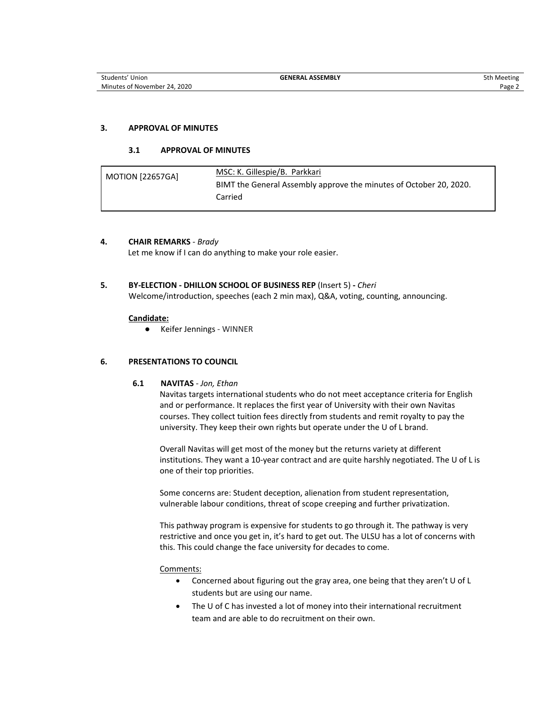| Students' Union              | <b>GENERAL ASSEMBLY</b> | 5th Meeting |
|------------------------------|-------------------------|-------------|
| Minutes of November 24, 2020 |                         | $Page \sim$ |

#### **3. APPROVAL OF MINUTES**

#### **3.1 APPROVAL OF MINUTES**

| <b>MOTION [22657GA]</b> | MSC: K. Gillespie/B. Parkkari                                      |
|-------------------------|--------------------------------------------------------------------|
|                         | BIMT the General Assembly approve the minutes of October 20, 2020. |
|                         | Carried                                                            |

#### **4. CHAIR REMARKS** *- Brady*

Let me know if I can do anything to make your role easier.

**5. BY-ELECTION - DHILLON SCHOOL OF BUSINESS REP** (Insert 5) **-** *Cheri* Welcome/introduction, speeches (each 2 min max), Q&A, voting, counting, announcing.

#### **Candidate:**

● Keifer Jennings - WINNER

#### **6. PRESENTATIONS TO COUNCIL**

#### **6.1 NAVITAS** *- Jon, Ethan*

Navitas targets international students who do not meet acceptance criteria for English and or performance. It replaces the first year of University with their own Navitas courses. They collect tuition fees directly from students and remit royalty to pay the university. They keep their own rights but operate under the U of L brand.

Overall Navitas will get most of the money but the returns variety at different institutions. They want a 10-year contract and are quite harshly negotiated. The U of L is one of their top priorities.

Some concerns are: Student deception, alienation from student representation, vulnerable labour conditions, threat of scope creeping and further privatization.

This pathway program is expensive for students to go through it. The pathway is very restrictive and once you get in, it's hard to get out. The ULSU has a lot of concerns with this. This could change the face university for decades to come.

#### Comments:

- Concerned about figuring out the gray area, one being that they aren't U of L students but are using our name.
- The U of C has invested a lot of money into their international recruitment team and are able to do recruitment on their own.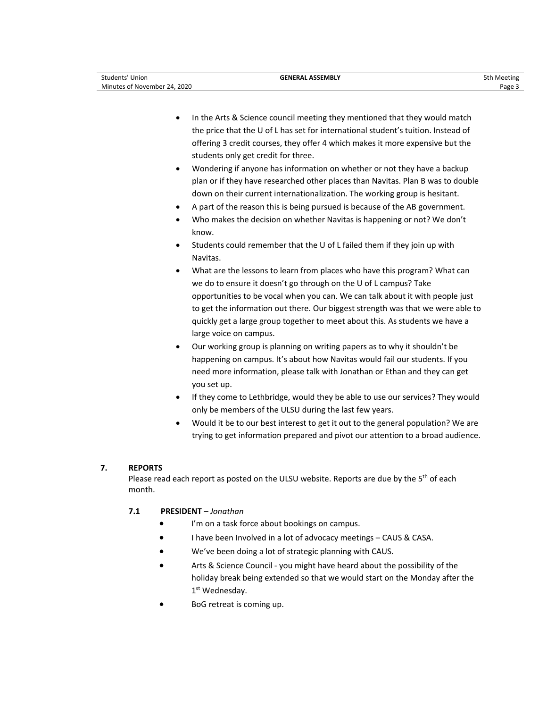- In the Arts & Science council meeting they mentioned that they would match the price that the U of L has set for international student's tuition. Instead of offering 3 credit courses, they offer 4 which makes it more expensive but the students only get credit for three.
- Wondering if anyone has information on whether or not they have a backup plan or if they have researched other places than Navitas. Plan B was to double down on their current internationalization. The working group is hesitant.
- A part of the reason this is being pursued is because of the AB government.
- Who makes the decision on whether Navitas is happening or not? We don't know.
- Students could remember that the U of L failed them if they join up with Navitas.
- What are the lessons to learn from places who have this program? What can we do to ensure it doesn't go through on the U of L campus? Take opportunities to be vocal when you can. We can talk about it with people just to get the information out there. Our biggest strength was that we were able to quickly get a large group together to meet about this. As students we have a large voice on campus.
- Our working group is planning on writing papers as to why it shouldn't be happening on campus. It's about how Navitas would fail our students. If you need more information, please talk with Jonathan or Ethan and they can get you set up.
- If they come to Lethbridge, would they be able to use our services? They would only be members of the ULSU during the last few years.
- Would it be to our best interest to get it out to the general population? We are trying to get information prepared and pivot our attention to a broad audience.

## **7. REPORTS**

Please read each report as posted on the ULSU website. Reports are due by the 5<sup>th</sup> of each month.

## **7.1 PRESIDENT** *– Jonathan*

- I'm on a task force about bookings on campus.
- I have been Involved in a lot of advocacy meetings CAUS & CASA.
- We've been doing a lot of strategic planning with CAUS.
- Arts & Science Council you might have heard about the possibility of the holiday break being extended so that we would start on the Monday after the 1st Wednesday.
- BoG retreat is coming up.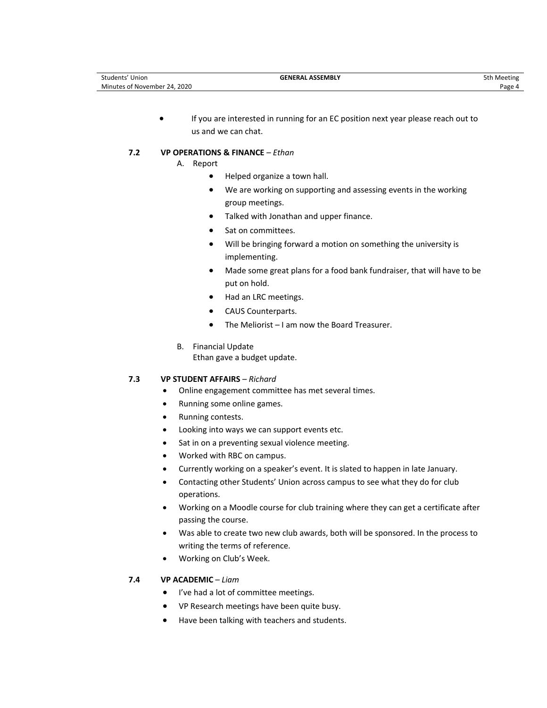• If you are interested in running for an EC position next year please reach out to us and we can chat.

## **7.2 VP OPERATIONS & FINANCE** *– Ethan*

A. Report

- Helped organize a town hall.
- We are working on supporting and assessing events in the working group meetings.
- Talked with Jonathan and upper finance.
- Sat on committees.
- Will be bringing forward a motion on something the university is implementing.
- Made some great plans for a food bank fundraiser, that will have to be put on hold.
- Had an LRC meetings.
- CAUS Counterparts.
- The Meliorist I am now the Board Treasurer.

#### B. Financial Update

Ethan gave a budget update.

## **7.3 VP STUDENT AFFAIRS** *– Richard*

- Online engagement committee has met several times.
- Running some online games.
- Running contests.
- Looking into ways we can support events etc.
- Sat in on a preventing sexual violence meeting.
- Worked with RBC on campus.
- Currently working on a speaker's event. It is slated to happen in late January.
- Contacting other Students' Union across campus to see what they do for club operations.
- Working on a Moodle course for club training where they can get a certificate after passing the course.
- Was able to create two new club awards, both will be sponsored. In the process to writing the terms of reference.
- Working on Club's Week.

#### **7.4 VP ACADEMIC** *– Liam*

- I've had a lot of committee meetings.
- VP Research meetings have been quite busy.
- Have been talking with teachers and students.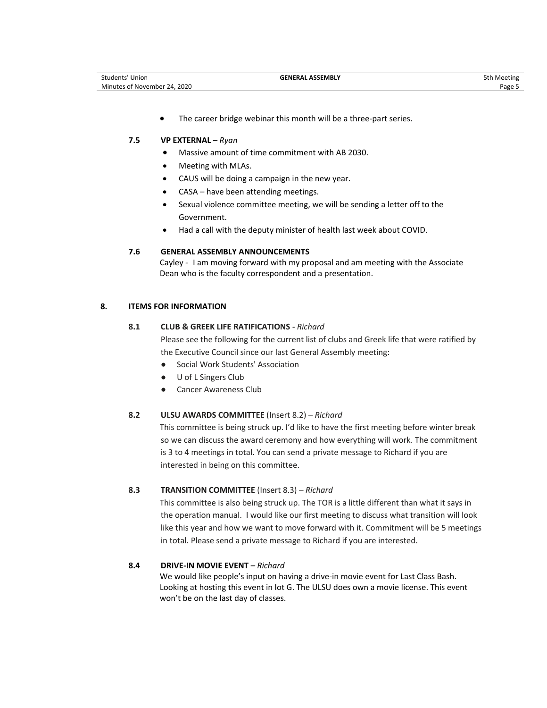• The career bridge webinar this month will be a three-part series.

## **7.5 VP EXTERNAL** *– Ryan*

- Massive amount of time commitment with AB 2030.
- Meeting with MLAs.
- CAUS will be doing a campaign in the new year.
- CASA have been attending meetings.
- Sexual violence committee meeting, we will be sending a letter off to the Government.
- Had a call with the deputy minister of health last week about COVID.

## **7.6 GENERAL ASSEMBLY ANNOUNCEMENTS**

Cayley - I am moving forward with my proposal and am meeting with the Associate Dean who is the faculty correspondent and a presentation.

## **8. ITEMS FOR INFORMATION**

## **8.1 CLUB & GREEK LIFE RATIFICATIONS** *- Richard*

Please see the following for the current list of clubs and Greek life that were ratified by the Executive Council since our last General Assembly meeting:

- Social Work Students' Association
- U of L Singers Club
- Cancer Awareness Club

## **8.2 ULSU AWARDS COMMITTEE** (Insert 8.2) *– Richard*

This committee is being struck up. I'd like to have the first meeting before winter break so we can discuss the award ceremony and how everything will work. The commitment is 3 to 4 meetings in total. You can send a private message to Richard if you are interested in being on this committee.

## **8.3 TRANSITION COMMITTEE** (Insert 8.3) *– Richard*

This committee is also being struck up. The TOR is a little different than what it says in the operation manual. I would like our first meeting to discuss what transition will look like this year and how we want to move forward with it. Commitment will be 5 meetings in total. Please send a private message to Richard if you are interested.

## **8.4 DRIVE-IN MOVIE EVENT** *– Richard*

We would like people's input on having a drive-in movie event for Last Class Bash. Looking at hosting this event in lot G. The ULSU does own a movie license. This event won't be on the last day of classes.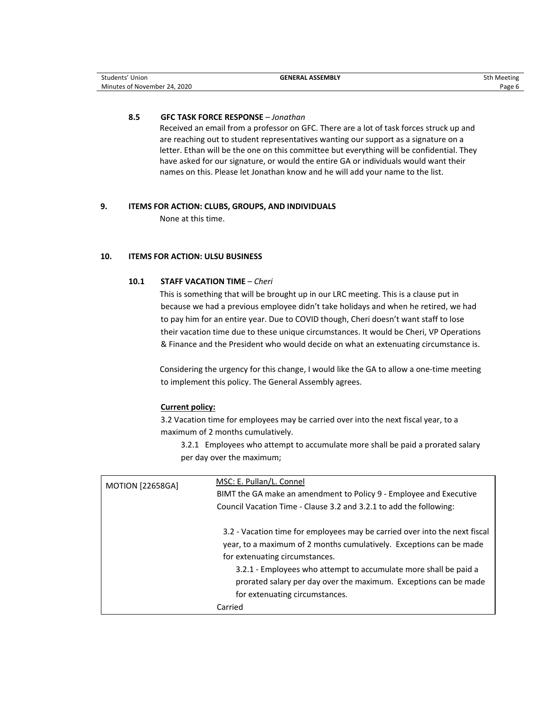## **8.5 GFC TASK FORCE RESPONSE** *– Jonathan*

Received an email from a professor on GFC. There are a lot of task forces struck up and are reaching out to student representatives wanting our support as a signature on a letter. Ethan will be the one on this committee but everything will be confidential. They have asked for our signature, or would the entire GA or individuals would want their names on this. Please let Jonathan know and he will add your name to the list.

#### **9. ITEMS FOR ACTION: CLUBS, GROUPS, AND INDIVIDUALS**

None at this time.

#### **10. ITEMS FOR ACTION: ULSU BUSINESS**

## **10.1 STAFF VACATION TIME** – *Cheri*

This is something that will be brought up in our LRC meeting. This is a clause put in because we had a previous employee didn't take holidays and when he retired, we had to pay him for an entire year. Due to COVID though, Cheri doesn't want staff to lose their vacation time due to these unique circumstances. It would be Cheri, VP Operations & Finance and the President who would decide on what an extenuating circumstance is.

Considering the urgency for this change, I would like the GA to allow a one-time meeting to implement this policy. The General Assembly agrees.

## **Current policy:**

3.2 Vacation time for employees may be carried over into the next fiscal year, to a maximum of 2 months cumulatively.

3.2.1 Employees who attempt to accumulate more shall be paid a prorated salary per day over the maximum;

| <b>MOTION [22658GA]</b> | MSC: E. Pullan/L. Connel                                                                                                                          |
|-------------------------|---------------------------------------------------------------------------------------------------------------------------------------------------|
|                         | BIMT the GA make an amendment to Policy 9 - Employee and Executive                                                                                |
|                         | Council Vacation Time - Clause 3.2 and 3.2.1 to add the following:                                                                                |
|                         | 3.2 - Vacation time for employees may be carried over into the next fiscal<br>year, to a maximum of 2 months cumulatively. Exceptions can be made |
|                         | for extenuating circumstances.                                                                                                                    |
|                         | 3.2.1 - Employees who attempt to accumulate more shall be paid a                                                                                  |
|                         | prorated salary per day over the maximum. Exceptions can be made                                                                                  |
|                         | for extenuating circumstances.                                                                                                                    |
|                         | Carried                                                                                                                                           |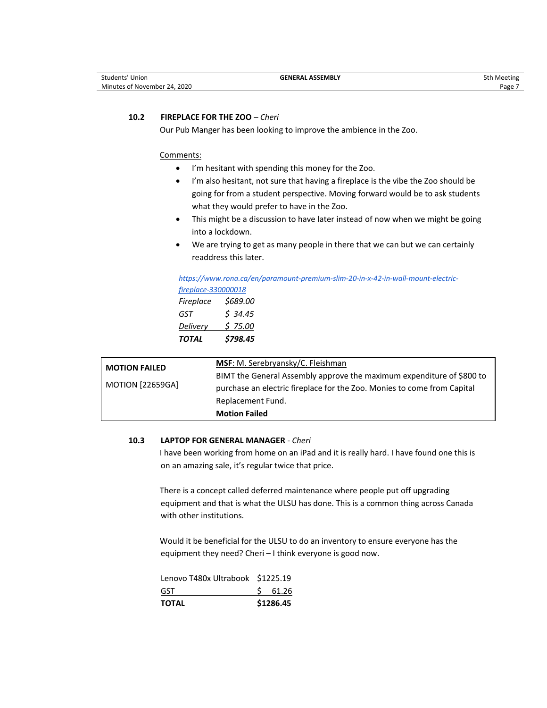# **10.2 FIREPLACE FOR THE ZOO** *– Cheri*

Our Pub Manger has been looking to improve the ambience in the Zoo.

Comments:

- I'm hesitant with spending this money for the Zoo.
- I'm also hesitant, not sure that having a fireplace is the vibe the Zoo should be going for from a student perspective. Moving forward would be to ask students what they would prefer to have in the Zoo.
- This might be a discussion to have later instead of now when we might be going into a lockdown.
- We are trying to get as many people in there that we can but we can certainly readdress this later.

| <b>MOTION FAILED</b>    | MSF: M. Serebryansky/C. Fleishman                                       |
|-------------------------|-------------------------------------------------------------------------|
|                         | BIMT the General Assembly approve the maximum expenditure of \$800 to   |
| <b>MOTION [22659GA]</b> | purchase an electric fireplace for the Zoo. Monies to come from Capital |
|                         | Replacement Fund.                                                       |
|                         | <b>Motion Failed</b>                                                    |
|                         |                                                                         |

# **10.3 LAPTOP FOR GENERAL MANAGER** *- Cheri*

I have been working from home on an iPad and it is really hard. I have found one this is on an amazing sale, it's regular twice that price.

There is a concept called deferred maintenance where people put off upgrading equipment and that is what the ULSU has done. This is a common thing across Canada with other institutions.

Would it be beneficial for the ULSU to do an inventory to ensure everyone has the equipment they need? Cheri – I think everyone is good now.

| <b>TOTAL</b>                     | \$1286.45 |
|----------------------------------|-----------|
| <b>GST</b>                       | \$61.26   |
| Lenovo T480x Ultrabook \$1225.19 |           |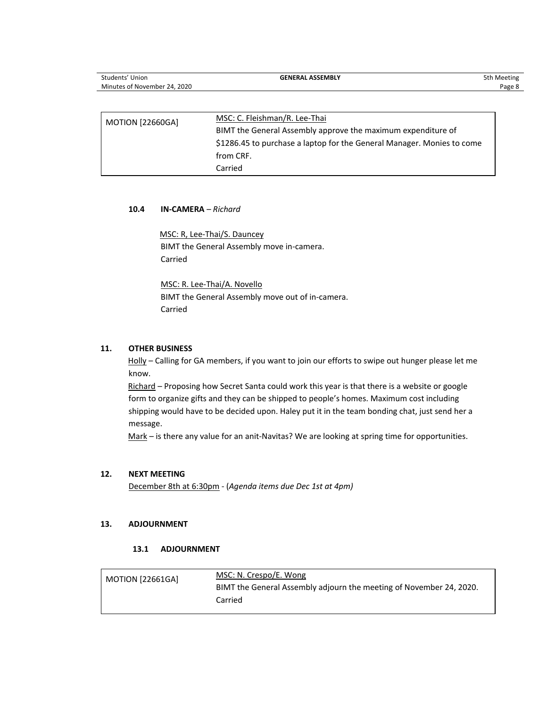| Students'<br>' Union         | <b>GENERAL ASSEMBLY</b> | 5th Meeting |
|------------------------------|-------------------------|-------------|
| Minutes of November 24, 2020 |                         | Page 8      |

| <b>MOTION [22660GA]</b> | MSC: C. Fleishman/R. Lee-Thai                                          |
|-------------------------|------------------------------------------------------------------------|
|                         | BIMT the General Assembly approve the maximum expenditure of           |
|                         | \$1286.45 to purchase a laptop for the General Manager. Monies to come |
|                         | from CRF.                                                              |
|                         | Carried                                                                |

# **10.4 IN-CAMERA** *– Richard*

MSC: R, Lee-Thai/S. Dauncey BIMT the General Assembly move in-camera. Carried

MSC: R. Lee-Thai/A. Novello BIMT the General Assembly move out of in-camera. Carried

# **11. OTHER BUSINESS**

Holly - Calling for GA members, if you want to join our efforts to swipe out hunger please let me know.

Richard – Proposing how Secret Santa could work this year is that there is a website or google form to organize gifts and they can be shipped to people's homes. Maximum cost including shipping would have to be decided upon. Haley put it in the team bonding chat, just send her a message.

Mark – is there any value for an anit-Navitas? We are looking at spring time for opportunities.

#### **12. NEXT MEETING**

December 8th at 6:30pm - (*Agenda items due Dec 1st at 4pm)*

#### **13. ADJOURNMENT**

#### **13.1 ADJOURNMENT**

| MOTION [22661GA] | MSC: N. Crespo/E. Wong                                              |
|------------------|---------------------------------------------------------------------|
|                  | BIMT the General Assembly adjourn the meeting of November 24, 2020. |
|                  | Carried                                                             |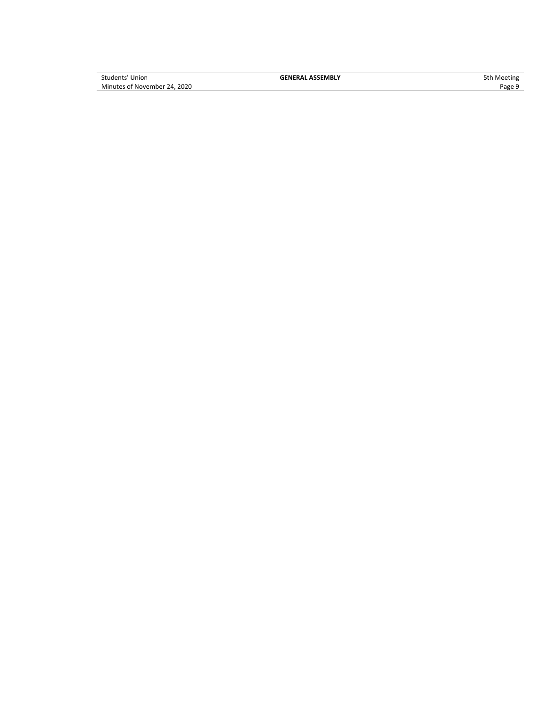**GENERAL ASSEMBLY** 5th Meeting Minutes of November 24, 2020

Page 9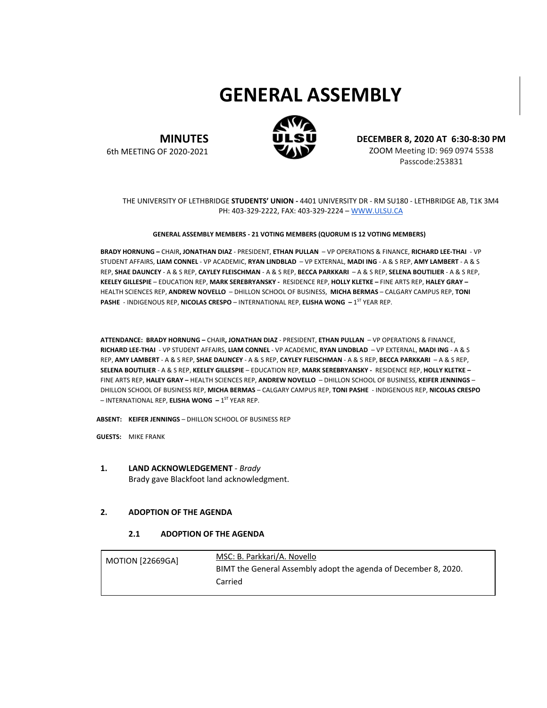# **GENERAL ASSEMBLY**



**MINUTES** 6th MEETING OF 2020-2021

**DECEMBER 8, 2020 AT 6:30-8:30 PM** ZOOM Meeting ID: 969 0974 5538 Passcode:253831

#### THE UNIVERSITY OF LETHBRIDGE **STUDENTS' UNION -** 4401 UNIVERSITY DR - RM SU180 - LETHBRIDGE AB, T1K 3M4 PH: 403-329-2222, FAX: 403-329-2224 – [WWW.ULSU.CA](http://www.ulsu.ca/)

#### **GENERAL ASSEMBLY MEMBERS - 21 VOTING MEMBERS (QUORUM IS 12 VOTING MEMBERS)**

**BRADY HORNUNG –** CHAIR**, JONATHAN DIAZ** - PRESIDENT, **ETHAN PULLAN** – VP OPERATIONS & FINANCE, **RICHARD LEE-THAI** - VP STUDENT AFFAIRS, **LIAM CONNEL** - VP ACADEMIC, **RYAN LINDBLAD** – VP EXTERNAL, **MADI ING** - A & S REP, **AMY LAMBERT** - A & S REP, **SHAE DAUNCEY** - A & S REP, **CAYLEY FLEISCHMAN** - A & S REP, **BECCA PARKKARI** – A & S REP, **SELENA BOUTILIER** - A & S REP, **KEELEY GILLESPIE** – EDUCATION REP, **MARK SEREBRYANSKY -** RESIDENCE REP, **HOLLY KLETKE –** FINE ARTS REP, **HALEY GRAY –** HEALTH SCIENCES REP, **ANDREW NOVELLO** – DHILLON SCHOOL OF BUSINESS, **MICHA BERMAS** – CALGARY CAMPUS REP, **TONI PASHE** - INDIGENOUS REP, **NICOLAS CRESPO** – INTERNATIONAL REP, **ELISHA WONG –** 1ST YEAR REP.

**ATTENDANCE: BRADY HORNUNG –** CHAIR**, JONATHAN DIAZ** - PRESIDENT, **ETHAN PULLAN** – VP OPERATIONS & FINANCE, **RICHARD LEE-THAI** - VP STUDENT AFFAIRS, **LIAM CONNEL** - VP ACADEMIC, **RYAN LINDBLAD** – VP EXTERNAL, **MADI ING** - A & S REP, **AMY LAMBERT** - A & S REP, **SHAE DAUNCEY** - A & S REP, **CAYLEY FLEISCHMAN** - A & S REP, **BECCA PARKKARI** – A & S REP, **SELENA BOUTILIER** - A & S REP, **KEELEY GILLESPIE** – EDUCATION REP, **MARK SEREBRYANSKY -** RESIDENCE REP, **HOLLY KLETKE –** FINE ARTS REP, **HALEY GRAY –** HEALTH SCIENCES REP, **ANDREW NOVELLO** – DHILLON SCHOOL OF BUSINESS, **KEIFER JENNINGS** – DHILLON SCHOOL OF BUSINESS REP, **MICHA BERMAS** – CALGARY CAMPUS REP, **TONI PASHE** - INDIGENOUS REP, **NICOLAS CRESPO**  – INTERNATIONAL REP, **ELISHA WONG –** 1ST YEAR REP.

**ABSENT: KEIFER JENNINGS** – DHILLON SCHOOL OF BUSINESS REP

**GUESTS:** MIKE FRANK

**1. LAND ACKNOWLEDGEMENT** *- Brady* Brady gave Blackfoot land acknowledgment.

# **2. ADOPTION OF THE AGENDA**

# **2.1 ADOPTION OF THE AGENDA**

| MOTION [22669GA] | MSC: B. Parkkari/A. Novello                                     |
|------------------|-----------------------------------------------------------------|
|                  | BIMT the General Assembly adopt the agenda of December 8, 2020. |
|                  | Carried                                                         |
|                  |                                                                 |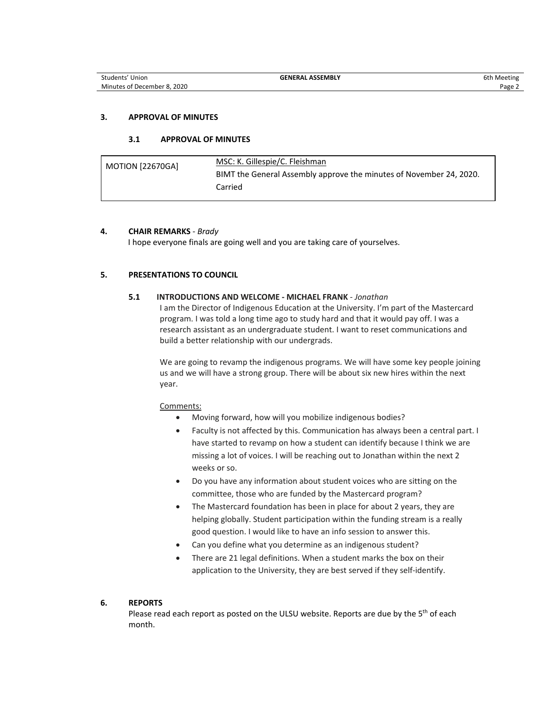| Students' Union             | <b>GENERAL ASSEMBLY</b> | 6th Meeting    |
|-----------------------------|-------------------------|----------------|
| Minutes of December 8, 2020 |                         | $P$ age $\sim$ |

# **3. APPROVAL OF MINUTES**

#### **3.1 APPROVAL OF MINUTES**

| <b>MOTION [22670GA]</b> | MSC: K. Gillespie/C. Fleishman                                      |
|-------------------------|---------------------------------------------------------------------|
|                         | BIMT the General Assembly approve the minutes of November 24, 2020. |
|                         | Carried                                                             |

#### **4. CHAIR REMARKS** *- Brady*

I hope everyone finals are going well and you are taking care of yourselves.

# **5. PRESENTATIONS TO COUNCIL**

# **5.1 INTRODUCTIONS AND WELCOME - MICHAEL FRANK** *- Jonathan*

I am the Director of Indigenous Education at the University. I'm part of the Mastercard program. I was told a long time ago to study hard and that it would pay off. I was a research assistant as an undergraduate student. I want to reset communications and build a better relationship with our undergrads.

We are going to revamp the indigenous programs. We will have some key people joining us and we will have a strong group. There will be about six new hires within the next year.

#### Comments:

- Moving forward, how will you mobilize indigenous bodies?
- Faculty is not affected by this. Communication has always been a central part. I have started to revamp on how a student can identify because I think we are missing a lot of voices. I will be reaching out to Jonathan within the next 2 weeks or so.
- Do you have any information about student voices who are sitting on the committee, those who are funded by the Mastercard program?
- The Mastercard foundation has been in place for about 2 years, they are helping globally. Student participation within the funding stream is a really good question. I would like to have an info session to answer this.
- Can you define what you determine as an indigenous student?
- There are 21 legal definitions. When a student marks the box on their application to the University, they are best served if they self-identify.

#### **6. REPORTS**

Please read each report as posted on the ULSU website. Reports are due by the 5<sup>th</sup> of each month.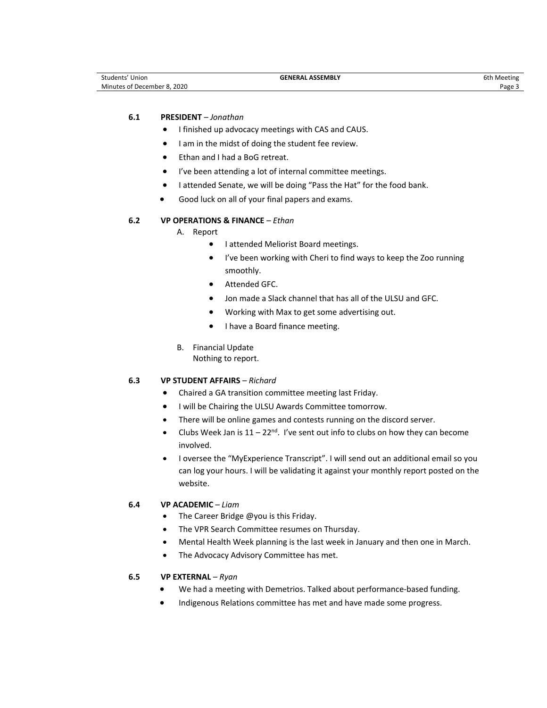# **6.1 PRESIDENT** *– Jonathan*

- I finished up advocacy meetings with CAS and CAUS.
- I am in the midst of doing the student fee review.
- Ethan and I had a BoG retreat.
- I've been attending a lot of internal committee meetings.
- I attended Senate, we will be doing "Pass the Hat" for the food bank.
- Good luck on all of your final papers and exams.

# **6.2 VP OPERATIONS & FINANCE** *– Ethan*

A. Report

- I attended Meliorist Board meetings.
- I've been working with Cheri to find ways to keep the Zoo running smoothly.
- Attended GFC.
- Jon made a Slack channel that has all of the ULSU and GFC.
- Working with Max to get some advertising out.
- I have a Board finance meeting.

# B. Financial Update Nothing to report.

# **6.3 VP STUDENT AFFAIRS** *– Richard*

- Chaired a GA transition committee meeting last Friday.
- I will be Chairing the ULSU Awards Committee tomorrow.
- There will be online games and contests running on the discord server.
- Clubs Week Jan is  $11 22^{nd}$ . I've sent out info to clubs on how they can become involved.
- I oversee the "MyExperience Transcript". I will send out an additional email so you can log your hours. I will be validating it against your monthly report posted on the website.

# **6.4 VP ACADEMIC** *– Liam*

- The Career Bridge @you is this Friday.
- The VPR Search Committee resumes on Thursday.
- Mental Health Week planning is the last week in January and then one in March.
- The Advocacy Advisory Committee has met.

# **6.5 VP EXTERNAL** *– Ryan*

- We had a meeting with Demetrios. Talked about performance-based funding.
- Indigenous Relations committee has met and have made some progress.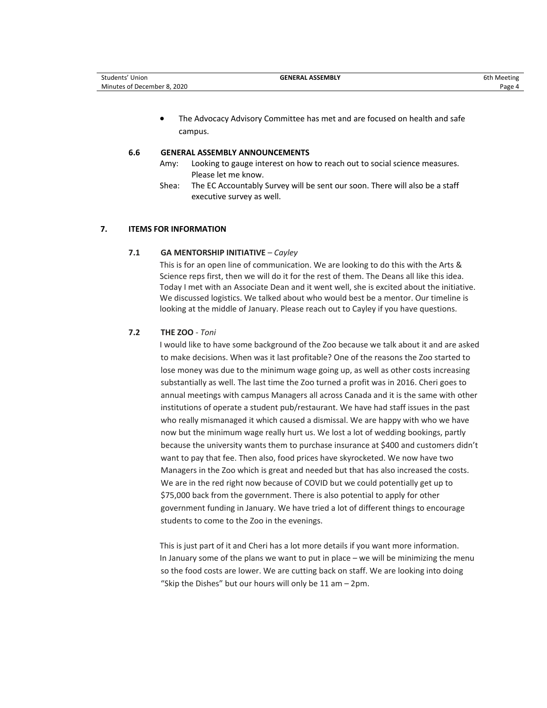| Students' Union             | <b>GENERAL ASSEMBLY</b> | 6th Meeting |
|-----------------------------|-------------------------|-------------|
| Minutes of December 8, 2020 |                         | Page 4      |

• The Advocacy Advisory Committee has met and are focused on health and safe campus.

#### **6.6 GENERAL ASSEMBLY ANNOUNCEMENTS**

- Amy: Looking to gauge interest on how to reach out to social science measures. Please let me know.
- Shea: The EC Accountably Survey will be sent our soon. There will also be a staff executive survey as well.

#### **7. ITEMS FOR INFORMATION**

#### **7.1 GA MENTORSHIP INITIATIVE** *– Cayley*

This is for an open line of communication. We are looking to do this with the Arts & Science reps first, then we will do it for the rest of them. The Deans all like this idea. Today I met with an Associate Dean and it went well, she is excited about the initiative. We discussed logistics. We talked about who would best be a mentor. Our timeline is looking at the middle of January. Please reach out to Cayley if you have questions.

#### **7.2 THE ZOO** - *Toni*

I would like to have some background of the Zoo because we talk about it and are asked to make decisions. When was it last profitable? One of the reasons the Zoo started to lose money was due to the minimum wage going up, as well as other costs increasing substantially as well. The last time the Zoo turned a profit was in 2016. Cheri goes to annual meetings with campus Managers all across Canada and it is the same with other institutions of operate a student pub/restaurant. We have had staff issues in the past who really mismanaged it which caused a dismissal. We are happy with who we have now but the minimum wage really hurt us. We lost a lot of wedding bookings, partly because the university wants them to purchase insurance at \$400 and customers didn't want to pay that fee. Then also, food prices have skyrocketed. We now have two Managers in the Zoo which is great and needed but that has also increased the costs. We are in the red right now because of COVID but we could potentially get up to \$75,000 back from the government. There is also potential to apply for other government funding in January. We have tried a lot of different things to encourage students to come to the Zoo in the evenings.

This is just part of it and Cheri has a lot more details if you want more information. In January some of the plans we want to put in place  $-$  we will be minimizing the menu so the food costs are lower. We are cutting back on staff. We are looking into doing "Skip the Dishes" but our hours will only be  $11$  am  $-2$ pm.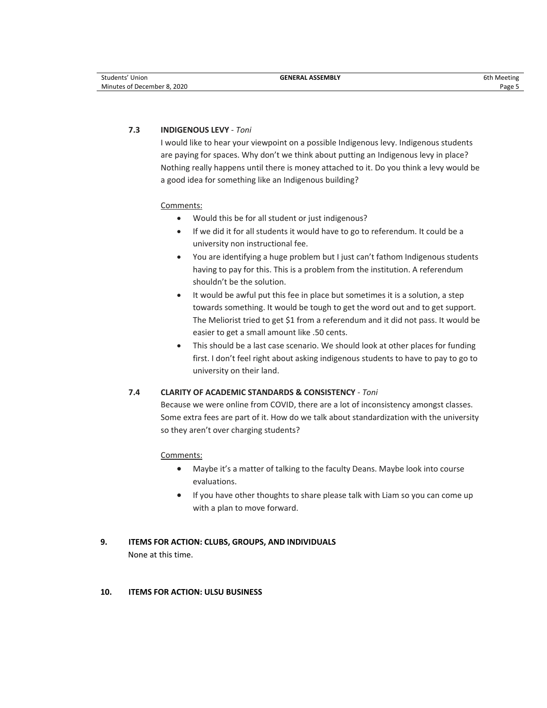I would like to hear your viewpoint on a possible Indigenous levy. Indigenous students are paying for spaces. Why don't we think about putting an Indigenous levy in place? Nothing really happens until there is money attached to it. Do you think a levy would be a good idea for something like an Indigenous building?

# Comments:

- Would this be for all student or just indigenous?
- If we did it for all students it would have to go to referendum. It could be a university non instructional fee.
- You are identifying a huge problem but I just can't fathom Indigenous students having to pay for this. This is a problem from the institution. A referendum shouldn't be the solution.
- It would be awful put this fee in place but sometimes it is a solution, a step towards something. It would be tough to get the word out and to get support. The Meliorist tried to get \$1 from a referendum and it did not pass. It would be easier to get a small amount like .50 cents.
- This should be a last case scenario. We should look at other places for funding first. I don't feel right about asking indigenous students to have to pay to go to university on their land.

# **7.4 CLARITY OF ACADEMIC STANDARDS & CONSISTENCY** *- Toni*

Because we were online from COVID, there are a lot of inconsistency amongst classes. Some extra fees are part of it. How do we talk about standardization with the university so they aren't over charging students?

# Comments:

- Maybe it's a matter of talking to the faculty Deans. Maybe look into course evaluations.
- If you have other thoughts to share please talk with Liam so you can come up with a plan to move forward.

# **9. ITEMS FOR ACTION: CLUBS, GROUPS, AND INDIVIDUALS** None at this time.

# **10. ITEMS FOR ACTION: ULSU BUSINESS**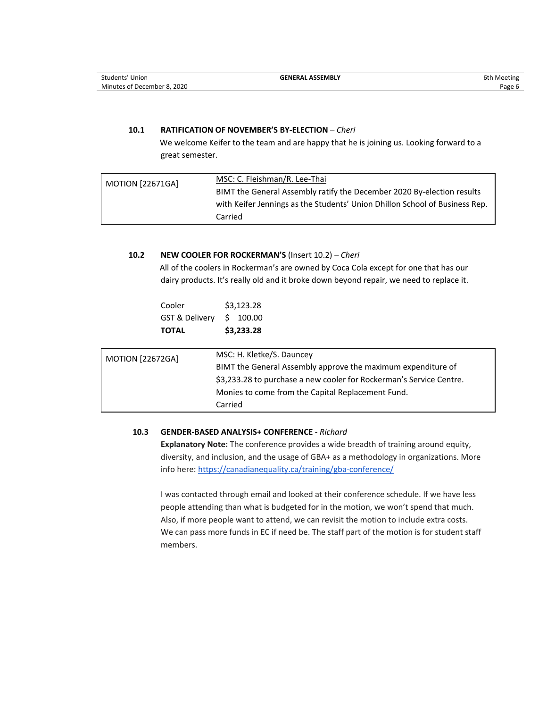| Students' Union             | <b>GENERAL ASSEMBLY</b> | 6th Meeting        |
|-----------------------------|-------------------------|--------------------|
| Minutes of December 8, 2020 |                         | <sup>o</sup> age b |

#### **10.1 RATIFICATION OF NOVEMBER'S BY-ELECTION** – *Cheri*

We welcome Keifer to the team and are happy that he is joining us. Looking forward to a great semester.

| <b>MOTION [22671GA]</b> | MSC: C. Fleishman/R. Lee-Thai                                               |
|-------------------------|-----------------------------------------------------------------------------|
|                         | BIMT the General Assembly ratify the December 2020 By-election results      |
|                         | with Keifer Jennings as the Students' Union Dhillon School of Business Rep. |
|                         | Carried                                                                     |

# **10.2 NEW COOLER FOR ROCKERMAN'S** (Insert 10.2) *– Cheri*

All of the coolers in Rockerman's are owned by Coca Cola except for one that has our dairy products. It's really old and it broke down beyond repair, we need to replace it.

| Cooler                    | \$3,123.28 |  |
|---------------------------|------------|--|
| <b>GST &amp; Delivery</b> | S 100.00   |  |
| <b>TOTAL</b>              | \$3,233.28 |  |

|                         | MSC: H. Kletke/S. Dauncey                                           |
|-------------------------|---------------------------------------------------------------------|
| <b>MOTION [22672GA]</b> | BIMT the General Assembly approve the maximum expenditure of        |
|                         | \$3,233.28 to purchase a new cooler for Rockerman's Service Centre. |
|                         | Monies to come from the Capital Replacement Fund.                   |
|                         | Carried                                                             |

#### **10.3 GENDER-BASED ANALYSIS+ CONFERENCE** *- Richard*

**Explanatory Note:** The conference provides a wide breadth of training around equity, diversity, and inclusion, and the usage of GBA+ as a methodology in organizations. More info here:<https://canadianequality.ca/training/gba-conference/>

I was contacted through email and looked at their conference schedule. If we have less people attending than what is budgeted for in the motion, we won't spend that much. Also, if more people want to attend, we can revisit the motion to include extra costs. We can pass more funds in EC if need be. The staff part of the motion is for student staff members.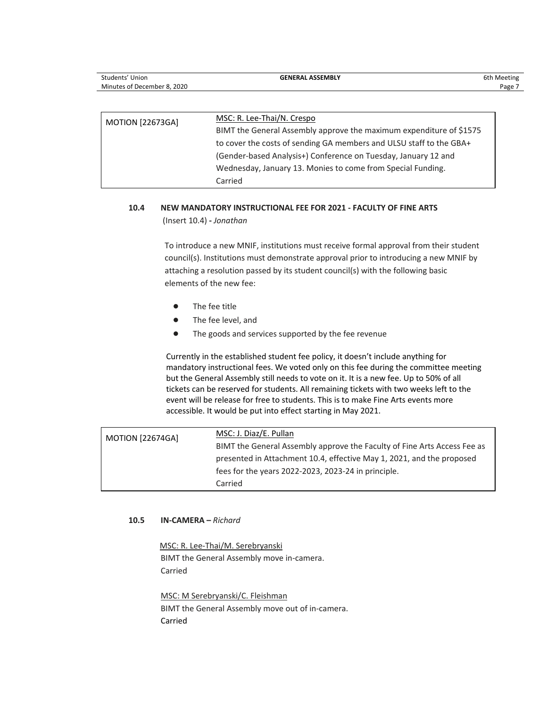| Students' Union             | <b>GENERAL ASSEMBLY</b> | 6th Meeting |
|-----------------------------|-------------------------|-------------|
| Minutes of December 8, 2020 |                         | Page:       |
|                             |                         |             |
|                             |                         |             |

| <b>MOTION [22673GA]</b> | MSC: R. Lee-Thai/N. Crespo                                          |
|-------------------------|---------------------------------------------------------------------|
|                         | BIMT the General Assembly approve the maximum expenditure of \$1575 |
|                         | to cover the costs of sending GA members and ULSU staff to the GBA+ |
|                         | (Gender-based Analysis+) Conference on Tuesday, January 12 and      |
|                         | Wednesday, January 13. Monies to come from Special Funding.         |
|                         | Carried                                                             |

# **10.4 NEW MANDATORY INSTRUCTIONAL FEE FOR 2021 - FACULTY OF FINE ARTS**  (Insert 10.4) **-** *Jonathan*

To introduce a new MNIF, institutions must receive formal approval from their student council(s). Institutions must demonstrate approval prior to introducing a new MNIF by attaching a resolution passed by its student council(s) with the following basic elements of the new fee:

- The fee title
- The fee level, and
- The goods and services supported by the fee revenue

Currently in the established student fee policy, it doesn't include anything for mandatory instructional fees. We voted only on this fee during the committee meeting but the General Assembly still needs to vote on it. It is a new fee. Up to 50% of all tickets can be reserved for students. All remaining tickets with two weeks left to the event will be release for free to students. This is to make Fine Arts events more accessible. It would be put into effect starting in May 2021.

| <b>MOTION [22674GA]</b> | MSC: J. Diaz/E. Pullan                                                   |
|-------------------------|--------------------------------------------------------------------------|
|                         | BIMT the General Assembly approve the Faculty of Fine Arts Access Fee as |
|                         | presented in Attachment 10.4, effective May 1, 2021, and the proposed    |
|                         | fees for the years 2022-2023, 2023-24 in principle.                      |
|                         | Carried                                                                  |
|                         |                                                                          |

# **10.5 IN-CAMERA –** *Richard*

MSC: R. Lee-Thai/M. Serebryanski BIMT the General Assembly move in-camera. Carried

MSC: M Serebryanski/C. Fleishman BIMT the General Assembly move out of in-camera. Carried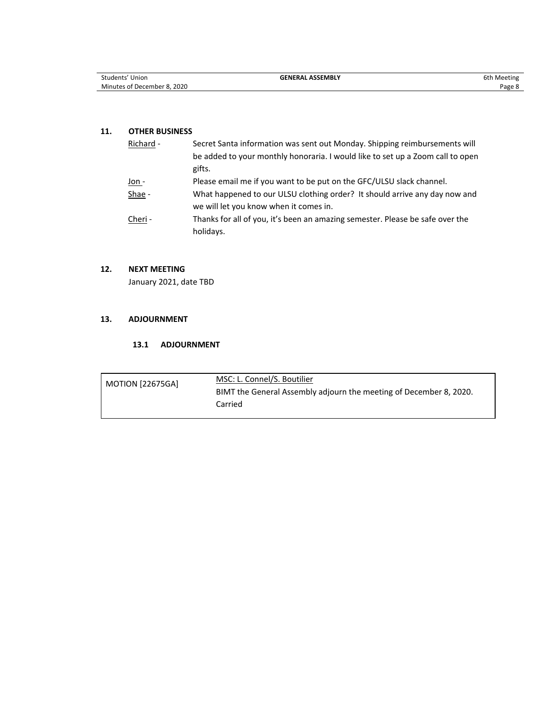# **11. OTHER BUSINESS**

| Richard -    | Secret Santa information was sent out Monday. Shipping reimbursements will     |
|--------------|--------------------------------------------------------------------------------|
|              | be added to your monthly honoraria. I would like to set up a Zoom call to open |
|              | gifts.                                                                         |
| <u>Jon</u> - | Please email me if you want to be put on the GFC/ULSU slack channel.           |
| Shae-        | What happened to our ULSU clothing order? It should arrive any day now and     |
|              | we will let you know when it comes in.                                         |
| Cheri -      | Thanks for all of you, it's been an amazing semester. Please be safe over the  |
|              | holidays.                                                                      |

#### **12. NEXT MEETING**

January 2021, date TBD

# **13. ADJOURNMENT**

# **13.1 ADJOURNMENT**

| MOTION [22675GA] | MSC: L. Connel/S. Boutilier                                        |
|------------------|--------------------------------------------------------------------|
|                  | BIMT the General Assembly adjourn the meeting of December 8, 2020. |
|                  | Carried                                                            |
|                  |                                                                    |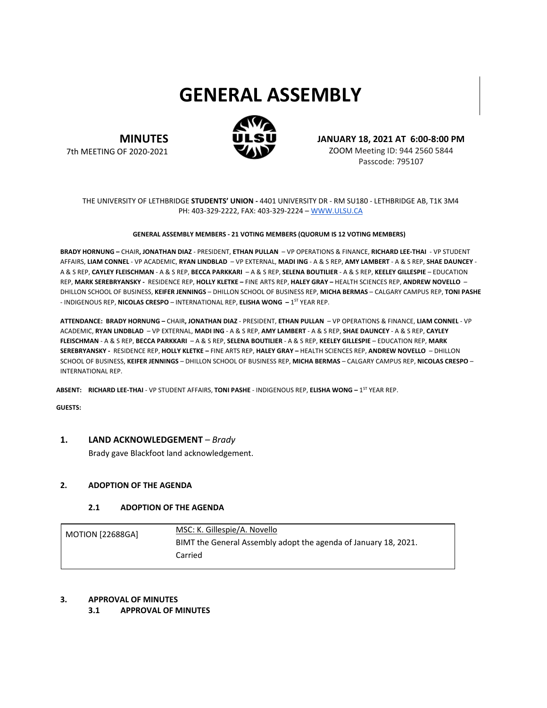# **GENERAL ASSEMBLY**



**MINUTES** 7th MEETING OF 2020-2021 **JANUARY 18, 2021 AT 6:00-8:00 PM** ZOOM Meeting ID: 944 2560 5844 Passcode: 795107

# THE UNIVERSITY OF LETHBRIDGE **STUDENTS' UNION -** 4401 UNIVERSITY DR - RM SU180 - LETHBRIDGE AB, T1K 3M4 PH: 403-329-2222, FAX: 403-329-2224 – [WWW.ULSU.CA](http://www.ulsu.ca/)

#### **GENERAL ASSEMBLY MEMBERS - 21 VOTING MEMBERS (QUORUM IS 12 VOTING MEMBERS)**

**BRADY HORNUNG –** CHAIR**, JONATHAN DIAZ** - PRESIDENT, **ETHAN PULLAN** – VP OPERATIONS & FINANCE, **RICHARD LEE-THAI** - VP STUDENT AFFAIRS, **LIAM CONNEL** - VP ACADEMIC, **RYAN LINDBLAD** – VP EXTERNAL, **MADI ING** - A & S REP, **AMY LAMBERT** - A & S REP, **SHAE DAUNCEY** - A & S REP, **CAYLEY FLEISCHMAN** - A & S REP, **BECCA PARKKARI** – A & S REP, **SELENA BOUTILIER** - A & S REP, **KEELEY GILLESPIE** – EDUCATION REP, **MARK SEREBRYANSKY -** RESIDENCE REP, **HOLLY KLETKE –** FINE ARTS REP, **HALEY GRAY –** HEALTH SCIENCES REP, **ANDREW NOVELLO** – DHILLON SCHOOL OF BUSINESS, **KEIFER JENNINGS** – DHILLON SCHOOL OF BUSINESS REP, **MICHA BERMAS** – CALGARY CAMPUS REP, **TONI PASHE**  - INDIGENOUS REP, **NICOLAS CRESPO** – INTERNATIONAL REP, **ELISHA WONG –** 1ST YEAR REP.

**ATTENDANCE: BRADY HORNUNG –** CHAIR**, JONATHAN DIAZ** - PRESIDENT, **ETHAN PULLAN** – VP OPERATIONS & FINANCE, **LIAM CONNEL** - VP ACADEMIC, **RYAN LINDBLAD** – VP EXTERNAL, **MADI ING** - A & S REP, **AMY LAMBERT** - A & S REP, **SHAE DAUNCEY** - A & S REP, **CAYLEY FLEISCHMAN** - A & S REP, **BECCA PARKKARI** – A & S REP, **SELENA BOUTILIER** - A & S REP, **KEELEY GILLESPIE** – EDUCATION REP, **MARK SEREBRYANSKY -** RESIDENCE REP, **HOLLY KLETKE –** FINE ARTS REP, **HALEY GRAY –** HEALTH SCIENCES REP, **ANDREW NOVELLO** – DHILLON SCHOOL OF BUSINESS, **KEIFER JENNINGS** – DHILLON SCHOOL OF BUSINESS REP, **MICHA BERMAS** – CALGARY CAMPUS REP, **NICOLAS CRESPO** – INTERNATIONAL REP.

**ABSENT: RICHARD LEE-THAI** - VP STUDENT AFFAIRS, **TONI PASHE** - INDIGENOUS REP, **ELISHA WONG –** 1ST YEAR REP.

**GUESTS:**

# **1. LAND ACKNOWLEDGEMENT** *– Brady*

Brady gave Blackfoot land acknowledgement.

# **2. ADOPTION OF THE AGENDA**

#### **2.1 ADOPTION OF THE AGENDA**

| <b>MOTION [22688GA]</b> | MSC: K. Gillespie/A. Novello                                    |
|-------------------------|-----------------------------------------------------------------|
|                         | BIMT the General Assembly adopt the agenda of January 18, 2021. |
|                         | Carried                                                         |

#### **3. APPROVAL OF MINUTES**

**3.1 APPROVAL OF MINUTES**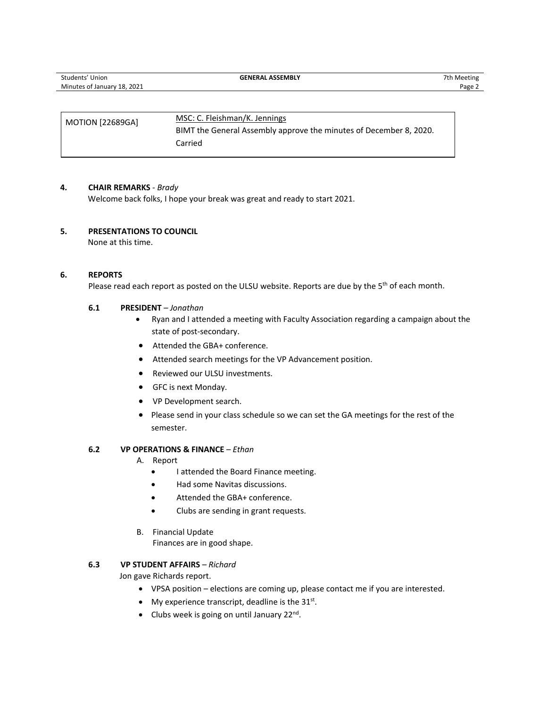| Students' Union             | <b>GENERAL ASSEMBLY</b>                                            | 7th Meeting |
|-----------------------------|--------------------------------------------------------------------|-------------|
| Minutes of January 18, 2021 |                                                                    | Page 2      |
|                             |                                                                    |             |
|                             |                                                                    |             |
| <b>MOTION [22689GA]</b>     | MSC: C. Fleishman/K. Jennings                                      |             |
|                             | BIMT the General Assembly approve the minutes of December 8, 2020. |             |
|                             | Carried                                                            |             |

#### **4. CHAIR REMARKS** *- Brady*

Welcome back folks, I hope your break was great and ready to start 2021.

#### **5. PRESENTATIONS TO COUNCIL**

None at this time.

# **6. REPORTS**

Please read each report as posted on the ULSU website. Reports are due by the 5<sup>th</sup> of each month.

# **6.1 PRESIDENT** *– Jonathan*

- Ryan and I attended a meeting with Faculty Association regarding a campaign about the state of post-secondary.
- Attended the GBA+ conference.
- Attended search meetings for the VP Advancement position.
- Reviewed our ULSU investments.
- GFC is next Monday.
- VP Development search.
- Please send in your class schedule so we can set the GA meetings for the rest of the semester.

# **6.2 VP OPERATIONS & FINANCE** *– Ethan*

#### A. Report

- I attended the Board Finance meeting.
- Had some Navitas discussions.
- Attended the GBA+ conference.
- Clubs are sending in grant requests.
- B. Financial Update Finances are in good shape.

# **6.3 VP STUDENT AFFAIRS** *– Richard*

Jon gave Richards report.

- VPSA position elections are coming up, please contact me if you are interested.
- My experience transcript, deadline is the  $31^{st}$ .
- Clubs week is going on until January 22<sup>nd</sup>.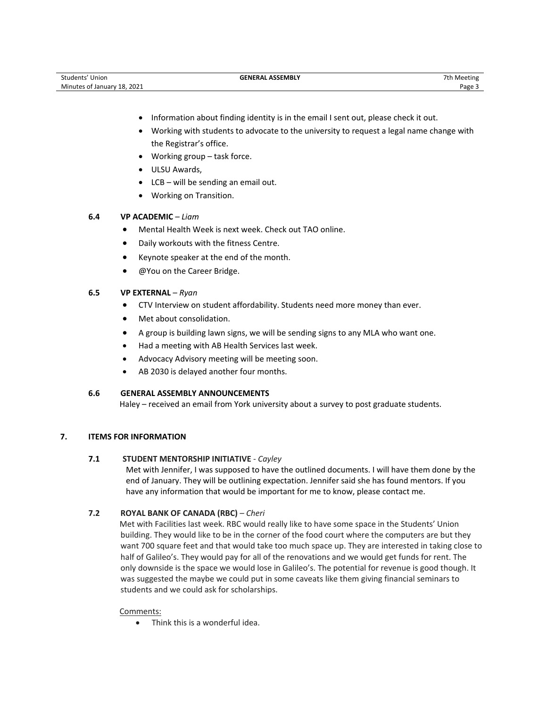| Students'<br>Union                 | <b>GENERAL ASSEMBLY</b> | 7th.<br>Meeting ו |
|------------------------------------|-------------------------|-------------------|
| Minutes of January 1<br>2021<br>18 |                         | $Page -$          |

- Information about finding identity is in the email I sent out, please check it out.
- Working with students to advocate to the university to request a legal name change with the Registrar's office.
- Working group task force.
- ULSU Awards,
- LCB will be sending an email out.
- Working on Transition.

# **6.4 VP ACADEMIC** *– Liam*

- Mental Health Week is next week. Check out TAO online.
- Daily workouts with the fitness Centre.
- Keynote speaker at the end of the month.
- @You on the Career Bridge.

# **6.5 VP EXTERNAL** *– Ryan*

- CTV Interview on student affordability. Students need more money than ever.
- Met about consolidation.
- A group is building lawn signs, we will be sending signs to any MLA who want one.
- Had a meeting with AB Health Services last week.
- Advocacy Advisory meeting will be meeting soon.
- AB 2030 is delayed another four months.

# **6.6 GENERAL ASSEMBLY ANNOUNCEMENTS**

Haley – received an email from York university about a survey to post graduate students.

# **7. ITEMS FOR INFORMATION**

# **7.1 STUDENT MENTORSHIP INITIATIVE** - *Cayley*

Met with Jennifer, I was supposed to have the outlined documents. I will have them done by the end of January. They will be outlining expectation. Jennifer said she has found mentors. If you have any information that would be important for me to know, please contact me.

# **7.2 ROYAL BANK OF CANADA (RBC)** *– Cheri*

Met with Facilities last week. RBC would really like to have some space in the Students' Union building. They would like to be in the corner of the food court where the computers are but they want 700 square feet and that would take too much space up. They are interested in taking close to half of Galileo's. They would pay for all of the renovations and we would get funds for rent. The only downside is the space we would lose in Galileo's. The potential for revenue is good though. It was suggested the maybe we could put in some caveats like them giving financial seminars to students and we could ask for scholarships.

# Comments:

• Think this is a wonderful idea.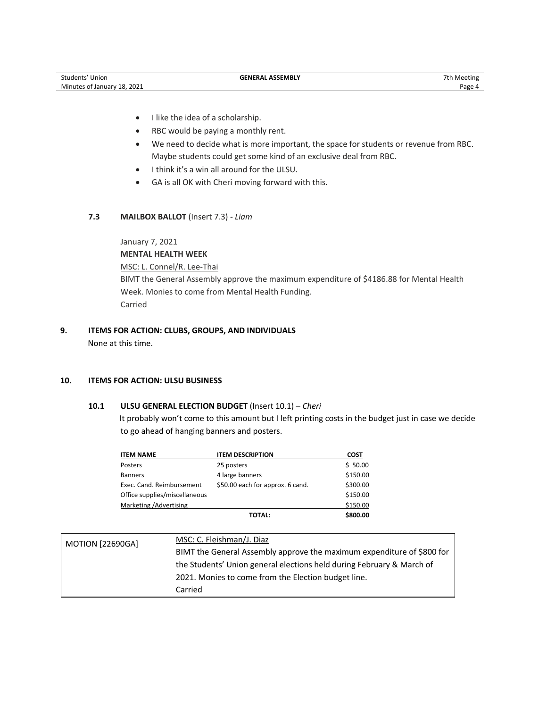| Students' Union             | <b>GENERAL ASSEMBLY</b> | 7th Meeting |
|-----------------------------|-------------------------|-------------|
| Minutes of January 18, 2021 |                         | Page 4      |

- I like the idea of a scholarship.
- RBC would be paying a monthly rent.
- We need to decide what is more important, the space for students or revenue from RBC. Maybe students could get some kind of an exclusive deal from RBC.
- I think it's a win all around for the ULSU.
- GA is all OK with Cheri moving forward with this.

# **7.3 MAILBOX BALLOT** (Insert 7.3) *- Liam*

January 7, 2021 **MENTAL HEALTH WEEK** MSC: L. Connel/R. Lee-Thai BIMT the General Assembly approve the maximum expenditure of \$4186.88 for Mental Health Week. Monies to come from Mental Health Funding. Carried

# **9. ITEMS FOR ACTION: CLUBS, GROUPS, AND INDIVIDUALS** None at this time.

# **10. ITEMS FOR ACTION: ULSU BUSINESS**

# **10.1 ULSU GENERAL ELECTION BUDGET** (Insert 10.1) – *Cheri*

It probably won't come to this amount but I left printing costs in the budget just in case we decide to go ahead of hanging banners and posters.

| <b>ITEM NAME</b>              | <b>ITEM DESCRIPTION</b>          | <b>COST</b> |
|-------------------------------|----------------------------------|-------------|
| Posters                       | 25 posters                       | \$50.00     |
| <b>Banners</b>                | 4 large banners                  | \$150.00    |
| Exec. Cand. Reimbursement     | \$50.00 each for approx. 6 cand. | \$300.00    |
| Office supplies/miscellaneous |                                  | \$150.00    |
| Marketing / Advertising       |                                  | \$150.00    |
|                               | <b>TOTAL:</b>                    | \$800.00    |

| <b>MOTION [22690GA]</b> | MSC: C. Fleishman/J. Diaz                                              |
|-------------------------|------------------------------------------------------------------------|
|                         | BIMT the General Assembly approve the maximum expenditure of \$800 for |
|                         | the Students' Union general elections held during February & March of  |
|                         | 2021. Monies to come from the Election budget line.                    |
|                         | Carried                                                                |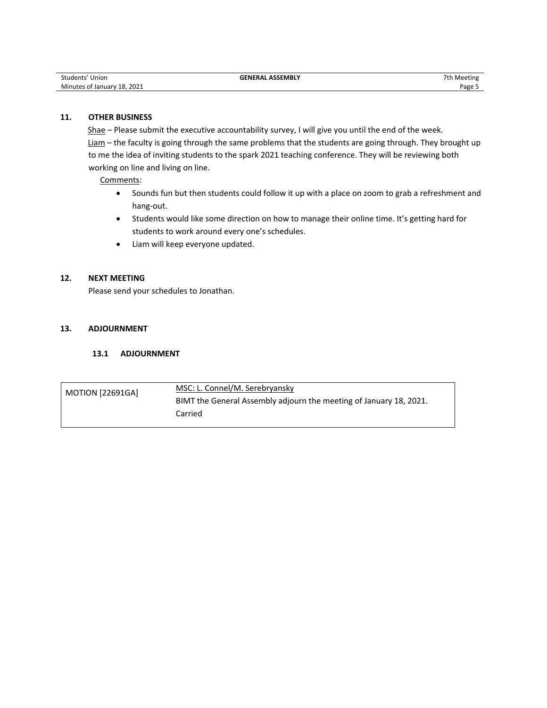# **11. OTHER BUSINESS**

Shae - Please submit the executive accountability survey, I will give you until the end of the week. Liam - the faculty is going through the same problems that the students are going through. They brought up to me the idea of inviting students to the spark 2021 teaching conference. They will be reviewing both working on line and living on line.

Comments:

- Sounds fun but then students could follow it up with a place on zoom to grab a refreshment and hang-out.
- Students would like some direction on how to manage their online time. It's getting hard for students to work around every one's schedules.
- Liam will keep everyone updated.

# **12. NEXT MEETING**

Please send your schedules to Jonathan.

# **13. ADJOURNMENT**

# **13.1 ADJOURNMENT**

| <b>MOTION [22691GA]</b> | MSC: L. Connel/M. Serebryansky                                     |
|-------------------------|--------------------------------------------------------------------|
|                         | BIMT the General Assembly adjourn the meeting of January 18, 2021. |
|                         | Carried                                                            |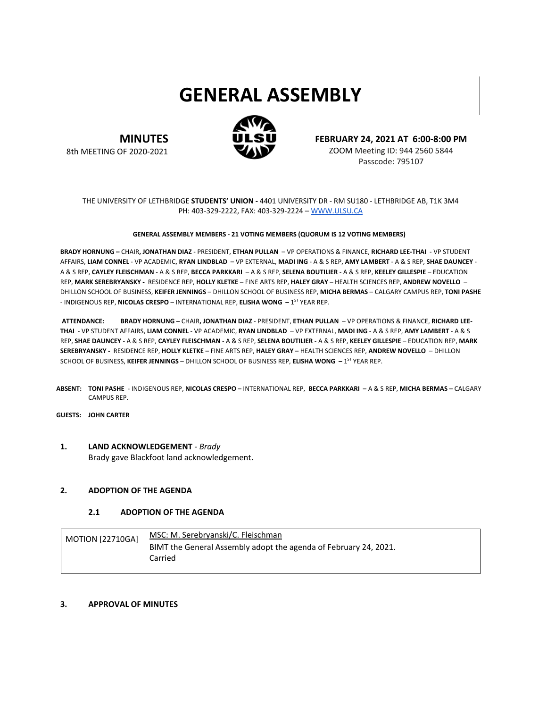# **GENERAL ASSEMBLY**



**MINUTES** 8th MEETING OF 2020-2021

**FEBRUARY 24, 2021 AT 6:00-8:00 PM** ZOOM Meeting ID: 944 2560 5844 Passcode: 795107

#### THE UNIVERSITY OF LETHBRIDGE **STUDENTS' UNION -** 4401 UNIVERSITY DR - RM SU180 - LETHBRIDGE AB, T1K 3M4 PH: 403-329-2222, FAX: 403-329-2224 – [WWW.ULSU.CA](http://www.ulsu.ca/)

#### **GENERAL ASSEMBLY MEMBERS - 21 VOTING MEMBERS (QUORUM IS 12 VOTING MEMBERS)**

**BRADY HORNUNG –** CHAIR**, JONATHAN DIAZ** - PRESIDENT, **ETHAN PULLAN** – VP OPERATIONS & FINANCE, **RICHARD LEE-THAI** - VP STUDENT AFFAIRS, **LIAM CONNEL** - VP ACADEMIC, **RYAN LINDBLAD** – VP EXTERNAL, **MADI ING** - A & S REP, **AMY LAMBERT** - A & S REP, **SHAE DAUNCEY** - A & S REP, **CAYLEY FLEISCHMAN** - A & S REP, **BECCA PARKKARI** – A & S REP, **SELENA BOUTILIER** - A & S REP, **KEELEY GILLESPIE** – EDUCATION REP, **MARK SEREBRYANSKY -** RESIDENCE REP, **HOLLY KLETKE –** FINE ARTS REP, **HALEY GRAY –** HEALTH SCIENCES REP, **ANDREW NOVELLO** – DHILLON SCHOOL OF BUSINESS, **KEIFER JENNINGS** – DHILLON SCHOOL OF BUSINESS REP, **MICHA BERMAS** – CALGARY CAMPUS REP, **TONI PASHE**  - INDIGENOUS REP, **NICOLAS CRESPO** – INTERNATIONAL REP, **ELISHA WONG –** 1ST YEAR REP.

**ATTENDANCE: BRADY HORNUNG –** CHAIR**, JONATHAN DIAZ** - PRESIDENT, **ETHAN PULLAN** – VP OPERATIONS & FINANCE, **RICHARD LEE-THAI** - VP STUDENT AFFAIRS, **LIAM CONNEL** - VP ACADEMIC, **RYAN LINDBLAD** – VP EXTERNAL, **MADI ING** - A & S REP, **AMY LAMBERT** - A & S REP, **SHAE DAUNCEY** - A & S REP, **CAYLEY FLEISCHMAN** - A & S REP, **SELENA BOUTILIER** - A & S REP, **KEELEY GILLESPIE** – EDUCATION REP, **MARK SEREBRYANSKY -** RESIDENCE REP, **HOLLY KLETKE –** FINE ARTS REP, **HALEY GRAY –** HEALTH SCIENCES REP, **ANDREW NOVELLO** – DHILLON SCHOOL OF BUSINESS, **KEIFER JENNINGS** – DHILLON SCHOOL OF BUSINESS REP, **ELISHA WONG –** 1ST YEAR REP.

**ABSENT: TONI PASHE** - INDIGENOUS REP, **NICOLAS CRESPO** – INTERNATIONAL REP, **BECCA PARKKARI** – A & S REP, **MICHA BERMAS** – CALGARY CAMPUS REP.

**GUESTS: JOHN CARTER**

# **1. LAND ACKNOWLEDGEMENT** *- Brady* Brady gave Blackfoot land acknowledgement.

#### **2. ADOPTION OF THE AGENDA**

# **2.1 ADOPTION OF THE AGENDA**

MOTION [22710GA] MSC: M. Serebryanski/C. Fleischman BIMT the General Assembly adopt the agenda of February 24, 2021. Carried

# **3. APPROVAL OF MINUTES**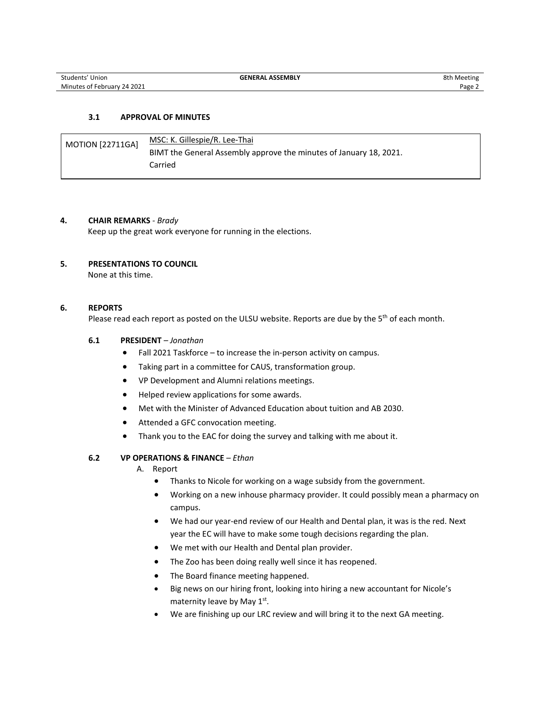#### **3.1 APPROVAL OF MINUTES**

| <b>MOTION [22711GA]</b> | MSC: K. Gillespie/R. Lee-Thai                                      |
|-------------------------|--------------------------------------------------------------------|
|                         | BIMT the General Assembly approve the minutes of January 18, 2021. |
|                         | Carried                                                            |

#### **4. CHAIR REMARKS** *- Brady*

Keep up the great work everyone for running in the elections.

#### **5. PRESENTATIONS TO COUNCIL**

None at this time.

#### **6. REPORTS**

Please read each report as posted on the ULSU website. Reports are due by the 5<sup>th</sup> of each month.

# **6.1 PRESIDENT** *– Jonathan*

- Fall 2021 Taskforce to increase the in-person activity on campus.
- Taking part in a committee for CAUS, transformation group.
- VP Development and Alumni relations meetings.
- Helped review applications for some awards.
- Met with the Minister of Advanced Education about tuition and AB 2030.
- Attended a GFC convocation meeting.
- Thank you to the EAC for doing the survey and talking with me about it.

# **6.2 VP OPERATIONS & FINANCE** *– Ethan*

#### A. Report

- Thanks to Nicole for working on a wage subsidy from the government.
- Working on a new inhouse pharmacy provider. It could possibly mean a pharmacy on campus.
- We had our year-end review of our Health and Dental plan, it was is the red. Next year the EC will have to make some tough decisions regarding the plan.
- We met with our Health and Dental plan provider.
- The Zoo has been doing really well since it has reopened.
- The Board finance meeting happened.
- Big news on our hiring front, looking into hiring a new accountant for Nicole's maternity leave by May 1st.
- We are finishing up our LRC review and will bring it to the next GA meeting.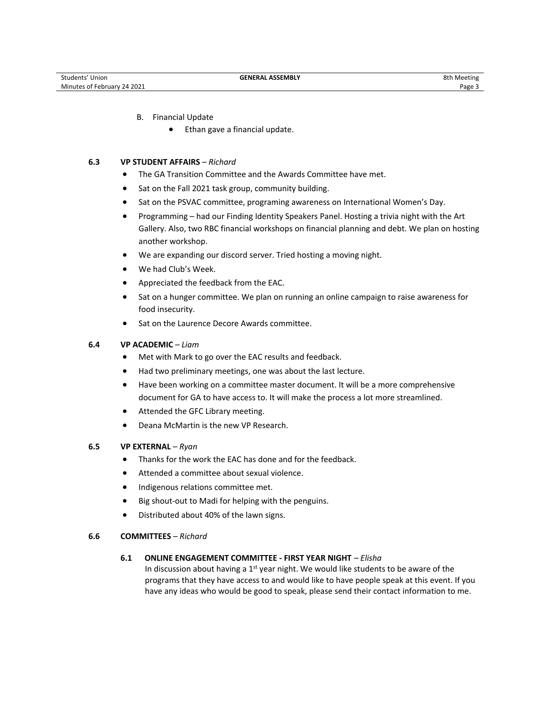# B. Financial Update

• Ethan gave a financial update.

# **6.3 VP STUDENT AFFAIRS** *– Richard*

- The GA Transition Committee and the Awards Committee have met.
- Sat on the Fall 2021 task group, community building.
- Sat on the PSVAC committee, programing awareness on International Women's Day.
- Programming had our Finding Identity Speakers Panel. Hosting a trivia night with the Art Gallery. Also, two RBC financial workshops on financial planning and debt. We plan on hosting another workshop.
- We are expanding our discord server. Tried hosting a moving night.
- We had Club's Week.
- Appreciated the feedback from the EAC.
- Sat on a hunger committee. We plan on running an online campaign to raise awareness for food insecurity.
- Sat on the Laurence Decore Awards committee.

# **6.4 VP ACADEMIC** *– Liam*

- Met with Mark to go over the EAC results and feedback.
- Had two preliminary meetings, one was about the last lecture.
- Have been working on a committee master document. It will be a more comprehensive document for GA to have access to. It will make the process a lot more streamlined.
- Attended the GFC Library meeting.
- Deana McMartin is the new VP Research.

#### **6.5 VP EXTERNAL** *– Ryan*

- Thanks for the work the EAC has done and for the feedback.
- Attended a committee about sexual violence.
- Indigenous relations committee met.
- Big shout-out to Madi for helping with the penguins.
- Distributed about 40% of the lawn signs.

# **6.6 COMMITTEES** *– Richard*

#### **6.1 ONLINE ENGAGEMENT COMMITTEE - FIRST YEAR NIGHT** – *Elisha*

In discussion about having a  $1<sup>st</sup>$  year night. We would like students to be aware of the programs that they have access to and would like to have people speak at this event. If you have any ideas who would be good to speak, please send their contact information to me.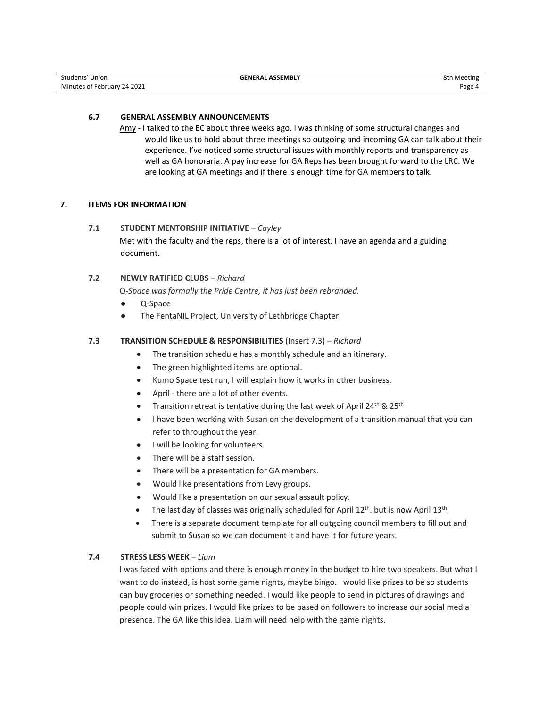# **6.7 GENERAL ASSEMBLY ANNOUNCEMENTS**

Amy - I talked to the EC about three weeks ago. I was thinking of some structural changes and would like us to hold about three meetings so outgoing and incoming GA can talk about their experience. I've noticed some structural issues with monthly reports and transparency as well as GA honoraria. A pay increase for GA Reps has been brought forward to the LRC. We are looking at GA meetings and if there is enough time for GA members to talk.

# **7. ITEMS FOR INFORMATION**

# **7.1 STUDENT MENTORSHIP INITIATIVE** *– Cayley* Met with the faculty and the reps, there is a lot of interest. I have an agenda and a guiding document.

# **7.2 NEWLY RATIFIED CLUBS** *– Richard*

Q*-Space was formally the Pride Centre, it has just been rebranded.*

- Q-Space
- The FentaNIL Project, University of Lethbridge Chapter

#### **7.3 TRANSITION SCHEDULE & RESPONSIBILITIES** (Insert 7.3) *– Richard*

- The transition schedule has a monthly schedule and an itinerary.
- The green highlighted items are optional.
- Kumo Space test run, I will explain how it works in other business.
- April there are a lot of other events.
- Transition retreat is tentative during the last week of April 24<sup>th</sup> & 25<sup>th</sup>
- I have been working with Susan on the development of a transition manual that you can refer to throughout the year.
- I will be looking for volunteers.
- There will be a staff session.
- There will be a presentation for GA members.
- Would like presentations from Levy groups.
- Would like a presentation on our sexual assault policy.
- The last day of classes was originally scheduled for April 12<sup>th</sup>. but is now April 13<sup>th</sup>.
- There is a separate document template for all outgoing council members to fill out and submit to Susan so we can document it and have it for future years.

# **7.4 STRESS LESS WEEK** *– Liam*

I was faced with options and there is enough money in the budget to hire two speakers. But what I want to do instead, is host some game nights, maybe bingo. I would like prizes to be so students can buy groceries or something needed. I would like people to send in pictures of drawings and people could win prizes. I would like prizes to be based on followers to increase our social media presence. The GA like this idea. Liam will need help with the game nights.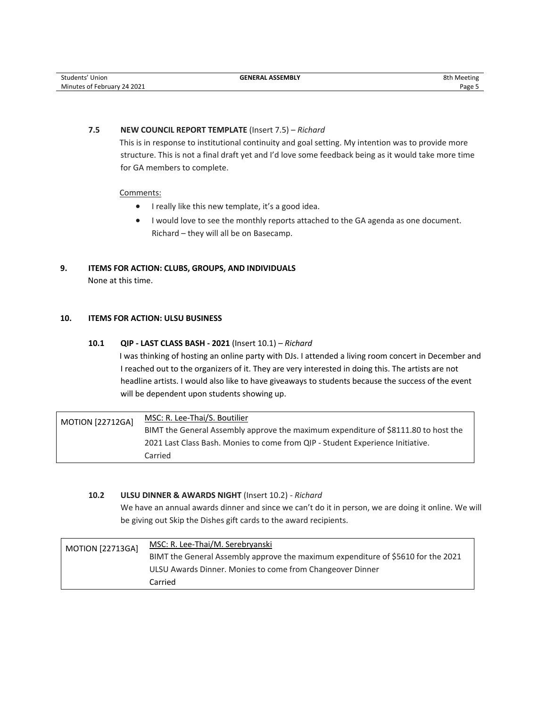# **7.5 NEW COUNCIL REPORT TEMPLATE** (Insert 7.5) – *Richard*

This is in response to institutional continuity and goal setting. My intention was to provide more structure. This is not a final draft yet and I'd love some feedback being as it would take more time for GA members to complete.

# Comments:

- I really like this new template, it's a good idea.
- I would love to see the monthly reports attached to the GA agenda as one document. Richard – they will all be on Basecamp.
- **9. ITEMS FOR ACTION: CLUBS, GROUPS, AND INDIVIDUALS** None at this time.

# **10. ITEMS FOR ACTION: ULSU BUSINESS**

#### **10.1 QIP - LAST CLASS BASH - 2021** (Insert 10.1) *– Richard*

I was thinking of hosting an online party with DJs. I attended a living room concert in December and I reached out to the organizers of it. They are very interested in doing this. The artists are not headline artists. I would also like to have giveaways to students because the success of the event will be dependent upon students showing up.

| MSC: R. Lee-Thai/S. Boutilier<br><b>MOTION [22712GA]</b>                           |  |
|------------------------------------------------------------------------------------|--|
| BIMT the General Assembly approve the maximum expenditure of \$8111.80 to host the |  |
| 2021 Last Class Bash. Monies to come from QIP - Student Experience Initiative.     |  |
| Carried                                                                            |  |

#### **10.2 ULSU DINNER & AWARDS NIGHT** (Insert 10.2) *- Richard*

We have an annual awards dinner and since we can't do it in person, we are doing it online. We will be giving out Skip the Dishes gift cards to the award recipients.

| <b>MOTION [22713GA]</b> | MSC: R. Lee-Thai/M. Serebryanski                                                 |
|-------------------------|----------------------------------------------------------------------------------|
|                         | BIMT the General Assembly approve the maximum expenditure of \$5610 for the 2021 |
|                         | ULSU Awards Dinner. Monies to come from Changeover Dinner                        |
|                         | Carried                                                                          |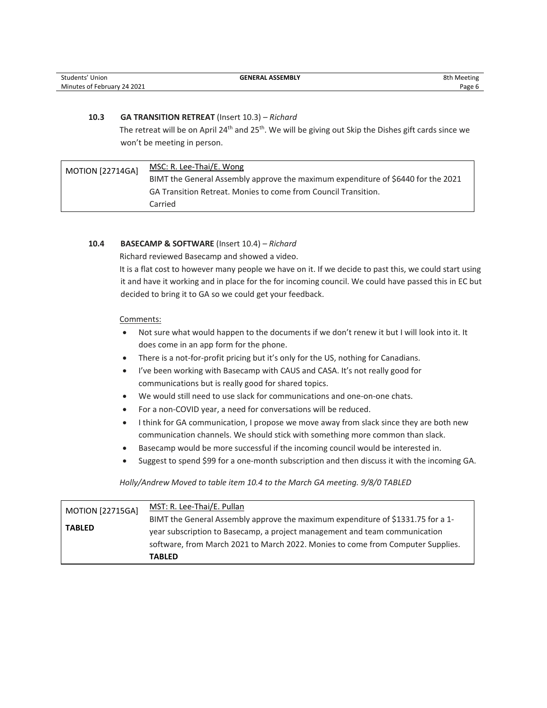| Students' Union             | <b>GENERAL ASSEMBLY</b> | 8th Meeting |
|-----------------------------|-------------------------|-------------|
| Minutes of February 24 2021 |                         | Page b      |

# **10.3 GA TRANSITION RETREAT** (Insert 10.3) *– Richard*

The retreat will be on April 24<sup>th</sup> and 25<sup>th</sup>. We will be giving out Skip the Dishes gift cards since we won't be meeting in person.

| <b>MOTION [22714GA]</b> | MSC: R. Lee-Thai/E. Wong                                                         |
|-------------------------|----------------------------------------------------------------------------------|
|                         | BIMT the General Assembly approve the maximum expenditure of \$6440 for the 2021 |
|                         | GA Transition Retreat. Monies to come from Council Transition.                   |
|                         | Carried                                                                          |

# **10.4 BASECAMP & SOFTWARE** (Insert 10.4) *– Richard*

Richard reviewed Basecamp and showed a video.

It is a flat cost to however many people we have on it. If we decide to past this, we could start using it and have it working and in place for the for incoming council. We could have passed this in EC but decided to bring it to GA so we could get your feedback.

#### Comments:

- Not sure what would happen to the documents if we don't renew it but I will look into it. It does come in an app form for the phone.
- There is a not-for-profit pricing but it's only for the US, nothing for Canadians.
- I've been working with Basecamp with CAUS and CASA. It's not really good for communications but is really good for shared topics.
- We would still need to use slack for communications and one-on-one chats.
- For a non-COVID year, a need for conversations will be reduced.
- I think for GA communication, I propose we move away from slack since they are both new communication channels. We should stick with something more common than slack.
- Basecamp would be more successful if the incoming council would be interested in.
- Suggest to spend \$99 for a one-month subscription and then discuss it with the incoming GA.

#### *Holly/Andrew Moved to table item 10.4 to the March GA meeting. 9/8/0 TABLED*

| <b>MOTION [22715GA]</b> | MST: R. Lee-Thai/E. Pullan                                                      |
|-------------------------|---------------------------------------------------------------------------------|
|                         | BIMT the General Assembly approve the maximum expenditure of \$1331.75 for a 1- |
| <b>TABLED</b>           | year subscription to Basecamp, a project management and team communication      |
|                         | software, from March 2021 to March 2022. Monies to come from Computer Supplies. |
|                         | <b>TABLED</b>                                                                   |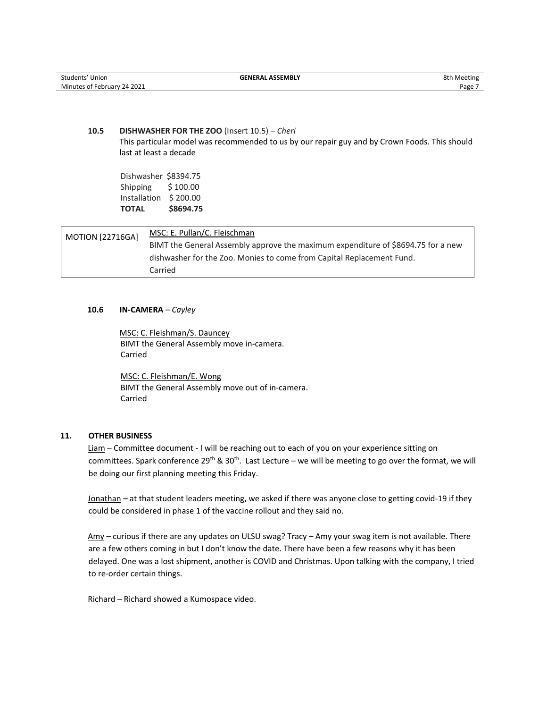| Students' Union             | <b>GENERAL ASSEMBLY</b> | 8th Meeting |
|-----------------------------|-------------------------|-------------|
| Minutes of February 24 2021 |                         | Page        |

#### **10.5 DISHWASHER FOR THE ZOO** (Insert 10.5) *– Cheri*

This particular model was recommended to us by our repair guy and by Crown Foods. This should last at least a decade

Dishwasher \$8394.75 Shipping  $$100.00$ Installation \$ 200.00 **TOTAL \$8694.75**

MOTION [22716GA] MSC: E. Pullan/C. Fleischman BIMT the General Assembly approve the maximum expenditure of \$8694.75 for a new dishwasher for the Zoo. Monies to come from Capital Replacement Fund. Carried

#### **10.6 IN-CAMERA** *– Cayley*

MSC: C. Fleishman/S. Dauncey BIMT the General Assembly move in-camera. Carried

MSC: C. Fleishman/E. Wong BIMT the General Assembly move out of in-camera. Carried

# **11. OTHER BUSINESS**

Liam – Committee document - I will be reaching out to each of you on your experience sitting on committees. Spark conference 29<sup>th</sup> & 30<sup>th</sup>. Last Lecture – we will be meeting to go over the format, we will be doing our first planning meeting this Friday.

Jonathan – at that student leaders meeting, we asked if there was anyone close to getting covid-19 if they could be considered in phase 1 of the vaccine rollout and they said no.

Amy – curious if there are any updates on ULSU swag? Tracy – Amy your swag item is not available. There are a few others coming in but I don't know the date. There have been a few reasons why it has been delayed. One was a lost shipment, another is COVID and Christmas. Upon talking with the company, I tried to re-order certain things.

Richard – Richard showed a Kumospace video.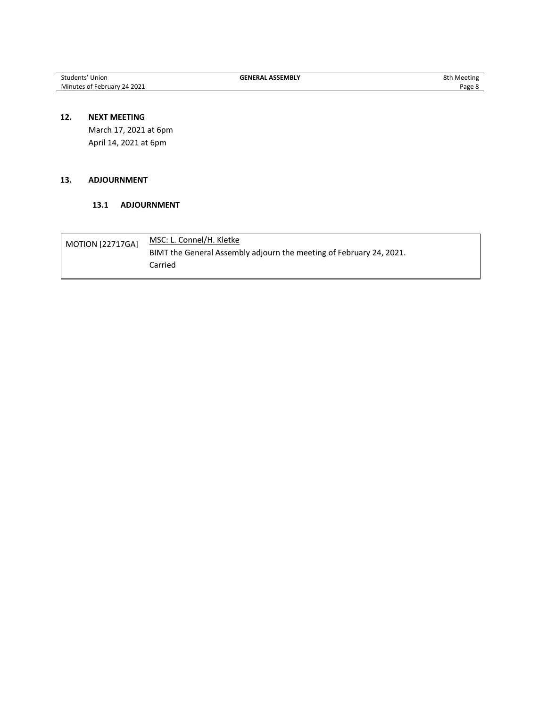# **13. ADJOURNMENT**

# **13.1 ADJOURNMENT**

April 14, 2021 at 6pm

| <b>MOTION [22717GA]</b> | MSC: L. Connel/H. Kletke                                            |
|-------------------------|---------------------------------------------------------------------|
|                         | BIMT the General Assembly adjourn the meeting of February 24, 2021. |
|                         | Carried                                                             |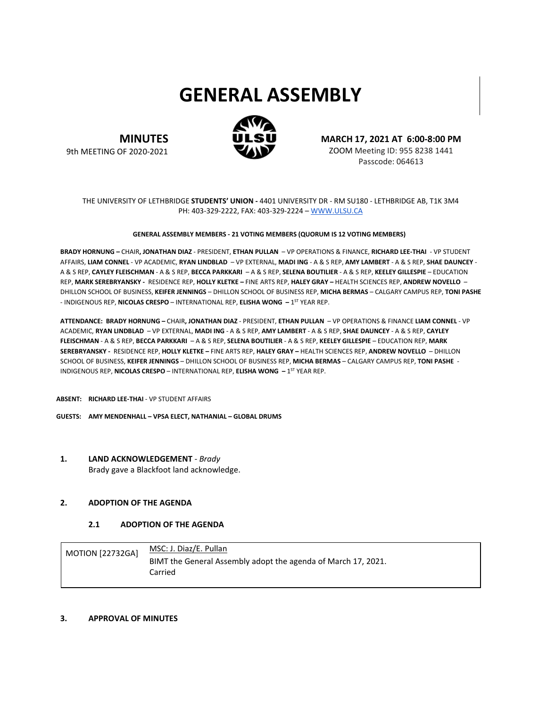# **GENERAL ASSEMBLY**



**MINUTES** 9th MEETING OF 2020-2021

**MARCH 17, 2021 AT 6:00-8:00 PM** ZOOM Meeting ID: 955 8238 1441

Passcode: 064613

#### THE UNIVERSITY OF LETHBRIDGE **STUDENTS' UNION -** 4401 UNIVERSITY DR - RM SU180 - LETHBRIDGE AB, T1K 3M4 PH: 403-329-2222, FAX: 403-329-2224 – [WWW.ULSU.CA](http://www.ulsu.ca/)

#### **GENERAL ASSEMBLY MEMBERS - 21 VOTING MEMBERS (QUORUM IS 12 VOTING MEMBERS)**

**BRADY HORNUNG –** CHAIR**, JONATHAN DIAZ** - PRESIDENT, **ETHAN PULLAN** – VP OPERATIONS & FINANCE, **RICHARD LEE-THAI** - VP STUDENT AFFAIRS, **LIAM CONNEL** - VP ACADEMIC, **RYAN LINDBLAD** – VP EXTERNAL, **MADI ING** - A & S REP, **AMY LAMBERT** - A & S REP, **SHAE DAUNCEY** - A & S REP, **CAYLEY FLEISCHMAN** - A & S REP, **BECCA PARKKARI** – A & S REP, **SELENA BOUTILIER** - A & S REP, **KEELEY GILLESPIE** – EDUCATION REP, **MARK SEREBRYANSKY -** RESIDENCE REP, **HOLLY KLETKE –** FINE ARTS REP, **HALEY GRAY –** HEALTH SCIENCES REP, **ANDREW NOVELLO** – DHILLON SCHOOL OF BUSINESS, **KEIFER JENNINGS** – DHILLON SCHOOL OF BUSINESS REP, **MICHA BERMAS** – CALGARY CAMPUS REP, **TONI PASHE**  - INDIGENOUS REP, **NICOLAS CRESPO** – INTERNATIONAL REP, **ELISHA WONG –** 1ST YEAR REP.

**ATTENDANCE: BRADY HORNUNG –** CHAIR**, JONATHAN DIAZ** - PRESIDENT, **ETHAN PULLAN** – VP OPERATIONS & FINANCE **LIAM CONNEL** - VP ACADEMIC, **RYAN LINDBLAD** – VP EXTERNAL, **MADI ING** - A & S REP, **AMY LAMBERT** - A & S REP, **SHAE DAUNCEY** - A & S REP, **CAYLEY FLEISCHMAN** - A & S REP, **BECCA PARKKARI** – A & S REP, **SELENA BOUTILIER** - A & S REP, **KEELEY GILLESPIE** – EDUCATION REP, **MARK SEREBRYANSKY -** RESIDENCE REP, **HOLLY KLETKE –** FINE ARTS REP, **HALEY GRAY –** HEALTH SCIENCES REP, **ANDREW NOVELLO** – DHILLON SCHOOL OF BUSINESS, **KEIFER JENNINGS** – DHILLON SCHOOL OF BUSINESS REP, **MICHA BERMAS** – CALGARY CAMPUS REP, **TONI PASHE** - INDIGENOUS REP, **NICOLAS CRESPO** – INTERNATIONAL REP, **ELISHA WONG –** 1ST YEAR REP.

**ABSENT: RICHARD LEE-THAI** - VP STUDENT AFFAIRS

**GUESTS: AMY MENDENHALL – VPSA ELECT, NATHANIAL – GLOBAL DRUMS**

# **1. LAND ACKNOWLEDGEMENT** *- Brady* Brady gave a Blackfoot land acknowledge.

# **2. ADOPTION OF THE AGENDA**

#### **2.1 ADOPTION OF THE AGENDA**

MOTION [22732GA] MSC: J. Diaz/E. Pullan BIMT the General Assembly adopt the agenda of March 17, 2021. Carried

#### **3. APPROVAL OF MINUTES**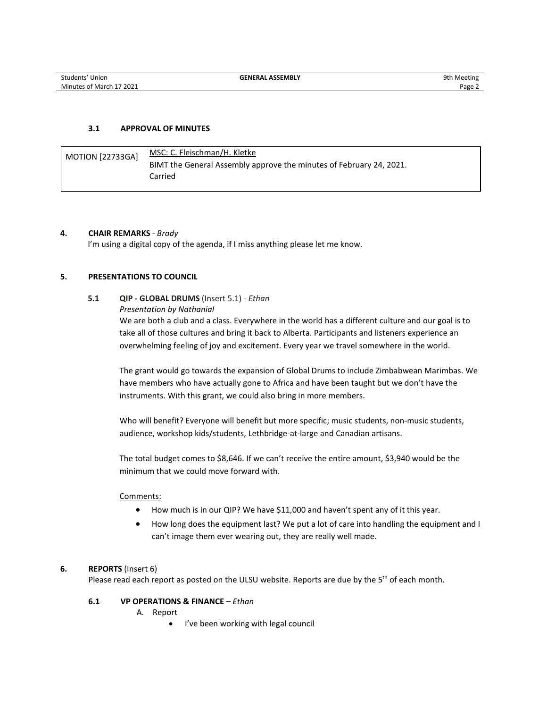#### **3.1 APPROVAL OF MINUTES**

MOTION [22733GA] MSC: C. Fleischman/H. Kletke BIMT the General Assembly approve the minutes of February 24, 2021. Carried

#### **4. CHAIR REMARKS** *- Brady*

I'm using a digital copy of the agenda, if I miss anything please let me know.

# **5. PRESENTATIONS TO COUNCIL**

# **5.1 QIP - GLOBAL DRUMS** (Insert 5.1) *- Ethan*

#### *Presentation by Nathanial*

We are both a club and a class. Everywhere in the world has a different culture and our goal is to take all of those cultures and bring it back to Alberta. Participants and listeners experience an overwhelming feeling of joy and excitement. Every year we travel somewhere in the world.

The grant would go towards the expansion of Global Drums to include Zimbabwean Marimbas. We have members who have actually gone to Africa and have been taught but we don't have the instruments. With this grant, we could also bring in more members.

Who will benefit? Everyone will benefit but more specific; music students, non-music students, audience, workshop kids/students, Lethbridge-at-large and Canadian artisans.

The total budget comes to \$8,646. If we can't receive the entire amount, \$3,940 would be the minimum that we could move forward with.

#### Comments:

- How much is in our QIP? We have \$11,000 and haven't spent any of it this year.
- How long does the equipment last? We put a lot of care into handling the equipment and I can't image them ever wearing out, they are really well made.

#### **6. REPORTS** (Insert 6)

Please read each report as posted on the ULSU website. Reports are due by the 5<sup>th</sup> of each month.

#### **6.1 VP OPERATIONS & FINANCE** *– Ethan*

- A. Report
	- I've been working with legal council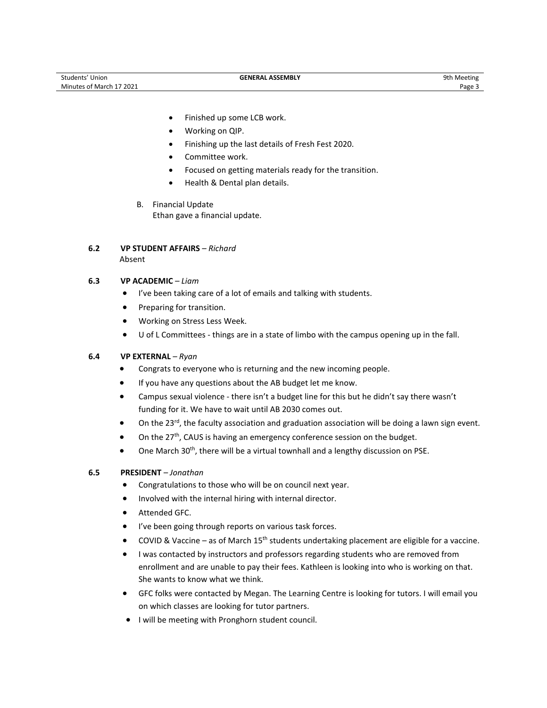- Finished up some LCB work.
- Working on QIP.
- Finishing up the last details of Fresh Fest 2020.
- Committee work.
- Focused on getting materials ready for the transition.
- Health & Dental plan details.
- B. Financial Update Ethan gave a financial update.
- **6.2 VP STUDENT AFFAIRS** *– Richard* Absent

# **6.3 VP ACADEMIC** *– Liam*

- I've been taking care of a lot of emails and talking with students.
- Preparing for transition.
- Working on Stress Less Week.
- U of L Committees things are in a state of limbo with the campus opening up in the fall.

# **6.4 VP EXTERNAL** *– Ryan*

- Congrats to everyone who is returning and the new incoming people.
- If you have any questions about the AB budget let me know.
- Campus sexual violence there isn't a budget line for this but he didn't say there wasn't funding for it. We have to wait until AB 2030 comes out.
- On the 23<sup>rd</sup>, the faculty association and graduation association will be doing a lawn sign event.
- On the 27<sup>th</sup>, CAUS is having an emergency conference session on the budget.
- One March  $30<sup>th</sup>$ , there will be a virtual townhall and a lengthy discussion on PSE.

# **6.5 PRESIDENT** *– Jonathan*

- Congratulations to those who will be on council next year.
- Involved with the internal hiring with internal director.
- Attended GFC.
- I've been going through reports on various task forces.
- COVID & Vaccine as of March  $15<sup>th</sup>$  students undertaking placement are eligible for a vaccine.
- I was contacted by instructors and professors regarding students who are removed from enrollment and are unable to pay their fees. Kathleen is looking into who is working on that. She wants to know what we think.
- GFC folks were contacted by Megan. The Learning Centre is looking for tutors. I will email you on which classes are looking for tutor partners.
- I will be meeting with Pronghorn student council.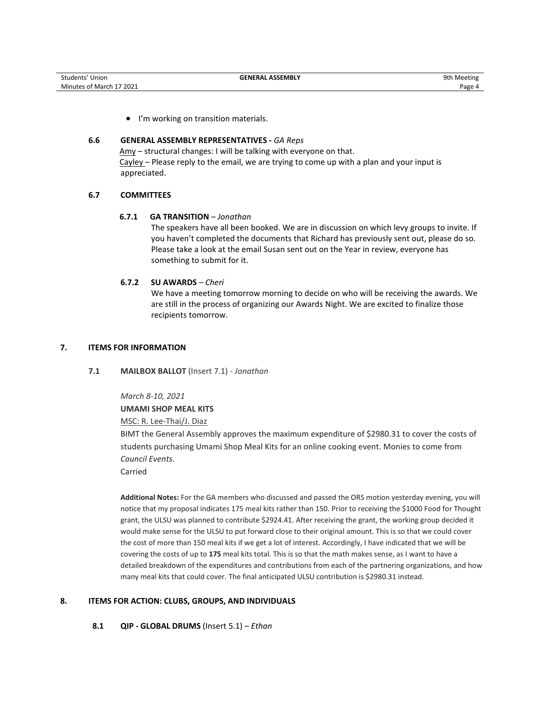• I'm working on transition materials.

#### **6.6 GENERAL ASSEMBLY REPRESENTATIVES -** *GA Reps*

Amy – structural changes: I will be talking with everyone on that. Cayley *–* Please reply to the email, we are trying to come up with a plan and your input is appreciated.

#### **6.7 COMMITTEES**

#### **6.7.1 GA TRANSITION** *– Jonathan*

The speakers have all been booked. We are in discussion on which levy groups to invite. If you haven't completed the documents that Richard has previously sent out, please do so. Please take a look at the email Susan sent out on the Year in review, everyone has something to submit for it.

#### **6.7.2 SU AWARDS** *– Cheri*

We have a meeting tomorrow morning to decide on who will be receiving the awards. We are still in the process of organizing our Awards Night. We are excited to finalize those recipients tomorrow.

#### **7. ITEMS FOR INFORMATION**

**7.1 MAILBOX BALLOT** (Insert 7.1) *- Jonathan*

*March 8-10, 2021*

**UMAMI SHOP MEAL KITS**

MSC: R. Lee-Thai/J. Diaz

BIMT the General Assembly approves the maximum expenditure of \$2980.31 to cover the costs of students purchasing Umami Shop Meal Kits for an online cooking event. Monies to come from *Council Events*.

Carried

**Additional Notes:** For the GA members who discussed and passed the ORS motion yesterday evening, you will notice that my proposal indicates 175 meal kits rather than 150. Prior to receiving the \$1000 Food for Thought grant, the ULSU was planned to contribute \$2924.41. After receiving the grant, the working group decided it would make sense for the ULSU to put forward close to their original amount. This is so that we could cover the cost of more than 150 meal kits if we get a lot of interest. Accordingly, I have indicated that we will be covering the costs of up to **175** meal kits total. This is so that the math makes sense, as I want to have a detailed breakdown of the expenditures and contributions from each of the partnering organizations, and how many meal kits that could cover. The final anticipated ULSU contribution is \$2980.31 instead.

#### **8. ITEMS FOR ACTION: CLUBS, GROUPS, AND INDIVIDUALS**

**8.1 QIP - GLOBAL DRUMS** (Insert 5.1) *– Ethan*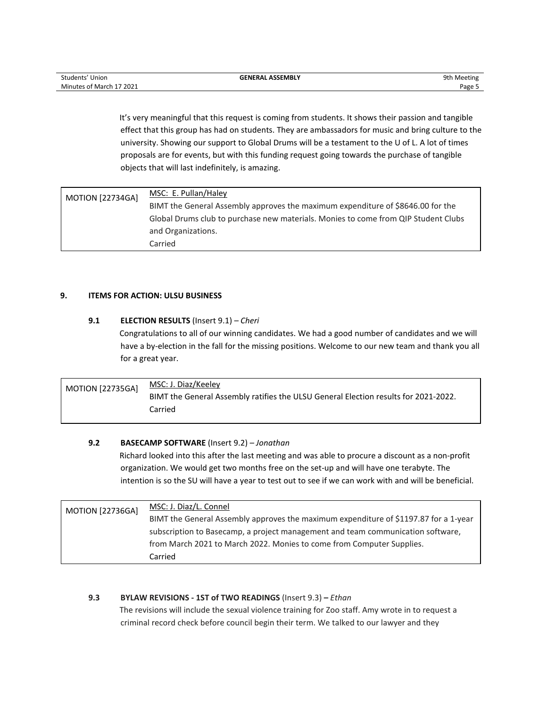| Students' Union          | <b>GENERAL ASSEMBLY</b> | 9th Meeting |
|--------------------------|-------------------------|-------------|
| Minutes of March 17 2021 |                         | $Page \sim$ |

It's very meaningful that this request is coming from students. It shows their passion and tangible effect that this group has had on students. They are ambassadors for music and bring culture to the university. Showing our support to Global Drums will be a testament to the U of L. A lot of times proposals are for events, but with this funding request going towards the purchase of tangible objects that will last indefinitely, is amazing.

MOTION [22734GA] MSC: E. Pullan/Haley BIMT the General Assembly approves the maximum expenditure of \$8646.00 for the Global Drums club to purchase new materials. Monies to come from QIP Student Clubs and Organizations. Carried

# **9. ITEMS FOR ACTION: ULSU BUSINESS**

#### **9.1 ELECTION RESULTS** (Insert 9.1) *– Cheri*

Congratulations to all of our winning candidates. We had a good number of candidates and we will have a by-election in the fall for the missing positions. Welcome to our new team and thank you all for a great year.

MOTION [22735GA] MSC: J. Diaz/Keeley BIMT the General Assembly ratifies the ULSU General Election results for 2021-2022. Carried

# **9.2 BASECAMP SOFTWARE** (Insert 9.2) *– Jonathan*

Richard looked into this after the last meeting and was able to procure a discount as a non-profit organization. We would get two months free on the set-up and will have one terabyte. The intention is so the SU will have a year to test out to see if we can work with and will be beneficial.

| <b>MOTION [22736GA]</b> | MSC: J. Diaz/L. Connel                                                               |
|-------------------------|--------------------------------------------------------------------------------------|
|                         | BIMT the General Assembly approves the maximum expenditure of \$1197.87 for a 1-year |
|                         | subscription to Basecamp, a project management and team communication software,      |
|                         | from March 2021 to March 2022. Monies to come from Computer Supplies.                |
|                         | Carried                                                                              |

#### **9.3 BYLAW REVISIONS - 1ST of TWO READINGS** (Insert 9.3) **–** *Ethan*

The revisions will include the sexual violence training for Zoo staff. Amy wrote in to request a criminal record check before council begin their term. We talked to our lawyer and they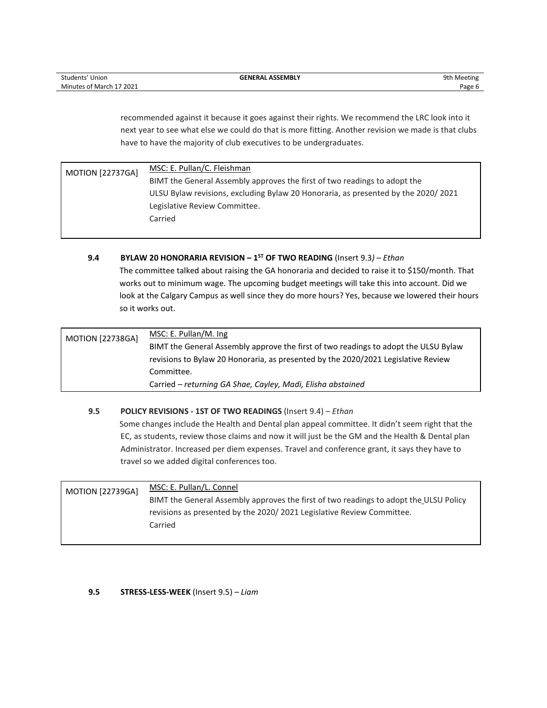| Students'<br>Union       | L ASSEMBLY<br><b>GENERAL</b> | 9th<br>ı Meeting |
|--------------------------|------------------------------|------------------|
| 2021<br>Minutes of March |                              | Page L           |

recommended against it because it goes against their rights. We recommend the LRC look into it next year to see what else we could do that is more fitting. Another revision we made is that clubs have to have the majority of club executives to be undergraduates.

| <b>MOTION [22737GA]</b> | MSC: E. Pullan/C. Fleishman                                                       |
|-------------------------|-----------------------------------------------------------------------------------|
|                         | BIMT the General Assembly approves the first of two readings to adopt the         |
|                         | ULSU Bylaw revisions, excluding Bylaw 20 Honoraria, as presented by the 2020/2021 |
|                         | Legislative Review Committee.                                                     |
|                         | Carried                                                                           |
|                         |                                                                                   |

**9.4 BYLAW 20 HONORARIA REVISION – 1ST OF TWO READING** (Insert 9.3*) – Ethan* The committee talked about raising the GA honoraria and decided to raise it to \$150/month. That works out to minimum wage. The upcoming budget meetings will take this into account. Did we look at the Calgary Campus as well since they do more hours? Yes, because we lowered their hours so it works out.

| MSC: E. Pullan/M. Ing<br><b>MOTION [22738GA]</b>                                    |  |
|-------------------------------------------------------------------------------------|--|
| BIMT the General Assembly approve the first of two readings to adopt the ULSU Bylaw |  |
| revisions to Bylaw 20 Honoraria, as presented by the 2020/2021 Legislative Review   |  |
| Committee.                                                                          |  |
| Carried – returning GA Shae, Cayley, Madi, Elisha abstained                         |  |

# **9.5 POLICY REVISIONS - 1ST OF TWO READINGS** (Insert 9.4) – *Ethan*

Some changes include the Health and Dental plan appeal committee. It didn't seem right that the EC, as students, review those claims and now it will just be the GM and the Health & Dental plan Administrator. Increased per diem expenses. Travel and conference grant, it says they have to travel so we added digital conferences too.

| <b>MOTION [22739GA]</b> | MSC: E. Pullan/L. Connel                                                              |
|-------------------------|---------------------------------------------------------------------------------------|
|                         | BIMT the General Assembly approves the first of two readings to adopt the ULSU Policy |
|                         | revisions as presented by the 2020/2021 Legislative Review Committee.                 |
|                         | Carried                                                                               |
|                         |                                                                                       |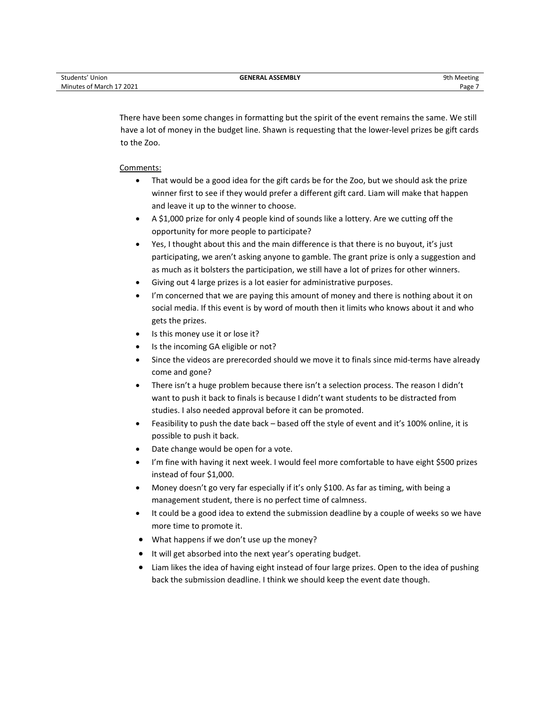There have been some changes in formatting but the spirit of the event remains the same. We still have a lot of money in the budget line. Shawn is requesting that the lower-level prizes be gift cards to the Zoo.

# Comments:

- That would be a good idea for the gift cards be for the Zoo, but we should ask the prize winner first to see if they would prefer a different gift card. Liam will make that happen and leave it up to the winner to choose.
- A \$1,000 prize for only 4 people kind of sounds like a lottery. Are we cutting off the opportunity for more people to participate?
- Yes, I thought about this and the main difference is that there is no buyout, it's just participating, we aren't asking anyone to gamble. The grant prize is only a suggestion and as much as it bolsters the participation, we still have a lot of prizes for other winners.
- Giving out 4 large prizes is a lot easier for administrative purposes.
- I'm concerned that we are paying this amount of money and there is nothing about it on social media. If this event is by word of mouth then it limits who knows about it and who gets the prizes.
- Is this money use it or lose it?
- Is the incoming GA eligible or not?
- Since the videos are prerecorded should we move it to finals since mid-terms have already come and gone?
- There isn't a huge problem because there isn't a selection process. The reason I didn't want to push it back to finals is because I didn't want students to be distracted from studies. I also needed approval before it can be promoted.
- Feasibility to push the date back based off the style of event and it's 100% online, it is possible to push it back.
- Date change would be open for a vote.
- I'm fine with having it next week. I would feel more comfortable to have eight \$500 prizes instead of four \$1,000.
- Money doesn't go very far especially if it's only \$100. As far as timing, with being a management student, there is no perfect time of calmness.
- It could be a good idea to extend the submission deadline by a couple of weeks so we have more time to promote it.
- What happens if we don't use up the money?
- It will get absorbed into the next year's operating budget.
- Liam likes the idea of having eight instead of four large prizes. Open to the idea of pushing back the submission deadline. I think we should keep the event date though.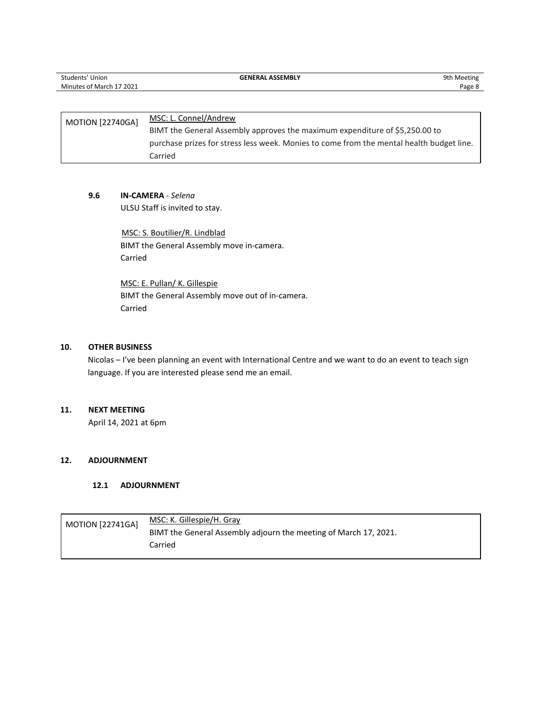| Students' Union          | <b>GENERAL ASSEMBLY</b>                                                                  | 9th Meeting |
|--------------------------|------------------------------------------------------------------------------------------|-------------|
| Minutes of March 17 2021 |                                                                                          | Page 8      |
|                          |                                                                                          |             |
|                          |                                                                                          |             |
| <b>MOTION [22740GA]</b>  | MSC: L. Connel/Andrew                                                                    |             |
|                          | BIMT the General Assembly approves the maximum expenditure of \$5,250.00 to              |             |
|                          | purchase prizes for stress less week. Monies to come from the mental health budget line. |             |

# **9.6 IN-CAMERA** *- Selena*

ULSU Staff is invited to stay.

Carried

MSC: S. Boutilier/R. Lindblad BIMT the General Assembly move in-camera. Carried

MSC: E. Pullan/ K. Gillespie BIMT the General Assembly move out of in-camera. Carried

# **10. OTHER BUSINESS**

Nicolas – I've been planning an event with International Centre and we want to do an event to teach sign language. If you are interested please send me an email.

#### **11. NEXT MEETING**

April 14, 2021 at 6pm

#### **12. ADJOURNMENT**

#### **12.1 ADJOURNMENT**

| <b>MOTION [22741GA]</b> | MSC: K. Gillespie/H. Gray                                        |
|-------------------------|------------------------------------------------------------------|
|                         | BIMT the General Assembly adjourn the meeting of March 17, 2021. |
|                         | Carried                                                          |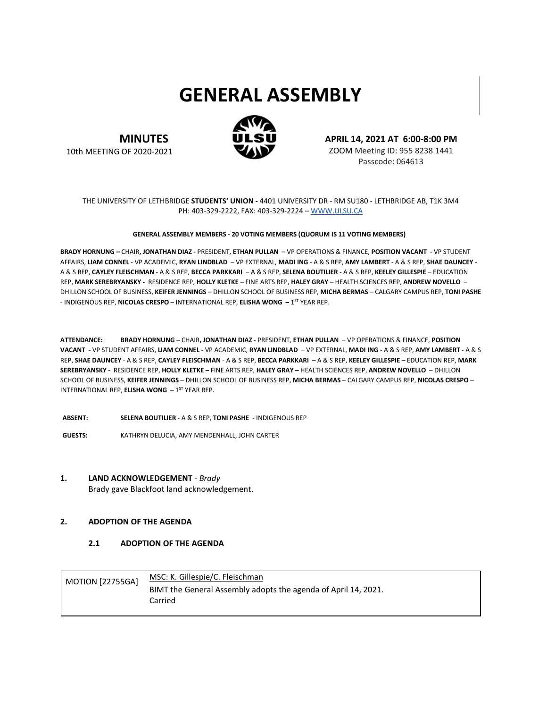# **GENERAL ASSEMBLY**



**MINUTES** 10th MEETING OF 2020-2021 **APRIL 14, 2021 AT 6:00-8:00 PM**

ZOOM Meeting ID: 955 8238 1441 Passcode: 064613

# THE UNIVERSITY OF LETHBRIDGE **STUDENTS' UNION -** 4401 UNIVERSITY DR - RM SU180 - LETHBRIDGE AB, T1K 3M4 PH: 403-329-2222, FAX: 403-329-2224 – [WWW.ULSU.CA](http://www.ulsu.ca/)

#### **GENERAL ASSEMBLY MEMBERS - 20 VOTING MEMBERS (QUORUM IS 11 VOTING MEMBERS)**

**BRADY HORNUNG –** CHAIR**, JONATHAN DIAZ** - PRESIDENT, **ETHAN PULLAN** – VP OPERATIONS & FINANCE, **POSITION VACANT** - VP STUDENT AFFAIRS, **LIAM CONNEL** - VP ACADEMIC, **RYAN LINDBLAD** – VP EXTERNAL, **MADI ING** - A & S REP, **AMY LAMBERT** - A & S REP, **SHAE DAUNCEY** - A & S REP, **CAYLEY FLEISCHMAN** - A & S REP, **BECCA PARKKARI** – A & S REP, **SELENA BOUTILIER** - A & S REP, **KEELEY GILLESPIE** – EDUCATION REP, **MARK SEREBRYANSKY -** RESIDENCE REP, **HOLLY KLETKE –** FINE ARTS REP, **HALEY GRAY –** HEALTH SCIENCES REP, **ANDREW NOVELLO** – DHILLON SCHOOL OF BUSINESS, **KEIFER JENNINGS** – DHILLON SCHOOL OF BUSINESS REP, **MICHA BERMAS** – CALGARY CAMPUS REP, **TONI PASHE**  - INDIGENOUS REP, **NICOLAS CRESPO** – INTERNATIONAL REP, **ELISHA WONG –** 1ST YEAR REP.

**ATTENDANCE: BRADY HORNUNG –** CHAIR**, JONATHAN DIAZ** - PRESIDENT, **ETHAN PULLAN** – VP OPERATIONS & FINANCE, **POSITION VACANT** - VP STUDENT AFFAIRS, **LIAM CONNEL** - VP ACADEMIC, **RYAN LINDBLAD** – VP EXTERNAL, **MADI ING** - A & S REP, **AMY LAMBERT** - A & S REP, **SHAE DAUNCEY** - A & S REP, **CAYLEY FLEISCHMAN** - A & S REP, **BECCA PARKKARI** – A & S REP, **KEELEY GILLESPIE** – EDUCATION REP, **MARK SEREBRYANSKY -** RESIDENCE REP, **HOLLY KLETKE –** FINE ARTS REP, **HALEY GRAY –** HEALTH SCIENCES REP, **ANDREW NOVELLO** – DHILLON SCHOOL OF BUSINESS, **KEIFER JENNINGS** – DHILLON SCHOOL OF BUSINESS REP, **MICHA BERMAS** – CALGARY CAMPUS REP, **NICOLAS CRESPO** – INTERNATIONAL REP, **ELISHA WONG** - 1<sup>ST</sup> YEAR REP.

**ABSENT: SELENA BOUTILIER** - A & S REP, **TONI PASHE** - INDIGENOUS REP

**GUESTS:** KATHRYN DELUCIA, AMY MENDENHALL, JOHN CARTER

# **1. LAND ACKNOWLEDGEMENT** *- Brady*

Brady gave Blackfoot land acknowledgement.

# **2. ADOPTION OF THE AGENDA**

#### **2.1 ADOPTION OF THE AGENDA**

MOTION [22755GA] MSC: K. Gillespie/C. Fleischman BIMT the General Assembly adopts the agenda of April 14, 2021. Carried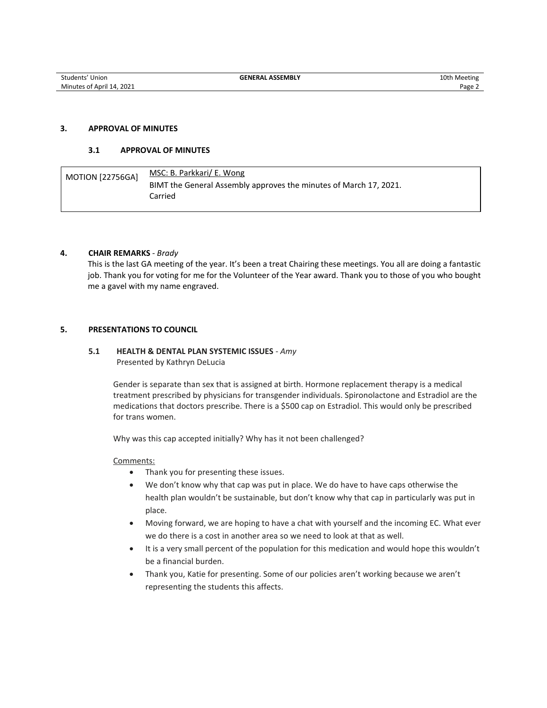#### **3. APPROVAL OF MINUTES**

#### **3.1 APPROVAL OF MINUTES**

| <b>MOTION [22756GA]</b> | MSC: B. Parkkari/ E. Wong                                         |
|-------------------------|-------------------------------------------------------------------|
|                         | BIMT the General Assembly approves the minutes of March 17, 2021. |
|                         | Carried                                                           |

#### **4. CHAIR REMARKS** *- Brady*

This is the last GA meeting of the year. It's been a treat Chairing these meetings. You all are doing a fantastic job. Thank you for voting for me for the Volunteer of the Year award. Thank you to those of you who bought me a gavel with my name engraved.

#### **5. PRESENTATIONS TO COUNCIL**

#### **5.1 HEALTH & DENTAL PLAN SYSTEMIC ISSUES** *- Amy* Presented by Kathryn DeLucia

Gender is separate than sex that is assigned at birth. Hormone replacement therapy is a medical treatment prescribed by physicians for transgender individuals. Spironolactone and Estradiol are the medications that doctors prescribe. There is a \$500 cap on Estradiol. This would only be prescribed for trans women.

Why was this cap accepted initially? Why has it not been challenged?

#### Comments:

- Thank you for presenting these issues.
- We don't know why that cap was put in place. We do have to have caps otherwise the health plan wouldn't be sustainable, but don't know why that cap in particularly was put in place.
- Moving forward, we are hoping to have a chat with yourself and the incoming EC. What ever we do there is a cost in another area so we need to look at that as well.
- It is a very small percent of the population for this medication and would hope this wouldn't be a financial burden.
- Thank you, Katie for presenting. Some of our policies aren't working because we aren't representing the students this affects.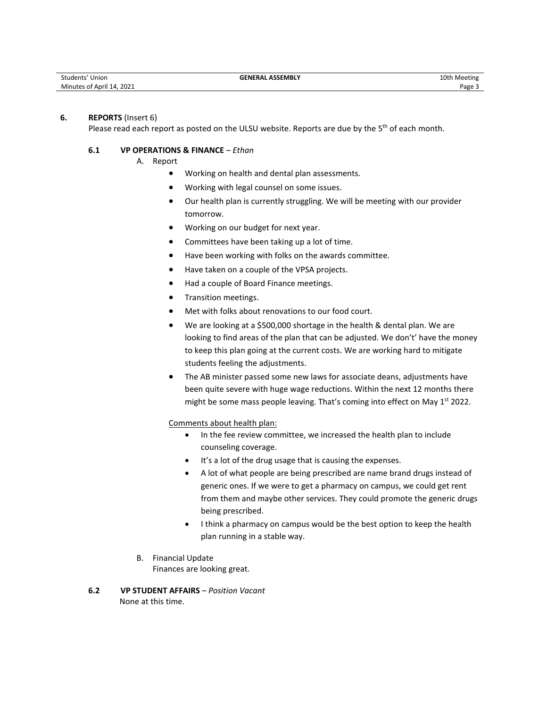# **6. REPORTS** (Insert 6)

Please read each report as posted on the ULSU website. Reports are due by the 5<sup>th</sup> of each month.

# **6.1 VP OPERATIONS & FINANCE** *– Ethan*

A. Report

- Working on health and dental plan assessments.
- Working with legal counsel on some issues.
- Our health plan is currently struggling. We will be meeting with our provider tomorrow.
- Working on our budget for next year.
- Committees have been taking up a lot of time.
- Have been working with folks on the awards committee.
- Have taken on a couple of the VPSA projects.
- Had a couple of Board Finance meetings.
- Transition meetings.
- Met with folks about renovations to our food court.
- We are looking at a \$500,000 shortage in the health & dental plan. We are looking to find areas of the plan that can be adjusted. We don't' have the money to keep this plan going at the current costs. We are working hard to mitigate students feeling the adjustments.
- The AB minister passed some new laws for associate deans, adjustments have been quite severe with huge wage reductions. Within the next 12 months there might be some mass people leaving. That's coming into effect on May 1<sup>st</sup> 2022.

Comments about health plan:

- In the fee review committee, we increased the health plan to include counseling coverage.
- It's a lot of the drug usage that is causing the expenses.
- A lot of what people are being prescribed are name brand drugs instead of generic ones. If we were to get a pharmacy on campus, we could get rent from them and maybe other services. They could promote the generic drugs being prescribed.
- I think a pharmacy on campus would be the best option to keep the health plan running in a stable way.
- B. Financial Update Finances are looking great.
- **6.2 VP STUDENT AFFAIRS** *– Position Vacant* None at this time.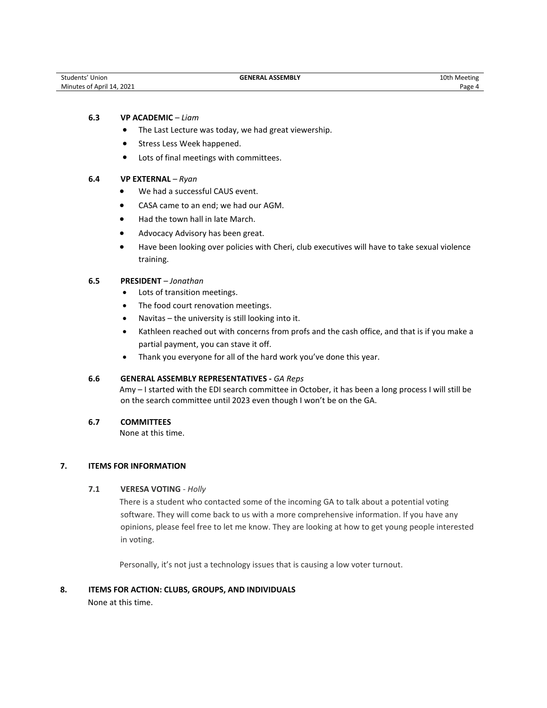# **6.3 VP ACADEMIC** *– Liam*

- The Last Lecture was today, we had great viewership.
- Stress Less Week happened.
- Lots of final meetings with committees.

#### **6.4 VP EXTERNAL** *– Ryan*

- We had a successful CAUS event.
- CASA came to an end; we had our AGM.
- Had the town hall in late March.
- Advocacy Advisory has been great.
- Have been looking over policies with Cheri, club executives will have to take sexual violence training.

#### **6.5 PRESIDENT** *– Jonathan*

- Lots of transition meetings.
- The food court renovation meetings.
- Navitas the university is still looking into it.
- Kathleen reached out with concerns from profs and the cash office, and that is if you make a partial payment, you can stave it off.
- Thank you everyone for all of the hard work you've done this year.

# **6.6 GENERAL ASSEMBLY REPRESENTATIVES -** *GA Reps*

Amy – I started with the EDI search committee in October, it has been a long process I will still be on the search committee until 2023 even though I won't be on the GA.

#### **6.7 COMMITTEES**

None at this time.

### **7. ITEMS FOR INFORMATION**

#### **7.1 VERESA VOTING** - *Holly*

There is a student who contacted some of the incoming GA to talk about a potential voting software. They will come back to us with a more comprehensive information. If you have any opinions, please feel free to let me know. They are looking at how to get young people interested in voting.

Personally, it's not just a technology issues that is causing a low voter turnout.

# **8. ITEMS FOR ACTION: CLUBS, GROUPS, AND INDIVIDUALS**

None at this time.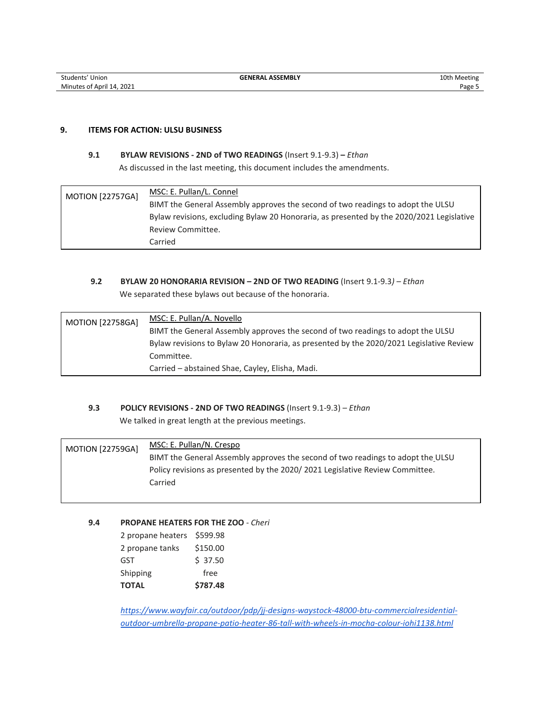#### **9. ITEMS FOR ACTION: ULSU BUSINESS**

## **9.1 BYLAW REVISIONS - 2ND of TWO READINGS** (Insert 9.1-9.3) **–** *Ethan*

As discussed in the last meeting, this document includes the amendments.

| <b>MOTION [22757GA]</b> | MSC: E. Pullan/L. Connel                                                                 |
|-------------------------|------------------------------------------------------------------------------------------|
|                         | BIMT the General Assembly approves the second of two readings to adopt the ULSU          |
|                         | Bylaw revisions, excluding Bylaw 20 Honoraria, as presented by the 2020/2021 Legislative |
|                         | Review Committee.                                                                        |
|                         | Carried                                                                                  |

# **9.2 BYLAW 20 HONORARIA REVISION – 2ND OF TWO READING** (Insert 9.1-9.3*) – Ethan*

We separated these bylaws out because of the honoraria.

| <b>MOTION [22758GA]</b> | MSC: E. Pullan/A. Novello                                                               |
|-------------------------|-----------------------------------------------------------------------------------------|
|                         | BIMT the General Assembly approves the second of two readings to adopt the ULSU         |
|                         | Bylaw revisions to Bylaw 20 Honoraria, as presented by the 2020/2021 Legislative Review |
|                         | Committee.                                                                              |
|                         | Carried – abstained Shae, Cayley, Elisha, Madi.                                         |

## **9.3 POLICY REVISIONS - 2ND OF TWO READINGS** (Insert 9.1-9.3) – *Ethan* We talked in great length at the previous meetings.

| <b>MOTION [22759GA]</b> | MSC: E. Pullan/N. Crespo                                                        |
|-------------------------|---------------------------------------------------------------------------------|
|                         | BIMT the General Assembly approves the second of two readings to adopt the ULSU |
|                         | Policy revisions as presented by the 2020/2021 Legislative Review Committee.    |
|                         | Carried                                                                         |
|                         |                                                                                 |

## **9.4 PROPANE HEATERS FOR THE ZOO** *- Cheri*

| 2 propane heaters | \$599.98 |
|-------------------|----------|
| 2 propane tanks   | \$150.00 |
| GST               | \$37.50  |
| Shipping          | free     |
| <b>TOTAL</b>      | \$787.48 |

*[https://www.wayfair.ca/outdoor/pdp/jj-designs-waystock-48000-btu-commercialresidential](https://www.wayfair.ca/outdoor/pdp/jj-designs-waystock-48000-btu-commercialresidential-outdoor-umbrella-propane-patio-heater-86-tall-with-wheels-in-mocha-colour-iohi1138.html)[outdoor-umbrella-propane-patio-heater-86-tall-with-wheels-in-mocha-colour-iohi1138.html](https://www.wayfair.ca/outdoor/pdp/jj-designs-waystock-48000-btu-commercialresidential-outdoor-umbrella-propane-patio-heater-86-tall-with-wheels-in-mocha-colour-iohi1138.html)*